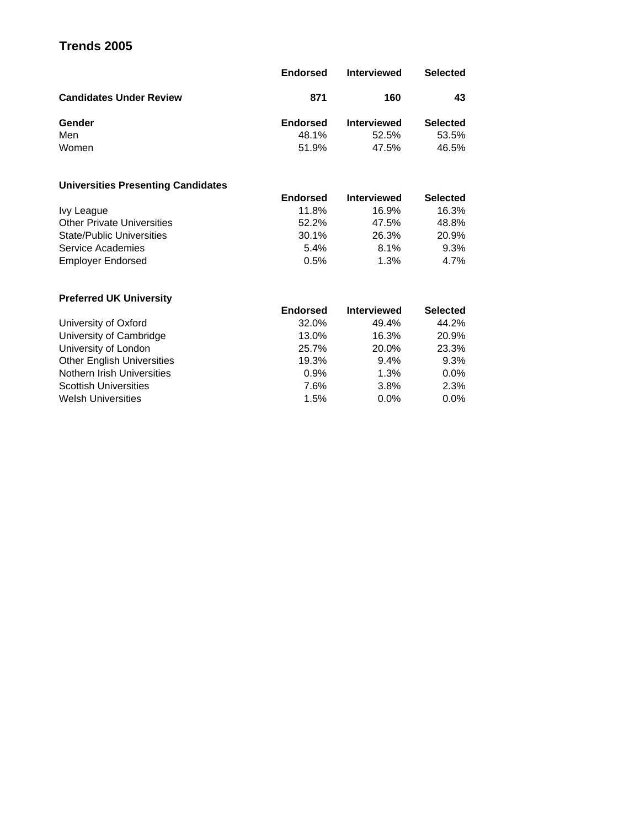# **Trends 2005**

|                                | <b>Endorsed</b> | <b>Interviewed</b> | <b>Selected</b> |
|--------------------------------|-----------------|--------------------|-----------------|
| <b>Candidates Under Review</b> | 871             | 160                | 43              |
| Gender                         | <b>Endorsed</b> | <b>Interviewed</b> | <b>Selected</b> |
| Men                            | 48.1%           | 52.5%              | 53.5%           |
| Women                          | 51.9%           | 47.5%              | 46.5%           |

## **Universities Presenting Candidates**

|                                   | <b>Endorsed</b> | <b>Interviewed</b> | <b>Selected</b> |
|-----------------------------------|-----------------|--------------------|-----------------|
| Ivy League                        | 11.8%           | 16.9%              | 16.3%           |
| <b>Other Private Universities</b> | 52.2%           | 47.5%              | 48.8%           |
| <b>State/Public Universities</b>  | 30.1%           | 26.3%              | 20.9%           |
| Service Academies                 | 5.4%            | 8.1%               | $9.3\%$         |
| <b>Employer Endorsed</b>          | 0.5%            | 1.3%               | $4.7\%$         |

## **Preferred UK University**

|                                                          | <b>Preferred UN University</b>    |
|----------------------------------------------------------|-----------------------------------|
| <b>Endorsed</b><br><b>Interviewed</b><br><b>Selected</b> |                                   |
| 44.2%<br>32.0%<br>49.4%                                  | University of Oxford              |
| 20.9%<br>16.3%<br>13.0%                                  | University of Cambridge           |
| 23.3%<br>20.0%<br>25.7%                                  | University of London              |
| 19.3%<br>$9.4\%$<br>$9.3\%$                              | <b>Other English Universities</b> |
| 0.9%<br>1.3%<br>$0.0\%$                                  | Nothern Irish Universities        |
| 2.3%<br>7.6%<br>3.8%                                     | <b>Scottish Universities</b>      |
| 1.5%<br>0.0%<br>$0.0\%$                                  | <b>Welsh Universities</b>         |
|                                                          |                                   |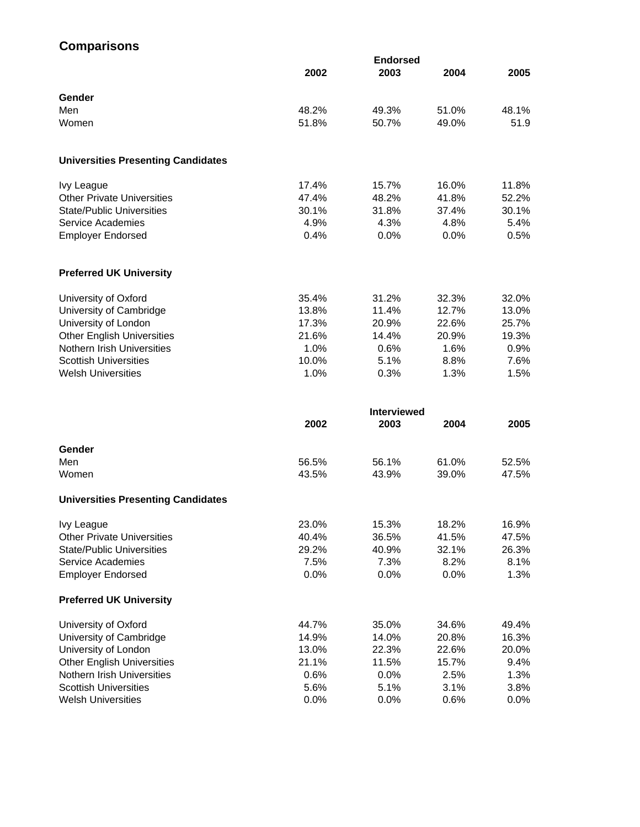# **Comparisons**

|                                           |       | <b>Endorsed</b> |       |       |
|-------------------------------------------|-------|-----------------|-------|-------|
|                                           | 2002  | 2003            | 2004  | 2005  |
|                                           |       |                 |       |       |
| Gender                                    |       |                 |       |       |
| Men                                       | 48.2% | 49.3%           | 51.0% | 48.1% |
| Women                                     | 51.8% | 50.7%           | 49.0% | 51.9  |
|                                           |       |                 |       |       |
| <b>Universities Presenting Candidates</b> |       |                 |       |       |
| Ivy League                                | 17.4% | 15.7%           | 16.0% | 11.8% |
| <b>Other Private Universities</b>         | 47.4% | 48.2%           | 41.8% | 52.2% |
| <b>State/Public Universities</b>          | 30.1% | 31.8%           | 37.4% | 30.1% |
| Service Academies                         | 4.9%  | 4.3%            | 4.8%  | 5.4%  |
| <b>Employer Endorsed</b>                  | 0.4%  | 0.0%            | 0.0%  | 0.5%  |
| <b>Preferred UK University</b>            |       |                 |       |       |
| University of Oxford                      | 35.4% | 31.2%           | 32.3% | 32.0% |
| University of Cambridge                   | 13.8% | 11.4%           | 12.7% | 13.0% |
| University of London                      | 17.3% | 20.9%           | 22.6% | 25.7% |
| <b>Other English Universities</b>         | 21.6% | 14.4%           | 20.9% | 19.3% |
| Nothern Irish Universities                | 1.0%  | 0.6%            | 1.6%  | 0.9%  |
| <b>Scottish Universities</b>              | 10.0% | 5.1%            | 8.8%  | 7.6%  |
| <b>Welsh Universities</b>                 | 1.0%  | 0.3%            | 1.3%  | 1.5%  |

|                                           |       | <b>Interviewed</b> |         |       |  |
|-------------------------------------------|-------|--------------------|---------|-------|--|
|                                           | 2002  | 2003               | 2004    | 2005  |  |
| Gender                                    |       |                    |         |       |  |
| Men                                       | 56.5% | 56.1%              | 61.0%   | 52.5% |  |
| Women                                     | 43.5% | 43.9%              | 39.0%   | 47.5% |  |
| <b>Universities Presenting Candidates</b> |       |                    |         |       |  |
| <b>Ivy League</b>                         | 23.0% | 15.3%              | 18.2%   | 16.9% |  |
| <b>Other Private Universities</b>         | 40.4% | 36.5%              | 41.5%   | 47.5% |  |
| <b>State/Public Universities</b>          | 29.2% | 40.9%              | 32.1%   | 26.3% |  |
| Service Academies                         | 7.5%  | 7.3%               | 8.2%    | 8.1%  |  |
| <b>Employer Endorsed</b>                  | 0.0%  | $0.0\%$            | $0.0\%$ | 1.3%  |  |
| <b>Preferred UK University</b>            |       |                    |         |       |  |
| University of Oxford                      | 44.7% | 35.0%              | 34.6%   | 49.4% |  |
| University of Cambridge                   | 14.9% | 14.0%              | 20.8%   | 16.3% |  |
| University of London                      | 13.0% | 22.3%              | 22.6%   | 20.0% |  |
| <b>Other English Universities</b>         | 21.1% | 11.5%              | 15.7%   | 9.4%  |  |
| Nothern Irish Universities                | 0.6%  | $0.0\%$            | 2.5%    | 1.3%  |  |
| <b>Scottish Universities</b>              | 5.6%  | 5.1%               | 3.1%    | 3.8%  |  |
| <b>Welsh Universities</b>                 | 0.0%  | 0.0%               | 0.6%    | 0.0%  |  |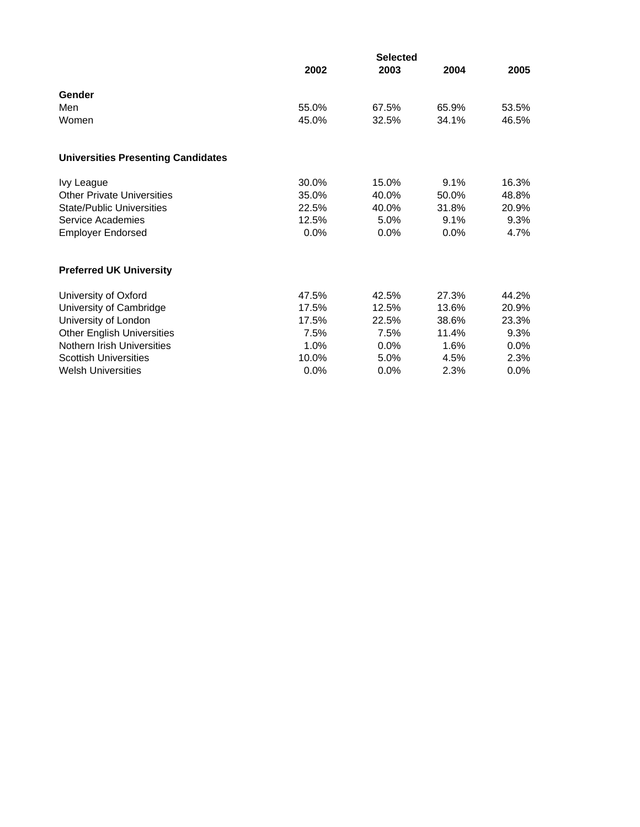|                                           | 2002           | <b>Selected</b><br>2003 | 2004           | 2005           |
|-------------------------------------------|----------------|-------------------------|----------------|----------------|
| Gender                                    |                |                         |                |                |
| Men<br>Women                              | 55.0%<br>45.0% | 67.5%<br>32.5%          | 65.9%<br>34.1% | 53.5%<br>46.5% |
| <b>Universities Presenting Candidates</b> |                |                         |                |                |
| <b>Ivy League</b>                         | 30.0%          | 15.0%                   | 9.1%           | 16.3%          |
| <b>Other Private Universities</b>         | 35.0%          | 40.0%                   | 50.0%          | 48.8%          |
| <b>State/Public Universities</b>          | 22.5%          | 40.0%                   | 31.8%          | 20.9%          |
| Service Academies                         | 12.5%          | 5.0%                    | 9.1%           | 9.3%           |
| <b>Employer Endorsed</b>                  | 0.0%           | 0.0%                    | 0.0%           | 4.7%           |
| <b>Preferred UK University</b>            |                |                         |                |                |
| University of Oxford                      | 47.5%          | 42.5%                   | 27.3%          | 44.2%          |
| University of Cambridge                   | 17.5%          | 12.5%                   | 13.6%          | 20.9%          |
| University of London                      | 17.5%          | 22.5%                   | 38.6%          | 23.3%          |
| <b>Other English Universities</b>         | 7.5%           | 7.5%                    | 11.4%          | 9.3%           |
| Nothern Irish Universities                | 1.0%           | 0.0%                    | 1.6%           | 0.0%           |
| <b>Scottish Universities</b>              | 10.0%          | 5.0%                    | 4.5%           | 2.3%           |
| <b>Welsh Universities</b>                 | 0.0%           | 0.0%                    | 2.3%           | 0.0%           |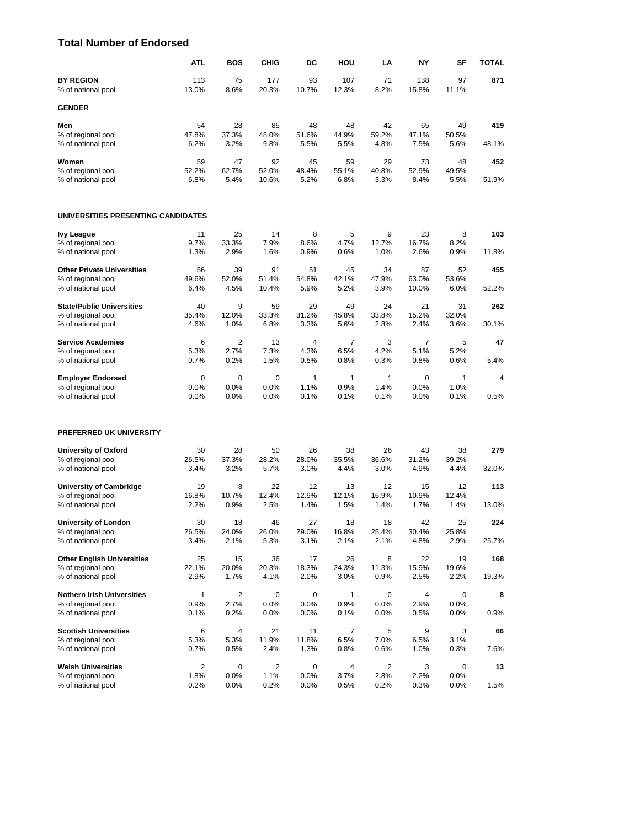#### **Total Number of Endorsed**

|                                          | <b>ATL</b>    | <b>BOS</b>     | <b>CHIG</b>   | DC            | HOU            | LA            | NY            | SF            | <b>TOTAL</b> |
|------------------------------------------|---------------|----------------|---------------|---------------|----------------|---------------|---------------|---------------|--------------|
| <b>BY REGION</b>                         | 113           | 75             | 177           | 93            | 107            | 71            | 138           | 97            | 871          |
| % of national pool                       | 13.0%         | 8.6%           | 20.3%         | 10.7%         | 12.3%          | 8.2%          | 15.8%         | 11.1%         |              |
| <b>GENDER</b>                            |               |                |               |               |                |               |               |               |              |
| Men                                      | 54            | 28             | 85            | 48            | 48             | 42            | 65            | 49            | 419          |
| % of regional pool                       | 47.8%         | 37.3%          | 48.0%         | 51.6%         | 44.9%          | 59.2%         | 47.1%         | 50.5%         |              |
| % of national pool                       | 6.2%          | 3.2%           | 9.8%          | 5.5%          | 5.5%           | 4.8%          | 7.5%          | 5.6%          | 48.1%        |
| Women                                    | 59            | 47             | 92            | 45            | 59             | 29            | 73            | 48            | 452          |
| % of regional pool                       | 52.2%         | 62.7%          | 52.0%         | 48.4%         | 55.1%          | 40.8%         | 52.9%         | 49.5%         | 51.9%        |
| % of national pool                       | 6.8%          | 5.4%           | 10.6%         | 5.2%          | 6.8%           | 3.3%          | 8.4%          | 5.5%          |              |
| UNIVERSITIES PRESENTING CANDIDATES       |               |                |               |               |                |               |               |               |              |
| <b>Ivy League</b>                        | 11            | 25             | 14            | 8             | 5              | 9             | 23            | 8             | 103          |
| % of regional pool                       | 9.7%          | 33.3%          | 7.9%          | 8.6%          | 4.7%           | 12.7%         | 16.7%         | 8.2%          |              |
| % of national pool                       | 1.3%          | 2.9%           | 1.6%          | 0.9%          | 0.6%           | 1.0%          | 2.6%          | 0.9%          | 11.8%        |
| <b>Other Private Universities</b>        | 56            | 39             | 91            | 51            | 45             | 34            | 87            | 52            | 455          |
| % of regional pool                       | 49.6%         | 52.0%          | 51.4%         | 54.8%         | 42.1%          | 47.9%         | 63.0%         | 53.6%         |              |
| % of national pool                       | 6.4%          | 4.5%           | 10.4%         | 5.9%          | 5.2%           | 3.9%          | 10.0%         | 6.0%          | 52.2%        |
| <b>State/Public Universities</b>         | 40            | 9              | 59            | 29            | 49             | 24            | 21            | 31            | 262          |
| % of regional pool<br>% of national pool | 35.4%<br>4.6% | 12.0%<br>1.0%  | 33.3%<br>6.8% | 31.2%<br>3.3% | 45.8%<br>5.6%  | 33.8%<br>2.8% | 15.2%<br>2.4% | 32.0%<br>3.6% | 30.1%        |
|                                          |               |                |               |               |                |               |               |               |              |
| <b>Service Academies</b>                 | 6             | $\overline{2}$ | 13            | 4             | $\overline{7}$ | 3             | 7             | 5             | 47           |
| % of regional pool<br>% of national pool | 5.3%<br>0.7%  | 2.7%<br>0.2%   | 7.3%<br>1.5%  | 4.3%<br>0.5%  | 6.5%<br>0.8%   | 4.2%<br>0.3%  | 5.1%<br>0.8%  | 5.2%<br>0.6%  | 5.4%         |
|                                          |               |                |               |               |                |               |               |               |              |
| <b>Employer Endorsed</b>                 | 0             | $\mathbf 0$    | 0             | 1             | 1              | 1             | 0             | $\mathbf{1}$  | 4            |
| % of regional pool                       | 0.0%          | 0.0%           | 0.0%          | 1.1%          | 0.9%           | 1.4%          | 0.0%          | 1.0%          |              |
| % of national pool                       | 0.0%          | 0.0%           | 0.0%          | 0.1%          | 0.1%           | 0.1%          | 0.0%          | 0.1%          | 0.5%         |
| <b>PREFERRED UK UNIVERSITY</b>           |               |                |               |               |                |               |               |               |              |
| <b>University of Oxford</b>              | 30            | 28             | 50            | 26            | 38             | 26            | 43            | 38            | 279          |
| % of regional pool                       | 26.5%         | 37.3%          | 28.2%         | 28.0%         | 35.5%          | 36.6%         | 31.2%         | 39.2%         |              |
| % of national pool                       | 3.4%          | 3.2%           | 5.7%          | 3.0%          | 4.4%           | 3.0%          | 4.9%          | 4.4%          | 32.0%        |
| <b>University of Cambridge</b>           | 19            | 8              | 22            | 12            | 13             | 12            | 15            | 12            | 113          |
| % of regional pool                       | 16.8%         | 10.7%          | 12.4%         | 12.9%         | 12.1%          | 16.9%         | 10.9%         | 12.4%         |              |
| % of national pool                       | 2.2%          | 0.9%           | 2.5%          | 1.4%          | 1.5%           | 1.4%          | 1.7%          | 1.4%          | 13.0%        |
| University of London                     | 30            | 18             | 46            | 27            | 18             | 18            | 42            | 25            | 224          |
| % of regional pool                       | 26.5%         | 24.0%          | 26.0%         | 29.0%         | 16.8%          | 25.4%         | 30.4%         | 25.8%         |              |
| % of national pool                       | 3.4%          | 2.1%           | 5.3%          | 3.1%          | 2.1%           | 2.1%          | 4.8%          | 2.9%          | 25.7%        |
| <b>Other English Universities</b>        | 25            | 15             | 36            | 17            | 26             | 8             | 22            | 19            | 168          |
| % of regional pool                       | 22.1%         | 20.0%          | 20.3%         | 18.3%         | 24.3%          | 11.3%         | 15.9%         | 19.6%         |              |
| % of national pool                       | 2.9%          | 1.7%           | 4.1%          | 2.0%          | 3.0%           | 0.9%          | 2.5%          | 2.2%          | 19.3%        |
| <b>Nothern Irish Universities</b>        | 1             | 2              | 0             | 0             | 1              | 0             | 4             | 0             | 8            |
| % of regional pool                       | 0.9%          | 2.7%           | 0.0%          | 0.0%          | 0.9%           | 0.0%          | 2.9%          | $0.0\%$       |              |
| % of national pool                       | 0.1%          | 0.2%           | 0.0%          | 0.0%          | 0.1%           | 0.0%          | 0.5%          | $0.0\%$       | 0.9%         |
| <b>Scottish Universities</b>             | 6             | 4              | 21            | 11            | 7              | 5             | 9             | 3             | 66           |
| % of regional pool                       | 5.3%<br>0.7%  | 5.3%<br>0.5%   | 11.9%<br>2.4% | 11.8%<br>1.3% | 6.5%<br>0.8%   | 7.0%<br>0.6%  | 6.5%<br>1.0%  | 3.1%<br>0.3%  | 7.6%         |
| % of national pool                       |               |                |               |               |                |               |               |               |              |
| <b>Welsh Universities</b>                | 2             | 0              | 2             | 0             | 4              | 2             | 3             | 0             | 13           |
| % of regional pool<br>% of national pool | 1.8%<br>0.2%  | 0.0%<br>0.0%   | 1.1%<br>0.2%  | 0.0%<br>0.0%  | 3.7%<br>0.5%   | 2.8%<br>0.2%  | 2.2%<br>0.3%  | 0.0%<br>0.0%  | 1.5%         |
|                                          |               |                |               |               |                |               |               |               |              |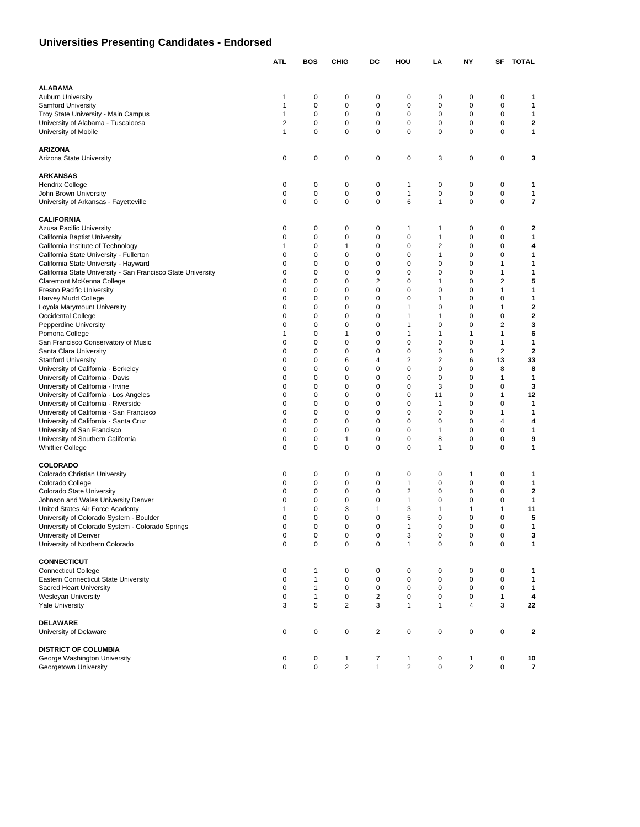# **Universities Presenting Candidates - Endorsed**

|                                                                           | <b>ATL</b>     | BOS                          | <b>CHIG</b>    | DC             | HOU                 | LA                     | <b>NY</b>      | SF                      | <b>TOTAL</b>             |
|---------------------------------------------------------------------------|----------------|------------------------------|----------------|----------------|---------------------|------------------------|----------------|-------------------------|--------------------------|
|                                                                           |                |                              |                |                |                     |                        |                |                         |                          |
| <b>ALABAMA</b>                                                            |                |                              |                |                |                     |                        |                |                         |                          |
| <b>Auburn University</b>                                                  | 1              | 0                            | 0              | 0              | 0                   | 0                      | 0              | $\mathbf 0$             | 1                        |
| <b>Samford University</b>                                                 | 1              | 0                            | 0              | $\mathbf 0$    | 0                   | 0                      | 0              | $\mathbf 0$             | 1                        |
| Troy State University - Main Campus                                       | $\mathbf{1}$   | 0                            | 0              | 0              | 0                   | 0                      | 0              | $\mathbf 0$             | 1                        |
| University of Alabama - Tuscaloosa                                        | $\overline{2}$ | 0                            | 0              | 0              | 0                   | 0                      | 0              | $\mathbf 0$             | 2                        |
| University of Mobile                                                      | 1              | 0                            | 0              | 0              | 0                   | 0                      | 0              | $\mathbf 0$             | 1                        |
| <b>ARIZONA</b>                                                            |                |                              |                |                |                     |                        |                |                         |                          |
| Arizona State University                                                  | 0              | 0                            | 0              | 0              | 0                   | 3                      | 0              | $\mathbf 0$             | 3                        |
|                                                                           |                |                              |                |                |                     |                        |                |                         |                          |
| <b>ARKANSAS</b>                                                           |                |                              |                |                |                     |                        |                |                         |                          |
| Hendrix College                                                           | 0              | 0                            | 0              | 0              | 1                   | 0                      | 0              | $\mathbf 0$             | 1                        |
| John Brown University                                                     | 0              | $\mathbf 0$                  | 0              | $\mathbf 0$    | 1                   | 0                      | 0              | 0                       | 1                        |
| University of Arkansas - Fayetteville                                     | 0              | 0                            | 0              | $\mathbf 0$    | 6                   | 1                      | 0              | $\mathbf 0$             | 7                        |
| <b>CALIFORNIA</b>                                                         |                |                              |                |                |                     |                        |                |                         |                          |
| Azusa Pacific University                                                  | 0              | 0                            | 0              | 0              | 1                   | 1                      | 0              | $\mathbf 0$             | 2                        |
| California Baptist University                                             | 0              | 0                            | 0              | $\mathbf 0$    | 0                   | $\mathbf{1}$           | 0              | $\mathbf 0$             | 1                        |
| California Institute of Technology                                        | 1              | 0                            | 1              | 0              | 0                   | $\overline{2}$         | 0              | $\mathbf 0$             | 4                        |
| California State University - Fullerton                                   | 0              | 0                            | 0              | $\mathbf 0$    | 0                   | 1                      | 0              | $\mathbf 0$             | 1                        |
| California State University - Hayward                                     | 0              | 0                            | 0              | 0              | 0                   | 0                      | 0              | $\mathbf{1}$            | 1                        |
| California State University - San Francisco State University              | 0              | 0                            | 0              | $\mathbf 0$    | 0                   | 0                      | 0              | $\mathbf{1}$            | 1                        |
| Claremont McKenna College                                                 | 0              | 0                            | 0              | $\overline{2}$ | 0                   | $\mathbf{1}$           | 0              | $\overline{2}$          | 5                        |
| Fresno Pacific University                                                 | 0              | 0                            | $\mathbf 0$    | $\mathbf 0$    | 0                   | 0                      | 0              | 1                       | 1                        |
| Harvey Mudd College                                                       | 0              | 0                            | 0              | $\mathbf 0$    | 0                   | 1                      | 0              | $\mathbf 0$             | 1                        |
| Loyola Marymount University                                               | 0              | 0                            | 0              | 0              | 1                   | 0                      | $\mathbf 0$    | $\mathbf{1}$            | 2                        |
| Occidental College                                                        | 0              | $\mathbf 0$                  | 0              | $\mathbf 0$    | 1                   | $\mathbf{1}$           | 0              | $\mathbf 0$             | $\mathbf{2}$             |
| Pepperdine University                                                     | 0              | 0                            | 0              | 0              | 1                   | 0                      | 0              | $\overline{\mathbf{c}}$ | 3                        |
| Pomona College                                                            | 1              | 0                            | 1              | $\mathbf 0$    | 1                   | $\mathbf{1}$           | 1              | 1                       | 6                        |
| San Francisco Conservatory of Music                                       | 0              | 0                            | 0              | $\mathbf 0$    | 0                   | 0                      | 0              | $\mathbf{1}$            | 1                        |
| Santa Clara University                                                    | 0<br>0         | 0<br>0                       | 0<br>6         | 0<br>4         | 0<br>$\overline{2}$ | 0<br>2                 | 0<br>6         | $\overline{2}$<br>13    | 2<br>33                  |
| <b>Stanford University</b>                                                | 0              | 0                            | 0              | 0              | 0                   | 0                      | 0              | 8                       | 8                        |
| University of California - Berkeley<br>University of California - Davis   | 0              | 0                            | $\mathbf 0$    | $\mathbf 0$    | 0                   | 0                      | 0              | 1                       | 1                        |
| University of California - Irvine                                         | 0              | 0                            | 0              | $\mathbf 0$    | 0                   | 3                      | 0              | $\mathbf 0$             | 3                        |
| University of California - Los Angeles                                    | 0              | 0                            | 0              | 0              | 0                   | 11                     | 0              | $\mathbf{1}$            | 12                       |
| University of California - Riverside                                      | 0              | $\mathbf 0$                  | 0              | $\mathbf 0$    | 0                   | $\mathbf{1}$           | 0              | $\mathbf 0$             | $\mathbf{1}$             |
| University of California - San Francisco                                  | 0              | 0                            | 0              | 0              | 0                   | 0                      | 0              | 1                       | 1                        |
| University of California - Santa Cruz                                     | 0              | 0                            | $\mathbf 0$    | 0              | 0                   | 0                      | 0              | 4                       | 4                        |
| University of San Francisco                                               | 0              | 0                            | 0              | $\mathbf 0$    | 0                   | 1                      | 0              | $\mathbf 0$             | 1                        |
| University of Southern California                                         | 0              | 0                            | 1              | 0              | 0                   | 8                      | 0              | $\mathbf 0$             | 9                        |
| <b>Whittier College</b>                                                   | 0              | $\mathbf 0$                  | 0              | $\mathbf 0$    | 0                   | 1                      | 0              | $\mathbf 0$             | 1                        |
|                                                                           |                |                              |                |                |                     |                        |                |                         |                          |
| <b>COLORADO</b>                                                           | 0              | $\mathbf 0$                  | 0              | $\mathbf 0$    | 0                   | 0                      | 1              | $\mathbf 0$             | 1                        |
| Colorado Christian University<br>Colorado College                         | 0              | 0                            | 0              | 0              | 1                   | 0                      | 0              | 0                       | 1                        |
| <b>Colorado State University</b>                                          | 0              | 0                            | 0              | $\mathbf 0$    | 2                   | 0                      | 0              | 0                       | $\mathbf{2}$             |
| Johnson and Wales University Denver                                       | 0              | 0                            | 0              | 0              | 1                   | 0                      | 0              | 0                       | 1                        |
| United States Air Force Academy                                           | 1              | 0                            | 3              | $\mathbf{1}$   | 3                   | 1                      | $\mathbf{1}$   | 1                       | 11                       |
| University of Colorado System - Boulder                                   | 0              | 0                            | 0              | $\mathbf 0$    | 5                   | 0                      | 0              | $\mathbf 0$             | 5                        |
| University of Colorado System - Colorado Springs                          | 0              | 0                            | $\Omega$       | 0              | 1                   | $\Omega$               | 0              | 0                       | 1                        |
| University of Denver                                                      | 0              | $\pmb{0}$                    | 0              | $\pmb{0}$      | 3                   | 0                      | $\pmb{0}$      | $\pmb{0}$               | 3                        |
| University of Northern Colorado                                           | 0              | $\mathbf 0$                  | 0              | $\mathbf 0$    | $\mathbf{1}$        | $\pmb{0}$              | $\mathbf 0$    | $\mathbf 0$             | 1                        |
|                                                                           |                |                              |                |                |                     |                        |                |                         |                          |
| <b>CONNECTICUT</b>                                                        |                |                              |                |                |                     |                        |                |                         |                          |
| <b>Connecticut College</b><br><b>Eastern Connecticut State University</b> | 0              | $\mathbf{1}$                 | 0              | 0              | 0                   | 0                      | 0              | 0                       | 1                        |
| Sacred Heart University                                                   | 0<br>0         | $\mathbf{1}$<br>$\mathbf{1}$ | 0<br>0         | $\pmb{0}$<br>0 | 0<br>0              | $\pmb{0}$<br>$\pmb{0}$ | $\pmb{0}$<br>0 | $\mathbf 0$<br>0        | 1<br>1                   |
| Wesleyan University                                                       | 0              | $\mathbf{1}$                 | 0              | $\sqrt{2}$     | 0                   | $\pmb{0}$              | 0              | $\mathbf{1}$            | 4                        |
| <b>Yale University</b>                                                    | 3              | 5                            | $\overline{2}$ | 3              | $\mathbf{1}$        | $\mathbf{1}$           | 4              | 3                       | 22                       |
|                                                                           |                |                              |                |                |                     |                        |                |                         |                          |
| <b>DELAWARE</b>                                                           |                |                              |                |                |                     |                        |                |                         |                          |
| University of Delaware                                                    | 0              | $\pmb{0}$                    | 0              | $\overline{c}$ | 0                   | 0                      | 0              | $\pmb{0}$               | 2                        |
|                                                                           |                |                              |                |                |                     |                        |                |                         |                          |
| <b>DISTRICT OF COLUMBIA</b>                                               |                |                              |                |                |                     |                        |                |                         |                          |
| George Washington University                                              | 0              | 0                            | 1              | 7              | $\mathbf{1}$        | 0                      | $\mathbf{1}$   | 0                       | 10                       |
| Georgetown University                                                     | 0              | $\pmb{0}$                    | $\overline{c}$ | $\mathbf{1}$   | $\overline{2}$      | $\pmb{0}$              | $\overline{2}$ | $\mathbf 0$             | $\overline{\phantom{a}}$ |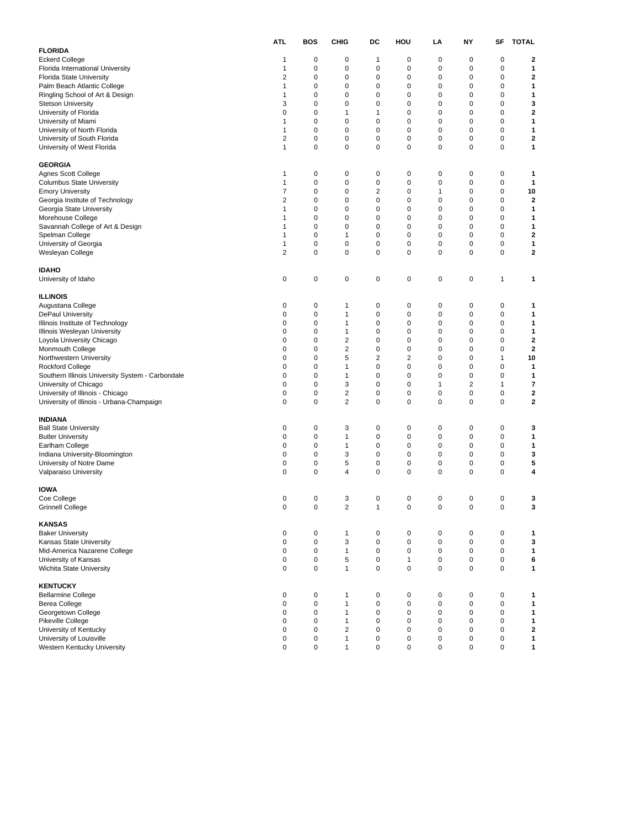|                                                         | <b>ATL</b>                 | <b>BOS</b>       | <b>CHIG</b>       | DC             | HOU                         | LA          | NY          | SF        | <b>TOTAL</b> |
|---------------------------------------------------------|----------------------------|------------------|-------------------|----------------|-----------------------------|-------------|-------------|-----------|--------------|
| <b>FLORIDA</b>                                          |                            |                  |                   |                |                             |             |             |           |              |
| <b>Eckerd College</b>                                   | 1                          | 0                | 0                 | 1              | $\mathbf 0$                 | 0           | 0           | 0         | 2            |
| Florida International University                        | 1                          | 0                | 0                 | 0              | 0                           | 0           | 0           | 0         | 1            |
| Florida State University                                | 2                          | 0                | 0                 | 0              | 0                           | 0           | 0           | 0         | $\mathbf 2$  |
| Palm Beach Atlantic College                             | 1                          | 0                | $\pmb{0}$         | 0              | $\mathbf 0$                 | 0           | 0           | 0         | 1            |
| Ringling School of Art & Design                         | 1                          | 0                | 0                 | 0              | 0                           | 0           | 0           | 0         | 1            |
| <b>Stetson University</b>                               | 3                          | 0                | 0                 | 0              | $\mathbf 0$                 | 0           | 0           | 0         | 3            |
| University of Florida                                   | 0                          | 0                | 1                 | $\mathbf{1}$   | 0                           | 0           | 0           | 0         | $\mathbf 2$  |
| University of Miami                                     | 1                          | 0                | 0                 | 0              | $\mathbf 0$                 | 0           | 0           | 0         | 1            |
| University of North Florida                             | 1                          | 0                | $\pmb{0}$         | 0              | $\mathbf 0$                 | 0           | 0           | 0         | 1            |
| University of South Florida                             | 2                          | 0                | 0                 | 0              | 0                           | 0           | 0           | 0         | $\mathbf 2$  |
| University of West Florida                              | $\mathbf{1}$               | 0                | $\pmb{0}$         | 0              | $\mathbf 0$                 | 0           | 0           | 0         | 1            |
| <b>GEORGIA</b>                                          |                            |                  |                   |                |                             |             |             |           |              |
| Agnes Scott College                                     | 1                          | 0                | 0                 | 0              | 0                           | 0           | 0           | 0         | 1            |
| Columbus State University                               | 1                          | 0                | 0                 | 0              | 0                           | 0           | 0           | 0         | 1            |
| <b>Emory University</b>                                 | 7                          | 0                | $\pmb{0}$         | $\overline{2}$ | $\mathbf 0$                 | 1           | 0           | 0         | 10           |
| Georgia Institute of Technology                         | 2                          | 0                | 0                 | 0              | 0                           | 0           | 0           | 0         | 2            |
| Georgia State University                                | 1                          | 0                | 0                 | 0              | 0                           | 0           | 0           | 0         | 1            |
| Morehouse College                                       | 1                          | 0                | $\pmb{0}$         | 0              | $\mathbf 0$                 | 0           | 0           | 0         | 1            |
| Savannah College of Art & Design                        | 1                          | 0                | 0                 | 0              | 0                           | 0           | 0           | 0         | 1            |
| Spelman College                                         | 1                          | 0                | 1                 | 0              | $\mathbf 0$                 | 0           | $\mathbf 0$ | 0         | $\mathbf 2$  |
| University of Georgia                                   | 1                          | 0                | 0                 | 0              | 0                           | 0           | 0           | 0         | 1            |
| Wesleyan College                                        | 2                          | 0                | 0                 | 0              | 0                           | 0           | 0           | 0         | $\mathbf 2$  |
| <b>IDAHO</b>                                            |                            |                  |                   |                |                             |             |             |           |              |
| University of Idaho                                     | 0                          | 0                | 0                 | 0              | $\pmb{0}$                   | 0           | $\pmb{0}$   | 1         | 1            |
|                                                         |                            |                  |                   |                |                             |             |             |           |              |
| <b>ILLINOIS</b>                                         |                            |                  |                   |                |                             |             |             |           |              |
| Augustana College                                       | 0                          | 0                | 1                 | 0              | $\mathbf 0$                 | 0           | 0           | 0         | 1            |
| <b>DePaul University</b>                                | 0                          | 0                | 1                 | 0              | 0                           | 0           | 0           | 0         | 1            |
| Illinois Institute of Technology                        | 0                          | 0                | 1                 | 0              | 0                           | 0           | 0           | 0         | 1            |
| Illinois Wesleyan University                            | 0                          | 0                | 1                 | 0              | 0                           | 0           | 0           | 0         | 1            |
| Loyola University Chicago                               | 0                          | 0                | 2                 | 0              | 0                           | $\mathbf 0$ | 0           | 0         | $\mathbf 2$  |
| Monmouth College                                        | 0                          | 0                | 2                 | 0              | $\mathbf 0$                 | 0           | 0           | 0         | $\mathbf{2}$ |
| Northwestern University                                 | 0                          | 0                | 5                 | 2              | $\overline{c}$              | 0           | 0           | 1         | 10           |
| Rockford College                                        | 0                          | 0                | 1                 | 0              | $\mathbf 0$                 | 0           | 0           | 0         | 1            |
| Southern Illinois University System - Carbondale        | 0                          | 0                | 1                 | 0              | 0                           | 0           | 0           | 0         | 1            |
| University of Chicago                                   | 0                          | 0                | 3                 | 0              | 0                           | 1           | 2           | 1         | 7            |
| University of Illinois - Chicago                        | 0                          | 0                | $\overline{2}$    | 0              | $\mathbf 0$                 | 0           | 0           | 0         | $\mathbf 2$  |
| University of Illinois - Urbana-Champaign               | 0                          | 0                | $\overline{2}$    | 0              | 0                           | $\mathbf 0$ | 0           | 0         | $\mathbf{2}$ |
| INDIANA                                                 |                            |                  |                   |                |                             |             |             |           |              |
| <b>Ball State University</b>                            | 0                          | 0                | 3                 | 0              | 0                           | 0           | 0           | 0         | 3            |
| <b>Butler University</b>                                | 0                          | 0                | $\mathbf{1}$      | 0              | $\mathbf 0$                 | $\mathbf 0$ | 0           | 0         | 1            |
| Earlham College                                         | 0                          | 0                | 1                 | 0              | 0                           | 0           | 0           | 0         | 1            |
| Indiana University-Bloomington                          | 0                          | 0                | 3                 | 0              | 0                           | $\mathbf 0$ | $\mathbf 0$ | 0         | 3            |
| University of Notre Dame                                | 0                          | 0                | 5                 | 0              | 0                           | 0           | 0           | 0         | 5            |
| Valparaiso University                                   | 0                          | 0                | 4                 | 0              | $\mathbf 0$                 | $\mathbf 0$ | 0           | 0         | 4            |
| IOWA                                                    |                            |                  |                   |                |                             |             |             |           |              |
| Coe College                                             | 0                          | 0                | 3                 | 0              | 0                           | 0           | $\mathbf 0$ | 0         | 3            |
| Grinnell College                                        |                            | U                | 2                 |                |                             |             |             |           |              |
| <b>KANSAS</b>                                           |                            |                  |                   |                |                             |             |             |           |              |
|                                                         |                            |                  |                   |                |                             |             |             |           |              |
| <b>Baker University</b>                                 | $\pmb{0}$                  | 0                | $\mathbf{1}$      | 0              | 0                           | 0           | $\pmb{0}$   | 0         | 1            |
| Kansas State University                                 | $\pmb{0}$                  | $\pmb{0}$        | 3                 | $\pmb{0}$      | $\pmb{0}$                   | 0           | $\pmb{0}$   | $\pmb{0}$ | 3            |
| Mid-America Nazarene College                            | 0                          | 0                | $\mathbf{1}$      | 0              | $\mathbf 0$                 | 0           | 0           | 0         | 1            |
| University of Kansas<br>Wichita State University        | $\mathbf 0$<br>$\mathbf 0$ | 0<br>$\mathbf 0$ | 5<br>$\mathbf{1}$ | 0<br>0         | $\mathbf{1}$<br>$\mathbf 0$ | 0<br>0      | 0<br>0      | 0<br>0    | 6<br>1       |
|                                                         |                            |                  |                   |                |                             |             |             |           |              |
| <b>KENTUCKY</b><br><b>Bellarmine College</b>            | 0                          | 0                | 1                 | 0              | $\mathbf 0$                 | 0           | $\mathbf 0$ | 0         | 1            |
| Berea College                                           | $\mathbf 0$                | 0                | $\mathbf{1}$      | $\pmb{0}$      | $\mathbf 0$                 | $\pmb{0}$   | $\pmb{0}$   | 0         | 1            |
| Georgetown College                                      | 0                          | $\mathbf 0$      | $\mathbf{1}$      | 0              | $\mathbf 0$                 | 0           | 0           | 0         | 1            |
|                                                         | 0                          | 0                | $\mathbf{1}$      | 0              | $\mathbf 0$                 | $\pmb{0}$   | 0           | 0         | 1            |
| Pikeville College                                       | 0                          | $\mathbf 0$      | $\overline{2}$    | $\mathbf 0$    | $\mathbf 0$                 | 0           | 0           | 0         |              |
| University of Kentucky                                  |                            |                  |                   |                | $\mathbf 0$                 |             |             |           | $\mathbf{2}$ |
| University of Louisville<br>Western Kentucky University | 0<br>0                     | 0<br>0           | $\mathbf{1}$      | 0<br>0         | $\mathbf 0$                 | 0<br>0      | 0<br>0      | 0<br>0    | 1<br>1       |
|                                                         |                            |                  | 1                 |                |                             |             |             |           |              |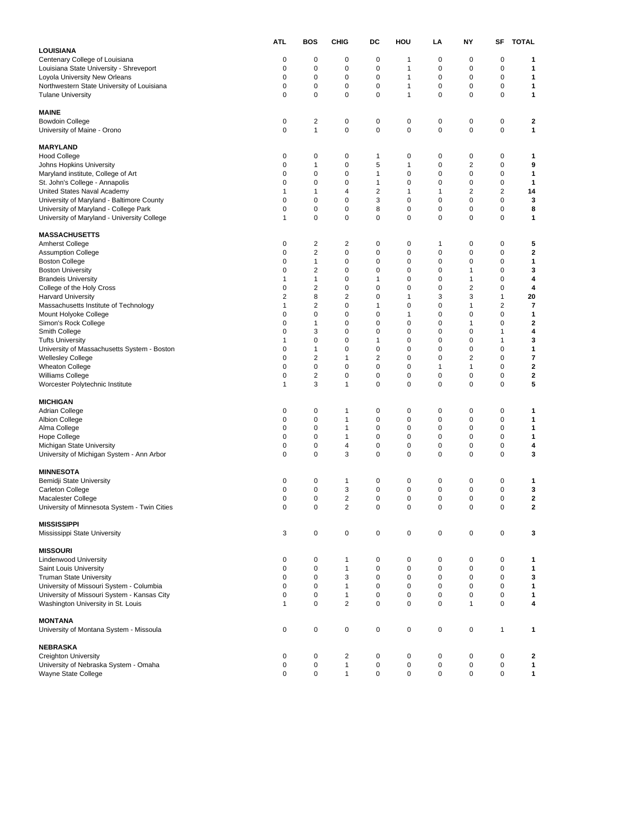|                                                                                   | <b>ATL</b>                  | <b>BOS</b>              | <b>CHIG</b>                    | DC                      | HOU                        | LA                         | NΥ                          | SF                      | <b>TOTAL</b>            |
|-----------------------------------------------------------------------------------|-----------------------------|-------------------------|--------------------------------|-------------------------|----------------------------|----------------------------|-----------------------------|-------------------------|-------------------------|
| LOUISIANA                                                                         |                             |                         |                                |                         |                            |                            |                             |                         |                         |
| Centenary College of Louisiana                                                    | 0                           | 0                       | 0                              | 0                       | 1                          | 0                          | 0                           | 0                       | 1                       |
| Louisiana State University - Shreveport                                           | $\mathbf 0$                 | 0                       | $\pmb{0}$                      | 0                       | 1                          | 0                          | 0                           | 0                       | 1                       |
| Loyola University New Orleans                                                     | $\mathbf 0$                 | 0                       | 0                              | 0                       | $\mathbf{1}$               | 0                          | 0                           | 0                       | 1                       |
| Northwestern State University of Louisiana                                        | 0                           | 0                       | 0                              | 0                       | 1                          | 0                          | 0                           | 0                       | 1                       |
| <b>Tulane University</b>                                                          | $\mathbf 0$                 | 0                       | $\mathbf 0$                    | 0                       | $\mathbf{1}$               | 0                          | 0                           | 0                       | $\mathbf{1}$            |
| MAINE                                                                             |                             |                         |                                |                         |                            |                            |                             |                         |                         |
| <b>Bowdoin College</b>                                                            | 0                           | $\overline{c}$          | 0                              | 0                       | 0                          | 0                          | $\pmb{0}$                   | 0                       | 2                       |
| University of Maine - Orono                                                       | $\mathbf 0$                 | 1                       | 0                              | 0                       | $\pmb{0}$                  | 0                          | $\mathbf 0$                 | 0                       | 1                       |
|                                                                                   |                             |                         |                                |                         |                            |                            |                             |                         |                         |
| <b>MARYLAND</b>                                                                   |                             |                         |                                |                         |                            |                            |                             |                         |                         |
| <b>Hood College</b>                                                               | 0                           | 0                       | 0                              | $\mathbf{1}$            | 0                          | 0                          | 0                           | 0                       | 1                       |
| Johns Hopkins University                                                          | $\mathbf 0$                 | 1                       | $\pmb{0}$                      | 5                       | $\mathbf{1}$               | 0                          | 2                           | 0                       | 9                       |
| Maryland institute, College of Art                                                | 0                           | 0                       | 0                              | $\mathbf{1}$            | 0                          | 0                          | 0                           | 0                       | 1                       |
| St. John's College - Annapolis                                                    | 0                           | 0                       | $\pmb{0}$                      | $\mathbf{1}$            | 0                          | 0                          | 0                           | 0                       | 1                       |
| United States Naval Academy                                                       | 1                           | 1                       | 4                              | $\overline{\mathbf{c}}$ | $\mathbf{1}$               | 1                          | 2                           | 2                       | 14                      |
| University of Maryland - Baltimore County                                         | 0                           | 0                       | 0                              | 3                       | $\mathbf 0$                | 0                          | 0                           | 0                       | 3                       |
| University of Maryland - College Park                                             | 0                           | 0                       | 0                              | 8                       | $\mathbf 0$                | 0                          | 0                           | 0                       | 8                       |
| University of Maryland - University College                                       | $\mathbf{1}$                | 0                       | 0                              | 0                       | 0                          | 0                          | 0                           | 0                       | 1                       |
|                                                                                   |                             |                         |                                |                         |                            |                            |                             |                         |                         |
| <b>MASSACHUSETTS</b><br><b>Amherst College</b>                                    | 0                           | $\overline{\mathbf{c}}$ | $\overline{c}$                 | 0                       | 0                          | 1                          | 0                           | 0                       | 5                       |
|                                                                                   | $\mathbf 0$                 | 2                       | 0                              | 0                       | $\mathbf 0$                | 0                          | 0                           | 0                       | $\mathbf{2}$            |
| <b>Assumption College</b><br><b>Boston College</b>                                | 0                           | 1                       | 0                              | 0                       | 0                          | 0                          | 0                           | 0                       | 1                       |
| <b>Boston University</b>                                                          | 0                           | 2                       | $\pmb{0}$                      | 0                       | 0                          | 0                          | 1                           | 0                       | 3                       |
| <b>Brandeis University</b>                                                        | $\mathbf 1$                 | 1                       | 0                              | $\mathbf{1}$            | 0                          | 0                          | 1                           | 0                       | 4                       |
| College of the Holy Cross                                                         | 0                           | $\overline{\mathbf{c}}$ | 0                              | 0                       | 0                          | 0                          | 2                           | 0                       | 4                       |
| <b>Harvard University</b>                                                         | $\overline{2}$              | 8                       | 2                              | 0                       | $\mathbf{1}$               | 3                          | 3                           | $\mathbf{1}$            | 20                      |
| Massachusetts Institute of Technology                                             | $\mathbf{1}$                | $\overline{\mathbf{c}}$ | 0                              | $\mathbf{1}$            | 0                          | 0                          | 1                           | $\overline{\mathbf{c}}$ | 7                       |
| Mount Holyoke College                                                             | $\mathbf 0$                 | 0                       | $\pmb{0}$                      | 0                       | 1                          | 0                          | 0                           | 0                       | $\mathbf{1}$            |
| Simon's Rock College                                                              | 0                           | 1                       | 0                              | 0                       | 0                          | 0                          | 1                           | 0                       | 2                       |
| Smith College                                                                     | 0                           | 3                       | 0                              | 0                       | 0                          | 0                          | 0                           | $\mathbf{1}$            | 4                       |
| <b>Tufts University</b>                                                           | $\mathbf{1}$                | 0                       | 0                              | 1                       | $\mathbf 0$                | 0                          | 0                           | $\mathbf{1}$            | 3                       |
| University of Massachusetts System - Boston                                       | 0                           | 1                       | 0                              | 0                       | 0                          | 0                          | 0                           | 0                       | 1                       |
| <b>Wellesley College</b>                                                          | $\mathbf 0$                 | 2                       | 1                              | $\overline{\mathbf{c}}$ | $\mathbf 0$                | 0                          | $\overline{\mathbf{c}}$     | 0                       | $\overline{\mathbf{r}}$ |
| <b>Wheaton College</b>                                                            | 0                           | 0                       | 0                              | 0                       | 0                          | 1                          | 1                           | 0                       | 2                       |
| Williams College                                                                  | 0                           | $\overline{\mathbf{c}}$ | 0                              | 0                       | 0                          | 0                          | 0                           | 0                       | $\mathbf 2$             |
| Worcester Polytechnic Institute                                                   | $\mathbf{1}$                | 3                       | 1                              | 0                       | $\mathbf 0$                | 0                          | 0                           | 0                       | 5                       |
|                                                                                   |                             |                         |                                |                         |                            |                            |                             |                         |                         |
| <b>MICHIGAN</b>                                                                   |                             |                         |                                |                         |                            |                            |                             |                         |                         |
| Adrian College                                                                    | 0                           | 0                       | 1                              | 0                       | 0                          | 0                          | 0                           | 0                       | 1                       |
| Albion College                                                                    | 0                           | 0                       | 1                              | 0                       | 0                          | 0                          | 0                           | 0                       | 1                       |
| Alma College                                                                      | 0                           | 0                       | 1                              | 0                       | $\mathbf 0$                | 0                          | 0                           | 0                       | 1                       |
| <b>Hope College</b>                                                               | 0                           | 0                       | 1                              | 0                       | 0                          | 0                          | 0                           | 0                       | 1                       |
| Michigan State University                                                         | 0                           | 0                       | 4                              | 0                       | $\mathbf 0$                | 0                          | 0                           | 0                       | 4                       |
| University of Michigan System - Ann Arbor                                         | 0                           | 0                       | 3                              | 0                       | 0                          | 0                          | $\mathbf 0$                 | 0                       | 3                       |
| <b>MINNESOTA</b>                                                                  |                             |                         |                                |                         |                            |                            |                             |                         |                         |
| Bemidji State University                                                          | 0                           | 0                       | 1                              | 0                       | 0                          | 0                          | 0                           | 0                       | 1                       |
| Carleton College                                                                  | 0                           | 0                       | 3                              | 0                       | $\mathbf 0$                | 0                          | 0                           | 0                       | 3                       |
| Macalester College                                                                | 0                           | 0                       | 2                              | 0                       | 0                          | 0                          | 0                           | 0                       | 2                       |
| University of Minnesota System - Twin Cities                                      | 0                           | 0                       | 2                              | 0                       | 0                          | $\Omega$                   | 0                           | 0                       | 2                       |
|                                                                                   |                             |                         |                                |                         |                            |                            |                             |                         |                         |
| <b>MISSISSIPPI</b>                                                                |                             |                         |                                |                         |                            |                            |                             |                         |                         |
| Mississippi State University                                                      | 3                           | 0                       | $\mathbf 0$                    | 0                       | $\mathbf 0$                | 0                          | $\mathbf 0$                 | 0                       | 3                       |
|                                                                                   |                             |                         |                                |                         |                            |                            |                             |                         |                         |
| <b>MISSOURI</b>                                                                   |                             |                         |                                |                         |                            |                            |                             |                         |                         |
| <b>Lindenwood University</b>                                                      | $\mathbf 0$                 | 0                       | 1                              | 0                       | $\pmb{0}$                  | 0                          | $\pmb{0}$                   | 0                       | 1                       |
| Saint Louis University                                                            | $\mathbf 0$                 | 0                       | $\mathbf{1}$                   | $\pmb{0}$               | $\mathbf 0$                | $\mathbf 0$                | 0                           | 0                       | $\mathbf{1}$            |
| <b>Truman State University</b>                                                    | $\mathbf 0$                 | 0                       | 3                              | 0                       | $\mathbf 0$                | $\mathbf 0$                | 0                           | 0                       | 3                       |
| University of Missouri System - Columbia                                          | $\mathbf 0$                 | 0                       | 1                              | 0                       | 0                          | 0                          | 0                           | 0                       | 1                       |
| University of Missouri System - Kansas City<br>Washington University in St. Louis | $\mathbf 0$<br>$\mathbf{1}$ | 0<br>0                  | $\mathbf{1}$<br>$\overline{2}$ | 0<br>0                  | $\mathbf 0$<br>$\mathbf 0$ | $\mathbf 0$<br>$\mathbf 0$ | $\mathbf 0$<br>$\mathbf{1}$ | 0<br>0                  | 1<br>4                  |
|                                                                                   |                             |                         |                                |                         |                            |                            |                             |                         |                         |
| <b>MONTANA</b>                                                                    |                             |                         |                                |                         |                            |                            |                             |                         |                         |
| University of Montana System - Missoula                                           | $\mathbf 0$                 | 0                       | 0                              | 0                       | $\pmb{0}$                  | 0                          | $\mathbf 0$                 | $\mathbf{1}$            | 1                       |
|                                                                                   |                             |                         |                                |                         |                            |                            |                             |                         |                         |
| <b>NEBRASKA</b>                                                                   |                             |                         |                                |                         |                            |                            |                             |                         |                         |
| Creighton University                                                              | 0                           | 0                       | $\overline{\mathbf{c}}$        | 0                       | $\pmb{0}$                  | 0                          | $\pmb{0}$                   | 0                       | 2                       |
| University of Nebraska System - Omaha                                             | $\pmb{0}$                   | 0                       | $\mathbf{1}$                   | 0                       | $\pmb{0}$                  | 0                          | $\mathbf 0$                 | 0                       | $\mathbf{1}$            |
| Wayne State College                                                               | $\mathbf 0$                 | 0                       | $\mathbf{1}$                   | 0                       | 0                          | 0                          | 0                           | 0                       | 1                       |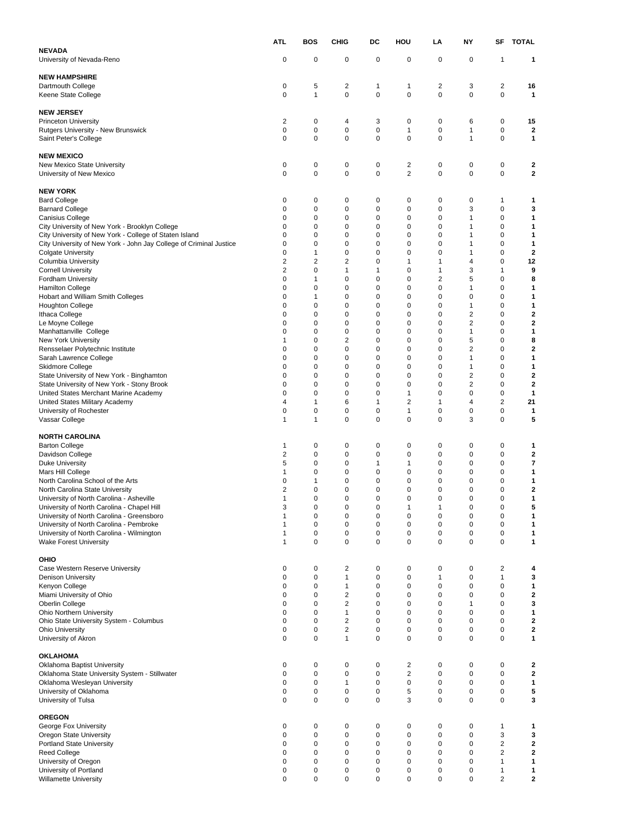|                                                                                                 | ATL               | <b>BOS</b>                  | <b>CHIG</b>             | DC                          | HOU                          | LA        | NY                  | SF                  | <b>TOTAL</b>            |
|-------------------------------------------------------------------------------------------------|-------------------|-----------------------------|-------------------------|-----------------------------|------------------------------|-----------|---------------------|---------------------|-------------------------|
| <b>NEVADA</b>                                                                                   | 0                 | 0                           | 0                       | $\mathbf 0$                 | 0                            | 0         | 0                   | 1                   | 1                       |
| University of Nevada-Reno                                                                       |                   |                             |                         |                             |                              |           |                     |                     |                         |
| <b>NEW HAMPSHIRE</b>                                                                            |                   |                             |                         |                             |                              |           |                     |                     |                         |
| Dartmouth College<br>Keene State College                                                        | 0<br>0            | 5<br>$\mathbf{1}$           | 2<br>$\mathbf 0$        | $\mathbf{1}$<br>$\mathbf 0$ | 1<br>0                       | 2<br>0    | 3<br>0              | 2<br>0              | 16<br>$\mathbf{1}$      |
|                                                                                                 |                   |                             |                         |                             |                              |           |                     |                     |                         |
| <b>NEW JERSEY</b>                                                                               |                   |                             |                         |                             |                              |           |                     |                     |                         |
| <b>Princeton University</b>                                                                     | 2                 | 0                           | 4                       | 3                           | 0                            | 0         | 6                   | 0                   | 15                      |
| Rutgers University - New Brunswick<br>Saint Peter's College                                     | 0<br>0            | 0<br>$\mathbf 0$            | 0<br>$\pmb{0}$          | $\pmb{0}$<br>$\mathbf 0$    | 1<br>0                       | 0<br>0    | 1<br>$\mathbf{1}$   | 0<br>0              | 2<br>1                  |
|                                                                                                 |                   |                             |                         |                             |                              |           |                     |                     |                         |
| <b>NEW MEXICO</b>                                                                               |                   |                             |                         |                             |                              |           |                     |                     |                         |
| New Mexico State University<br>University of New Mexico                                         | 0<br>$\mathbf 0$  | 0<br>$\pmb{0}$              | 0<br>0                  | $\pmb{0}$<br>$\mathbf 0$    | 2<br>$\overline{\mathbf{c}}$ | 0<br>0    | 0<br>0              | 0<br>0              | 2<br>$\mathbf 2$        |
|                                                                                                 |                   |                             |                         |                             |                              |           |                     |                     |                         |
| <b>NEW YORK</b>                                                                                 |                   |                             |                         |                             |                              |           |                     |                     |                         |
| <b>Bard College</b>                                                                             | 0<br>0            | 0<br>$\mathbf 0$            | 0<br>0                  | 0<br>$\mathbf 0$            | 0<br>0                       | 0<br>0    | 0<br>3              | 1<br>0              | 1<br>3                  |
| <b>Barnard College</b><br>Canisius College                                                      | 0                 | 0                           | 0                       | 0                           | 0                            | 0         | 1                   | 0                   | 1                       |
| City University of New York - Brooklyn College                                                  | 0                 | 0                           | 0                       | 0                           | 0                            | 0         | 1                   | 0                   | 1                       |
| City University of New York - College of Staten Island                                          | 0                 | 0                           | 0                       | 0                           | 0                            | 0         | 1                   | 0                   | 1                       |
| City University of New York - John Jay College of Criminal Justice<br><b>Colgate University</b> | 0<br>0            | 0<br>$\mathbf{1}$           | 0<br>0                  | 0<br>0                      | 0<br>0                       | 0<br>0    | 1<br>1              | 0<br>0              | 1<br>$\mathbf{2}$       |
| <b>Columbia University</b>                                                                      | 2                 | $\overline{2}$              | 2                       | 0                           | 1                            | 1         | 4                   | 0                   | 12                      |
| <b>Cornell University</b>                                                                       | $\overline{2}$    | $\mathbf 0$                 | 1                       | 1                           | 0                            | 1         | 3                   | 1                   | 9                       |
| <b>Fordham University</b>                                                                       | 0<br>0            | 1<br>0                      | 0<br>0                  | 0<br>0                      | 0<br>0                       | 2<br>0    | 5<br>1              | 0<br>0              | 8<br>1                  |
| <b>Hamilton College</b><br>Hobart and William Smith Colleges                                    | 0                 | $\mathbf{1}$                | 0                       | 0                           | 0                            | 0         | 0                   | 0                   | 1                       |
| Houghton College                                                                                | 0                 | 0                           | 0                       | 0                           | 0                            | 0         | 1                   | 0                   | 1                       |
| Ithaca College                                                                                  | 0                 | 0                           | 0                       | 0                           | 0                            | 0         | $\overline{2}$      | 0                   | $\mathbf 2$             |
| Le Moyne College<br>Manhattanville College                                                      | 0<br>0            | 0<br>0                      | 0<br>0                  | 0<br>0                      | 0<br>0                       | 0<br>0    | 2<br>1              | 0<br>0              | $\mathbf 2$<br>1        |
| <b>New York University</b>                                                                      | 1                 | $\mathbf 0$                 | $\overline{2}$          | 0                           | 0                            | 0         | 5                   | 0                   | 8                       |
| Rensselaer Polytechnic Institute                                                                | 0                 | 0                           | 0                       | 0                           | 0                            | 0         | 2                   | 0                   | $\mathbf 2$             |
| Sarah Lawrence College                                                                          | 0                 | $\mathbf 0$                 | 0                       | 0                           | 0                            | 0         | 1                   | 0                   | 1                       |
| Skidmore College<br>State University of New York - Binghamton                                   | 0<br>0            | 0<br>0                      | 0<br>0                  | 0<br>0                      | 0<br>0                       | 0<br>0    | 1<br>$\overline{2}$ | 0<br>$\mathbf 0$    | 1<br>$\mathbf 2$        |
| State University of New York - Stony Brook                                                      | 0                 | $\mathbf 0$                 | 0                       | 0                           | 0                            | 0         | 2                   | 0                   | $\mathbf{2}$            |
| United States Merchant Marine Academy                                                           | 0                 | 0                           | 0                       | 0                           | 1                            | 0         | 0                   | 0                   | 1                       |
| United States Military Academy                                                                  | 4<br>0            | $\mathbf{1}$<br>0           | 6<br>0                  | 1<br>0                      | 2<br>1                       | 1<br>0    | 4<br>0              | $\overline{2}$<br>0 | 21<br>1                 |
| University of Rochester<br>Vassar College                                                       | 1                 | 1                           | 0                       | 0                           | 0                            | 0         | 3                   | 0                   | 5                       |
|                                                                                                 |                   |                             |                         |                             |                              |           |                     |                     |                         |
| NORTH CAROLINA                                                                                  |                   |                             |                         |                             |                              | 0         |                     |                     |                         |
| Barton College<br>Davidson College                                                              | 1<br>2            | 0<br>0                      | 0<br>0                  | 0<br>0                      | 0<br>0                       | 0         | 0<br>0              | 0<br>0              | 1<br>2                  |
| <b>Duke University</b>                                                                          | 5                 | 0                           | 0                       | 1                           | 1                            | 0         | 0                   | 0                   | $\overline{\mathbf{r}}$ |
| Mars Hill College                                                                               | 1                 | 0                           | 0                       | 0                           | 0                            | 0         | 0                   | 0                   | 1                       |
| North Carolina School of the Arts<br>North Carolina State University                            | 0<br>2            | $\mathbf{1}$<br>$\mathbf 0$ | 0<br>0                  | 0<br>0                      | 0<br>0                       | 0<br>0    | 0<br>0              | 0<br>0              | 1<br>$\mathbf 2$        |
| University of North Carolina - Asheville                                                        | 1                 | 0                           | 0                       | 0                           | 0                            | 0         | 0                   | 0                   | 1                       |
| University of North Carolina - Chapel Hill                                                      | 3                 | $\pmb{0}$                   | 0                       | 0                           | 1                            |           | 0                   | 0                   | 5                       |
| University of North Carolina - Greensboro                                                       | 1                 | $\pmb{0}$                   | 0                       | $\mathbf 0$                 | 0<br>0                       | $\pmb{0}$ | 0                   | 0<br>0              | 1                       |
| University of North Carolina - Pembroke<br>University of North Carolina - Wilmington            | 1<br>$\mathbf{1}$ | 0<br>$\mathbf 0$            | 0<br>0                  | $\pmb{0}$<br>$\pmb{0}$      | 0                            | 0<br>0    | 0<br>0              | 0                   | 1<br>1                  |
| <b>Wake Forest University</b>                                                                   | $\mathbf{1}$      | $\mathbf 0$                 | 0                       | $\mathbf 0$                 | 0                            | 0         | 0                   | 0                   | 1                       |
|                                                                                                 |                   |                             |                         |                             |                              |           |                     |                     |                         |
| OHIO<br>Case Western Reserve University                                                         | 0                 | 0                           | 2                       | 0                           | 0                            | 0         | 0                   | 2                   | 4                       |
| <b>Denison University</b>                                                                       | 0                 | $\mathbf 0$                 | $\mathbf{1}$            | $\mathbf 0$                 | 0                            | 1         | 0                   | $\mathbf{1}$        | 3                       |
| Kenyon College                                                                                  | 0                 | 0                           | 1                       | $\mathbf 0$                 | 0                            | 0         | 0                   | 0                   | 1                       |
| Miami University of Ohio<br>Oberlin College                                                     | 0<br>0            | $\mathbf 0$<br>$\mathbf 0$  | 2<br>2                  | $\mathbf 0$<br>$\mathbf 0$  | 0<br>0                       | 0<br>0    | 0<br>1              | 0<br>0              | 2<br>3                  |
| Ohio Northern University                                                                        | 0                 | 0                           | 1                       | 0                           | 0                            | 0         | 0                   | 0                   | 1                       |
| Ohio State University System - Columbus                                                         | 0                 | $\mathbf 0$                 | 2                       | $\mathbf 0$                 | 0                            | 0         | 0                   | 0                   | $\mathbf{2}$            |
| <b>Ohio University</b>                                                                          | 0                 | $\mathbf 0$                 | $\overline{\mathbf{c}}$ | $\mathbf 0$                 | 0                            | 0         | 0                   | 0                   | 2                       |
| University of Akron                                                                             | 0                 | $\mathbf 0$                 | 1                       | $\mathbf 0$                 | 0                            | 0         | 0                   | 0                   | 1                       |
| OKLAHOMA                                                                                        |                   |                             |                         |                             |                              |           |                     |                     |                         |
| Oklahoma Baptist University                                                                     | 0                 | $\pmb{0}$                   | 0                       | $\pmb{0}$                   | 2                            | 0         | 0                   | 0                   | 2                       |
| Oklahoma State University System - Stillwater                                                   | 0<br>0            | 0<br>$\mathbf 0$            | 0<br>1                  | $\mathbf 0$<br>$\mathbf 0$  | 2<br>0                       | 0<br>0    | 0<br>0              | 0<br>0              | 2<br>1                  |
| Oklahoma Wesleyan University<br>University of Oklahoma                                          | 0                 | $\mathbf 0$                 | 0                       | $\mathbf 0$                 | 5                            | 0         | 0                   | 0                   | 5                       |
| University of Tulsa                                                                             | 0                 | $\mathbf 0$                 | 0                       | 0                           | 3                            | 0         | 0                   | 0                   | 3                       |
|                                                                                                 |                   |                             |                         |                             |                              |           |                     |                     |                         |
| <b>OREGON</b><br>George Fox University                                                          | 0                 | $\pmb{0}$                   | 0                       | $\pmb{0}$                   | 0                            | 0         | 0                   | 1                   | 1                       |
| Oregon State University                                                                         | 0                 | $\mathbf 0$                 | 0                       | $\mathbf 0$                 | 0                            | 0         | 0                   | 3                   | 3                       |
| <b>Portland State University</b>                                                                | 0                 | 0                           | 0                       | 0                           | 0                            | 0         | 0                   | 2                   | 2                       |
| Reed College                                                                                    | 0<br>0            | $\mathbf 0$<br>0            | 0<br>0                  | $\mathbf 0$<br>0            | 0<br>0                       | 0<br>0    | 0<br>0              | 2<br>1              | $\mathbf{2}$<br>1       |
| University of Oregon<br>University of Portland                                                  | 0                 | $\pmb{0}$                   | 0                       | $\pmb{0}$                   | 0                            | 0         | 0                   | 1                   | 1                       |
| <b>Willamette University</b>                                                                    | 0                 | $\mathbf 0$                 | 0                       | 0                           | 0                            | 0         | 0                   | 2                   | $\mathbf{2}$            |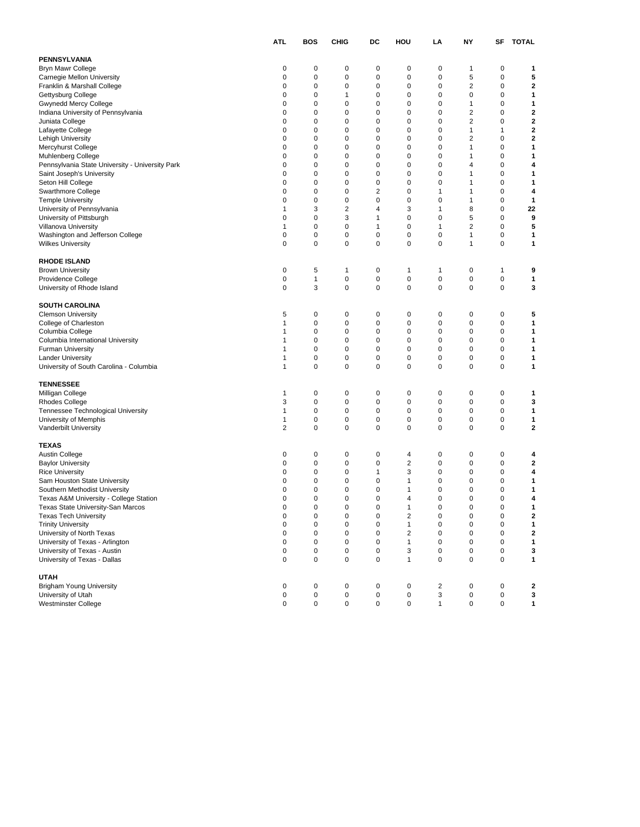|                                                 | <b>ATL</b>     | <b>BOS</b> | CHIG        | DC        | HOU                     | LA           | NY                      | SF | <b>TOTAL</b> |
|-------------------------------------------------|----------------|------------|-------------|-----------|-------------------------|--------------|-------------------------|----|--------------|
| <b>PENNSYLVANIA</b>                             |                |            |             |           |                         |              |                         |    |              |
| <b>Bryn Mawr College</b>                        | 0              | 0          | 0           | 0         | 0                       | 0            | 1                       | 0  | 1            |
| Carnegie Mellon University                      | 0              | 0          | $\mathbf 0$ | 0         | 0                       | 0            | 5                       | 0  | 5            |
| Franklin & Marshall College                     | 0              | 0          | 0           | 0         | 0                       | 0            | $\overline{\mathbf{c}}$ | 0  | $\mathbf{2}$ |
| Gettysburg College                              | 0              | 0          | 1           | 0         | 0                       | 0            | 0                       | 0  | 1            |
| Gwynedd Mercy College                           | 0              | 0          | 0           | 0         | 0                       | 0            | 1                       | 0  | 1            |
| Indiana University of Pennsylvania              | 0              | 0          | 0           | 0         | 0                       | 0            | $\overline{\mathbf{c}}$ | 0  | 2            |
| Juniata College                                 | 0              | 0          | 0           | 0         | 0                       | 0            | $\overline{\mathbf{c}}$ | 0  | $\mathbf{2}$ |
| Lafayette College                               | 0              | 0          | 0           | 0         | 0                       | 0            | 1                       | 1  | 2            |
| Lehigh University                               | 0              | 0          | 0           | 0         | 0                       | 0            | $\overline{\mathbf{c}}$ | 0  | $\mathbf{2}$ |
| Mercyhurst College                              | 0              | 0          | 0           | 0         | 0                       | 0            | 1                       | 0  | $\mathbf{1}$ |
| <b>Muhlenberg College</b>                       | 0              | 0          | 0           | 0         | 0                       | 0            | 1                       | 0  | 1            |
| Pennsylvania State University - University Park | 0              | 0          | 0           | 0         | 0                       | 0            | 4                       | 0  | 4            |
| Saint Joseph's University                       | $\mathbf 0$    | 0          | 0           | 0         | 0                       | 0            | 1                       | 0  | 1            |
| Seton Hill College                              | 0              | 0          | $\mathbf 0$ | 0         | 0                       | 0            | 1                       | 0  | 1            |
| Swarthmore College                              | 0              | 0          | $\mathbf 0$ | 2         | 0                       | 1            | 1                       | 0  | 4            |
| <b>Temple University</b>                        | 0              | 0          | 0           | 0         | 0                       | 0            | 1                       | 0  | 1            |
| University of Pennsylvania                      | 1              | 3          | 2           | 4         | 3                       | 1            | 8                       | 0  | 22           |
| University of Pittsburgh                        | 0              | 0          | 3           | 1         | 0                       | 0            | 5                       | 0  | 9            |
| Villanova University                            | $\mathbf 1$    | 0          | 0           | 1         | 0                       | 1            | $\overline{\mathbf{c}}$ | 0  | 5            |
| Washington and Jefferson College                | 0              | 0          | 0           | 0         | 0                       | 0            | 1                       | 0  | 1            |
| <b>Wilkes University</b>                        | 0              | 0          | 0           | 0         | 0                       | 0            | 1                       | 0  | 1            |
|                                                 |                |            |             |           |                         |              |                         |    |              |
| <b>RHODE ISLAND</b>                             |                |            |             |           |                         |              |                         |    |              |
| <b>Brown University</b>                         | 0              | 5          | 1           | 0         | 1                       | 1            | 0                       | 1  | 9            |
| Providence College                              | 0              | 1          | $\mathbf 0$ | 0         | 0                       | 0            | 0                       | 0  | 1            |
| University of Rhode Island                      | 0              | 3          | 0           | 0         | 0                       | 0            | 0                       | 0  | 3            |
| <b>SOUTH CAROLINA</b>                           |                |            |             |           |                         |              |                         |    |              |
| <b>Clemson University</b>                       | 5              | 0          | 0           | 0         | 0                       | 0            | 0                       | 0  | 5            |
| College of Charleston                           | $\mathbf{1}$   | 0          | 0           | 0         | 0                       | $\mathbf 0$  | 0                       | 0  | 1            |
| Columbia College                                | 1              | 0          | 0           | 0         | 0                       | 0            | 0                       | 0  | 1            |
| Columbia International University               | 1              | 0          | 0           | 0         | 0                       | 0            | 0                       | 0  | 1            |
| <b>Furman University</b>                        | 1              | 0          | 0           | 0         | 0                       | 0            | 0                       | 0  | 1            |
| <b>Lander University</b>                        | $\mathbf 1$    | 0          | 0           | 0         | 0                       | 0            | 0                       | 0  | 1            |
| University of South Carolina - Columbia         | $\mathbf{1}$   | 0          | 0           | 0         | 0                       | 0            | 0                       | 0  | 1            |
| <b>TENNESSEE</b>                                |                |            |             |           |                         |              |                         |    |              |
| Milligan College                                | 1              | 0          | 0           | 0         | 0                       | 0            | $\mathbf 0$             | 0  | 1            |
| <b>Rhodes College</b>                           | 3              | 0          | 0           | 0         | 0                       | 0            | 0                       | 0  | 3            |
| Tennessee Technological University              | $\mathbf 1$    | 0          | 0           | 0         | 0                       | 0            | 0                       | 0  | 1            |
| University of Memphis                           | $\mathbf{1}$   | 0          | 0           | 0         | 0                       | 0            | 0                       | 0  | 1            |
| Vanderbilt University                           | $\overline{2}$ | 0          | 0           | 0         | 0                       | 0            | $\mathbf 0$             | 0  | $\mathbf 2$  |
|                                                 |                |            |             |           |                         |              |                         |    |              |
| <b>TEXAS</b>                                    |                |            |             |           |                         |              |                         |    |              |
| <b>Austin College</b>                           | 0              | 0          | 0           | 0         | 4                       | 0            | $\mathbf 0$             | 0  | 4            |
| <b>Baylor University</b>                        | 0              | 0          | 0           | 0         | $\overline{\mathbf{c}}$ | 0            | 0                       | 0  | 2            |
| <b>Rice University</b>                          | 0              | 0          | 0           | 1         | 3                       | 0            | 0                       | 0  | 4            |
| Sam Houston State University                    | 0              | 0          | 0           | 0         | 1                       | 0            | 0                       | 0  | 1            |
| Southern Methodist University                   | 0              | 0          | 0           | 0         | 1                       | 0            | 0                       | 0  | 1            |
| Texas A&M University - College Station          | 0              | 0          | 0           | 0         | $\overline{4}$          | 0            | 0                       | 0  | 4            |
| Texas State University-San Marcos               | 0              | 0          | 0           | 0         | 1                       |              | 0                       | 0  |              |
| <b>Texas Tech University</b>                    | $\pmb{0}$      | 0          | $\pmb{0}$   | $\pmb{0}$ | $\overline{\mathbf{c}}$ | 0            | $\pmb{0}$               | 0  | $\mathbf{2}$ |
| <b>Trinity University</b>                       | $\mathbf 0$    | 0          | $\pmb{0}$   | 0         | $\mathbf{1}$            | $\mathbf 0$  | $\mathbf 0$             | 0  | 1            |
| University of North Texas                       | 0              | 0          | $\pmb{0}$   | 0         | $\overline{\mathbf{c}}$ | $\mathbf 0$  | $\mathbf 0$             | 0  | $\mathbf{2}$ |
| University of Texas - Arlington                 | $\mathbf 0$    | 0          | $\pmb{0}$   | 0         | $\mathbf{1}$            | 0            | $\mathbf 0$             | 0  | 1            |
| University of Texas - Austin                    | 0              | 0          | 0           | 0         | 3                       | 0            | 0                       | 0  | 3            |
| University of Texas - Dallas                    | $\mathbf 0$    | 0          | $\pmb{0}$   | $\pmb{0}$ | $\mathbf{1}$            | $\mathbf 0$  | $\mathbf 0$             | 0  | 1            |
| <b>UTAH</b>                                     |                |            |             |           |                         |              |                         |    |              |
| <b>Brigham Young University</b>                 | 0              | 0          | 0           | 0         | 0                       | 2            | $\pmb{0}$               | 0  | 2            |
| University of Utah                              | $\mathbf 0$    | 0          | $\pmb{0}$   | 0         | $\pmb{0}$               | 3            | $\pmb{0}$               | 0  | 3            |
| Westminster College                             | $\mathbf 0$    | 0          | 0           | 0         | 0                       | $\mathbf{1}$ | $\mathbf 0$             | 0  | 1            |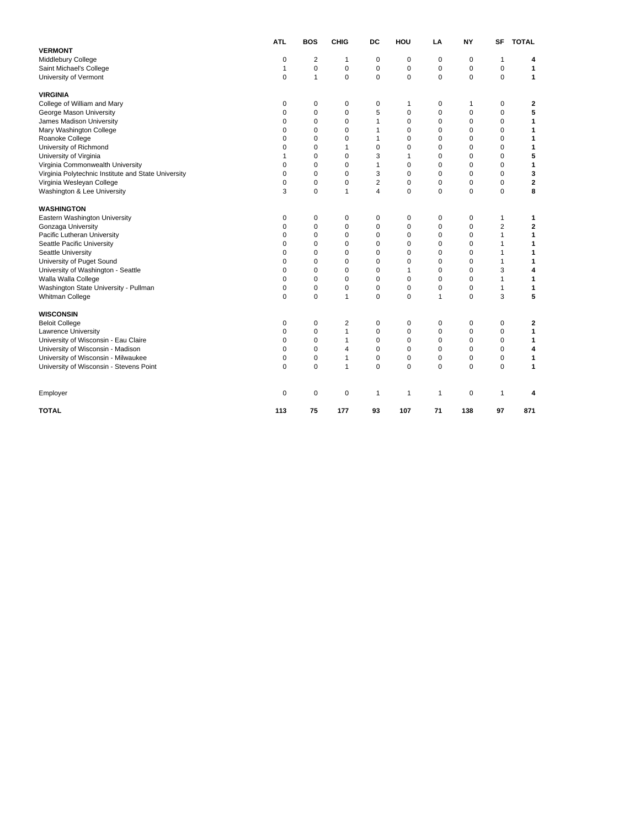|                                                     | <b>ATL</b>  | <b>BOS</b>              | <b>CHIG</b> | DC             | HOU         | LA           | <b>NY</b>   | SF             | <b>TOTAL</b> |
|-----------------------------------------------------|-------------|-------------------------|-------------|----------------|-------------|--------------|-------------|----------------|--------------|
| <b>VERMONT</b>                                      |             |                         |             |                |             |              |             |                |              |
| Middlebury College                                  | 0           | $\overline{\mathbf{c}}$ | 1           | $\mathbf 0$    | $\mathbf 0$ | 0            | $\mathbf 0$ | 1              | 4            |
| Saint Michael's College                             | 1           | $\mathbf 0$             | 0           | $\pmb{0}$      | $\mathbf 0$ | 0            | 0           | $\mathbf 0$    | 1            |
| University of Vermont                               | 0           | 1                       | 0           | $\mathbf 0$    | $\mathbf 0$ | 0            | $\mathbf 0$ | $\mathbf 0$    | 1            |
| <b>VIRGINIA</b>                                     |             |                         |             |                |             |              |             |                |              |
| College of William and Mary                         | 0           | 0                       | 0           | $\mathbf 0$    | 1           | 0            | 1           | 0              | 2            |
| George Mason University                             | $\mathbf 0$ | 0                       | 0           | 5              | 0           | $\pmb{0}$    | 0           | $\mathbf 0$    | 5            |
| James Madison University                            | 0           | $\mathbf 0$             | 0           | $\mathbf{1}$   | $\mathbf 0$ | 0            | 0           | $\mathbf 0$    | 1            |
| Mary Washington College                             | 0           | $\mathbf 0$             | 0           | $\mathbf{1}$   | 0           | 0            | $\mathbf 0$ | $\mathbf 0$    | 1            |
| Roanoke College                                     | 0           | 0                       | 0           | $\mathbf{1}$   | 0           | 0            | 0           | $\mathbf 0$    | 1            |
| University of Richmond                              | 0           | $\mathbf 0$             | 1           | 0              | 0           | 0            | 0           | $\pmb{0}$      | 1            |
| University of Virginia                              | 1           | $\mathbf 0$             | 0           | 3              | 1           | 0            | $\mathbf 0$ | $\mathbf 0$    | 5            |
| Virginia Commonwealth University                    | 0           | $\mathbf 0$             | 0           | $\mathbf{1}$   | 0           | 0            | $\mathbf 0$ | $\mathbf 0$    | 1            |
| Virginia Polytechnic Institute and State University | 0           | 0                       | 0           | 3              | $\mathbf 0$ | 0            | 0           | $\mathbf 0$    | 3            |
| Virginia Wesleyan College                           | 0           | 0                       | 0           | $\overline{2}$ | 0           | 0            | 0           | $\pmb{0}$      | $\mathbf 2$  |
| Washington & Lee University                         | 3           | $\mathbf 0$             | 1           | $\overline{4}$ | 0           | 0            | $\mathbf 0$ | $\mathbf 0$    | 8            |
| <b>WASHINGTON</b>                                   |             |                         |             |                |             |              |             |                |              |
| Eastern Washington University                       | 0           | 0                       | 0           | 0              | 0           | 0            | $\mathbf 0$ | 1              | 1            |
| Gonzaga University                                  | $\Omega$    | $\mathbf 0$             | 0           | $\mathbf 0$    | $\mathbf 0$ | 0            | 0           | $\overline{2}$ | $\mathbf{2}$ |
| Pacific Lutheran University                         | $\Omega$    | $\mathbf 0$             | 0           | 0              | 0           | 0            | $\mathbf 0$ | $\mathbf{1}$   | 1            |
| Seattle Pacific University                          | $\Omega$    | 0                       | 0           | 0              | 0           | 0            | 0           | $\mathbf{1}$   | 1            |
| Seattle University                                  | 0           | $\mathbf 0$             | 0           | 0              | 0           | 0            | 0           | $\mathbf{1}$   | 1            |
| University of Puget Sound                           | 0           | 0                       | 0           | 0              | 0           | 0            | 0           | 1              | 1            |
| University of Washington - Seattle                  | $\Omega$    | $\Omega$                | 0           | $\mathbf 0$    | 1           | $\Omega$     | $\Omega$    | 3              | 4            |
| Walla Walla College                                 | 0           | 0                       | 0           | 0              | 0           | $\mathbf 0$  | 0           | $\mathbf{1}$   | 1            |
| Washington State University - Pullman               | 0           | $\mathbf 0$             | 0           | 0              | 0           | 0            | 0           | $\mathbf{1}$   | 1            |
| Whitman College                                     | 0           | $\mathbf 0$             | 1           | 0              | $\mathbf 0$ | 1            | $\mathbf 0$ | 3              | 5            |
| <b>WISCONSIN</b>                                    |             |                         |             |                |             |              |             |                |              |
| <b>Beloit College</b>                               | 0           | 0                       | 2           | 0              | 0           | 0            | 0           | 0              | 2            |
| Lawrence University                                 | 0           | $\mathbf 0$             | 1           | $\mathbf 0$    | $\mathbf 0$ | 0            | $\mathbf 0$ | $\mathbf 0$    | 1            |
| University of Wisconsin - Eau Claire                | 0           | 0                       | 1           | 0              | 0           | 0            | 0           | $\mathbf 0$    | 1            |
| University of Wisconsin - Madison                   | 0           | $\mathbf 0$             | 4           | $\mathbf 0$    | $\mathbf 0$ | 0            | $\mathbf 0$ | $\mathbf 0$    | 4            |
| University of Wisconsin - Milwaukee                 | 0           | 0                       | 1           | $\mathbf 0$    | $\mathbf 0$ | 0            | 0           | $\pmb{0}$      | 1            |
| University of Wisconsin - Stevens Point             | 0           | $\mathbf 0$             | 1           | 0              | $\Omega$    | 0            | $\mathbf 0$ | $\mathbf 0$    | $\mathbf{1}$ |
| Employer                                            | 0           | 0                       | 0           | $\mathbf{1}$   | 1           | $\mathbf{1}$ | $\mathbf 0$ | $\mathbf{1}$   | 4            |
| <b>TOTAL</b>                                        | 113         | 75                      | 177         | 93             | 107         | 71           | 138         | 97             | 871          |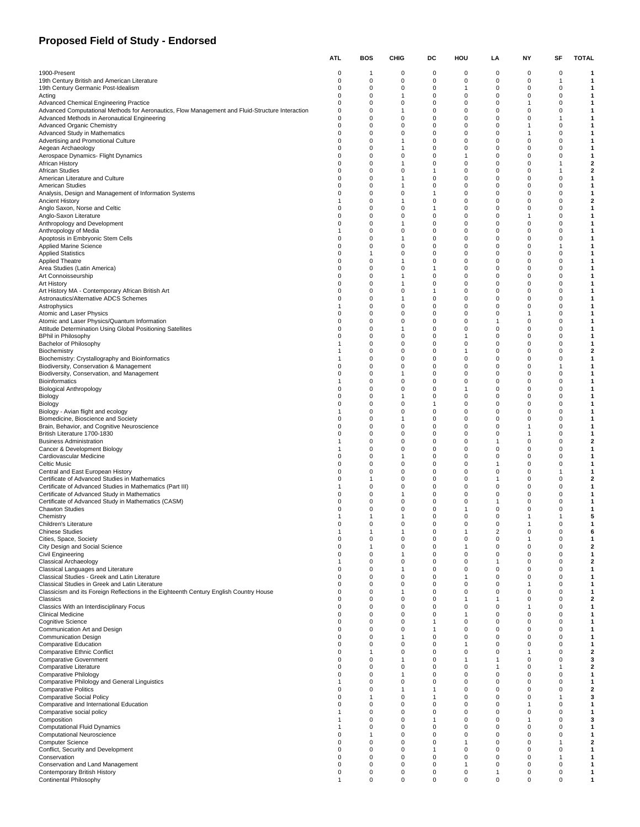## **Proposed Field of Study - Endorsed**

|                                                                                                                                           | ATL.                 | BOS      | CHIG                | DC                          | HOU                         | LA                   | ΝY     | SF                             | TOTAL                        |
|-------------------------------------------------------------------------------------------------------------------------------------------|----------------------|----------|---------------------|-----------------------------|-----------------------------|----------------------|--------|--------------------------------|------------------------------|
| 1900-Present                                                                                                                              | 0                    | 1        | $\mathbf 0$         | 0                           | 0                           | 0                    | 0      | 0                              | -1                           |
| 19th Century British and American Literature                                                                                              | $\Omega$             | 0        | 0                   | $\mathbf 0$                 | $\mathbf 0$                 | 0                    | 0      | $\overline{1}$                 | 1                            |
| 19th Century Germanic Post-Idealism                                                                                                       | $\Omega$             | 0        | 0                   | 0                           | 1                           | 0                    | 0      | $\mathbf 0$                    | 1                            |
| Acting<br><b>Advanced Chemical Engineering Practice</b>                                                                                   | 0<br>0               | 0<br>0   | 1<br>0              | 0<br>0                      | 0<br>0                      | 0<br>0               | 0<br>1 | 0<br>$\mathbf 0$               | 1<br>1                       |
| Advanced Computational Methods for Aeronautics, Flow Management and Fluid-Structure Interaction                                           | 0                    | 0        | $\overline{1}$      | 0                           | 0                           | 0                    | 0      | 0                              | 1                            |
| Advanced Methods in Aeronautical Engineering                                                                                              | $\Omega$             | 0        | $\mathbf 0$         | $\mathbf 0$                 | $\mathbf 0$                 | 0                    | 0      | $\mathbf{1}$                   | 1                            |
| <b>Advanced Organic Chemistry</b>                                                                                                         | $\Omega$             | 0        | 0                   | 0                           | 0                           | 0<br>$\Omega$        | 1      | 0                              | 1                            |
| Advanced Study in Mathematics<br>Advertising and Promotional Culture                                                                      | 0<br>0               | 0<br>0   | 0<br>$\mathbf{1}$   | 0<br>0                      | 0<br>$\mathbf 0$            | 0                    | 1<br>0 | 0<br>$\mathbf 0$               | 1<br>1                       |
| Aegean Archaeology                                                                                                                        | 0                    | 0        | $\overline{1}$      | 0                           | 0                           | 0                    | 0      | 0                              | 1                            |
| Aerospace Dynamics- Flight Dynamics                                                                                                       | $\Omega$             | 0        | $\mathbf 0$         | $\mathbf 0$                 | $\mathbf{1}$                | 0                    | 0      | $\mathbf 0$                    | 1                            |
| African History<br>African Studies                                                                                                        | $\Omega$<br>$\Omega$ | 0<br>0   | $\mathbf{1}$<br>0   | 0<br>$\mathbf{1}$           | 0<br>0                      | 0<br>$\Omega$        | 0<br>0 | $\overline{1}$<br>$\mathbf{1}$ | $\overline{\mathbf{2}}$<br>2 |
| American Literature and Culture                                                                                                           | 0                    | 0        | $\mathbf{1}$        | $\mathsf 0$                 | $\mathbf 0$                 | 0                    | 0      | $\mathbf 0$                    | 1                            |
| American Studies                                                                                                                          | 0                    | 0        | $\overline{1}$      | 0                           | 0                           | 0                    | 0      | 0                              | $\mathbf{1}$                 |
| Analysis, Design and Management of Information Systems                                                                                    | $\Omega$             | 0        | $\mathbf 0$         | $\mathbf{1}$                | $\mathbf 0$                 | 0                    | 0      | $\mathbf 0$                    | 1                            |
| <b>Ancient History</b><br>Anglo Saxon, Norse and Celtic                                                                                   | $\Omega$             | 0<br>0   | $\mathbf{1}$<br>0   | 0<br>$\mathbf{1}$           | 0<br>0                      | 0<br>0               | 0<br>0 | 0<br>0                         | $\overline{\mathbf{2}}$<br>1 |
| Anglo-Saxon Literature                                                                                                                    | 0                    | 0        | 0                   | $\mathsf 0$                 | 0                           | 0                    | 1      | $\mathbf 0$                    | 1                            |
| Anthropology and Development                                                                                                              | 0                    | 0        | $\mathbf{1}$        | 0                           | 0                           | 0                    | 0      | 0                              | $\mathbf{1}$                 |
| Anthropology of Media                                                                                                                     | -1                   | 0        | $\mathbf 0$         | $\mathbf 0$                 | $\mathbf 0$                 | 0                    | 0      | $\mathbf 0$                    | 1                            |
| Apoptosis in Embryonic Stem Cells                                                                                                         | $\Omega$<br>$\Omega$ | 0        | $\mathbf{1}$        | 0                           | 0                           | 0<br>$\Omega$        | 0      | 0<br>$\mathbf{1}$              | 1                            |
| Applied Marine Science<br><b>Applied Statistics</b>                                                                                       | 0                    | 0<br>1   | 0<br>0              | 0<br>0                      | 0<br>$\mathbf 0$            | 0                    | 0<br>0 | $\mathbf 0$                    | 1<br>1                       |
| <b>Applied Theatre</b>                                                                                                                    | 0                    | 0        | $\mathbf{1}$        | 0                           | 0                           | 0                    | 0      | 0                              | $\mathbf{1}$                 |
| Area Studies (Latin America)                                                                                                              | $\Omega$             | 0        | $\mathbf 0$         | $\mathbf{1}$                | $\mathbf 0$                 | 0                    | 0      | $\mathbf 0$                    | 1                            |
| Art Connoisseurship                                                                                                                       | $\Omega$<br>$\Omega$ | 0        | $\mathbf{1}$<br>1   | 0<br>$\mathbf 0$            | 0                           | 0<br>$\Omega$        | 0      | 0                              | 1                            |
| Art History<br>Art History MA - Contemporary African British Art                                                                          | 0                    | 0<br>0   | 0                   | $\mathbf{1}$                | 0<br>0                      | 0                    | 0<br>0 | 0<br>$\mathbf 0$               | 1<br>1                       |
| Astronautics/Alternative ADCS Schemes                                                                                                     | 0                    | 0        | $\overline{1}$      | 0                           | 0                           | 0                    | 0      | 0                              | $\mathbf{1}$                 |
| Astrophysics                                                                                                                              | -1                   | 0        | $\mathbf 0$         | $\mathbf 0$                 | $\mathbf 0$                 | 0                    | 0      | $\mathbf 0$                    | 1                            |
| Atomic and Laser Physics                                                                                                                  | $\Omega$             | 0        | 0                   | 0                           | 0                           | 0                    | 1      | 0                              | 1                            |
| Atomic and Laser Physics/Quantum Information<br>Attitude Determination Using Global Positioning Satellites                                | $\Omega$<br>$\Omega$ | 0<br>0   | 0<br>$\mathbf{1}$   | 0<br>0                      | 0<br>0                      | 1<br>0               | 0<br>0 | 0<br>$\mathbf 0$               | 1<br>1                       |
| <b>BPhil in Philosophy</b>                                                                                                                | 0                    | 0        | 0                   | 0                           | $\mathbf{1}$                | 0                    | 0      | 0                              | $\mathbf{1}$                 |
| Bachelor of Philosophy                                                                                                                    |                      | 0        | $\mathbf 0$         | $\mathbf 0$                 | $\mathbf 0$                 | $\Omega$             | 0      | $\mathbf 0$                    | 1                            |
| Biochemistry                                                                                                                              |                      | 0        | 0                   | 0                           | 1                           | 0                    | 0      | 0                              | $\overline{\mathbf{2}}$      |
| Biochemistry: Crystallography and Bioinformatics<br>Biodiversity, Conservation & Management                                               | $\Omega$             | 0<br>0   | 0<br>0              | 0<br>0                      | 0<br>0                      | $\Omega$<br>0        | 0<br>0 | 0<br>$\overline{1}$            | 1<br>1                       |
| Biodiversity, Conservation, and Management                                                                                                | 0                    | 0        | $\mathbf{1}$        | 0                           | 0                           | 0                    | 0      | 0                              | $\mathbf{1}$                 |
| <b>Bioinformatics</b>                                                                                                                     | -1                   | 0        | $\mathbf 0$         | $\mathbf 0$                 | $\mathbf 0$                 | $\Omega$             | 0      | $\mathbf 0$                    | 1                            |
| <b>Biological Anthropology</b>                                                                                                            | $\Omega$             | 0        | 0                   | 0                           | 1                           | 0                    | 0      | 0                              | 1                            |
| Biology<br>Biology                                                                                                                        | $\Omega$<br>$\Omega$ | 0<br>0   | 1<br>0              | $\mathbf 0$<br>$\mathbf{1}$ | 0<br>0                      | $\Omega$<br>0        | 0<br>0 | 0<br>$\mathbf 0$               | 1<br>1                       |
| Biology - Avian flight and ecology                                                                                                        | -1                   | 0        | 0                   | 0                           | 0                           | 0                    | 0      | 0                              | 1                            |
| Biomedicine, Bioscience and Society                                                                                                       | $\Omega$             | 0        | $\mathbf{1}$        | $\mathbf 0$                 | $\mathbf 0$                 | $\Omega$             | 0      | $\mathbf 0$                    | 1                            |
| Brain, Behavior, and Cognitive Neuroscience                                                                                               | $\Omega$             | 0        | 0                   | 0                           | 0                           | 0                    | 1      | 0                              | 1                            |
| British Literature 1700-1830                                                                                                              | $\Omega$             | 0<br>0   | 0<br>0              | 0<br>0                      | 0<br>$\mathbf 0$            | $\Omega$<br>1        | 1<br>0 | 0<br>$\mathbf 0$               | 1<br>2                       |
| <b>Business Administration</b><br>Cancer & Development Biology                                                                            | -1                   | 0        | 0                   | 0                           | 0                           | 0                    | 0      | 0                              | $\mathbf{1}$                 |
| Cardiovascular Medicine                                                                                                                   | $\Omega$             | 0        | $\mathbf{1}$        | $\mathbf 0$                 | $\mathbf 0$                 | 0                    | 0      | $\mathbf 0$                    | 1                            |
| Celtic Music                                                                                                                              | $\Omega$             | 0        | $\mathbf 0$         | 0                           | 0                           | 1                    | 0      | 0                              | 1                            |
| Central and East European History<br>Certificate of Advanced Studies in Mathematics                                                       | $\Omega$<br>$\Omega$ | 0        | 0<br>0              | 0<br>0                      | 0<br>$\mathbf 0$            | 0<br>1               | 0<br>0 | $\mathbf{1}$<br>$\mathbf 0$    | 1<br>2                       |
| Certificate of Advanced Studies in Mathematics (Part III)                                                                                 |                      | 1<br>0   | 0                   | 0                           | 0                           | 0                    | 0      | 0                              | 1                            |
| Certificate of Advanced Study in Mathematics                                                                                              | O                    | 0        | $\mathbf{1}$        | $\mathbf 0$                 | $\mathbf 0$                 | $\Omega$             | 0      | 0                              | 1                            |
| Certificate of Advanced Study in Mathematics (CASM)                                                                                       | $\Omega$             | 0        | 0                   | 0                           | 0                           | 1                    | 0      | 0                              | 1                            |
| Chawton Studies<br>Chemistry                                                                                                              |                      | 0<br>1   | 0<br>$\overline{1}$ | 0<br>$\mathbf 0$            | 1<br>$\mathbf 0$            | 0<br>0               | 0<br>1 | 0<br>$\mathbf{1}$              | 1<br>5                       |
| Children's Literature                                                                                                                     |                      | $\Omega$ | $\Omega$            | $\Omega$                    | $\Omega$                    | $\Omega$             | 1      | $\Omega$                       |                              |
| <b>Chinese Studies</b>                                                                                                                    |                      | 1        | 1                   | $\mathbf 0$                 | $\mathbf{1}$                | 2                    | 0      | $\mathbf 0$                    | 6                            |
| Cities, Space, Society                                                                                                                    | $\Omega$             | 0        | 0                   | 0                           | 0                           | 0                    | 1      | 0                              | $\mathbf{1}$                 |
| City Design and Social Science                                                                                                            | 0<br>0               | 1<br>0   | 0<br>$\mathbf{1}$   | $\mathbf 0$<br>0            | $\mathbf{1}$<br>$\mathbf 0$ | 0<br>$\Omega$        | 0<br>0 | 0<br>$\mathbf 0$               | 2<br>$\mathbf{1}$            |
| Civil Engineering<br>Classical Archaeology                                                                                                | -1                   | 0        | 0                   | 0                           | $\mathbf 0$                 | -1                   | 0      | 0                              | $\mathbf{2}$                 |
| Classical Languages and Literature                                                                                                        | $\Omega$             | 0        | $\mathbf{1}$        | $\mathbf 0$                 | $\mathbf 0$                 | $\Omega$             | 0      | $\mathbf 0$                    | $\mathbf{1}$                 |
| Classical Studies - Greek and Latin Literature                                                                                            | $\Omega$             | 0        | 0                   | $\mathbf 0$                 | $\mathbf{1}$                | $\Omega$             | 0      | $\mathbf 0$                    | $\mathbf{1}$                 |
| Classical Studies in Greek and Latin Literature<br>Classicism and its Foreign Reflections in the Eighteenth Century English Country House | 0<br>$\Omega$        | 0<br>0   | 0<br>$\mathbf{1}$   | $\mathbf 0$<br>0            | $\mathbf 0$<br>$\mathbf 0$  | $\Omega$<br>$\Omega$ | 1<br>0 | 0<br>$\mathbf 0$               | 1<br>$\mathbf{1}$            |
| Classics                                                                                                                                  | 0                    | 0        | 0                   | 0                           | $\mathbf{1}$                | -1                   | 0      | 0                              | 2                            |
| Classics With an Interdisciplinary Focus                                                                                                  | $\Omega$             | 0        | 0                   | $\mathbf 0$                 | $\mathbf 0$                 | $\Omega$             | 1      | $\mathbf 0$                    | $\mathbf{1}$                 |
| <b>Clinical Medicine</b>                                                                                                                  | 0                    | 0        | 0                   | $\mathbf 0$                 | $\mathbf{1}$                | $\Omega$             | 0      | $\mathbf 0$                    | $\mathbf{1}$                 |
| <b>Cognitive Science</b><br>Communication Art and Design                                                                                  | 0                    | 0<br>0   | 0<br>0              | 1                           | $\Omega$<br>$\mathbf 0$     | $\Omega$<br>$\Omega$ | 0      | 0<br>$\mathbf 0$               | 1                            |
| <b>Communication Design</b>                                                                                                               | 0<br>0               | 0        | 1                   | -1<br>0                     | 0                           | 0                    | 0<br>0 | 0                              | 1<br>$\mathbf{1}$            |
| <b>Comparative Education</b>                                                                                                              | 0                    | 0        | $\mathbf 0$         | $\mathbf 0$                 | $\mathbf{1}$                | $\Omega$             | 0      | $\mathbf 0$                    | $\mathbf{1}$                 |
| <b>Comparative Ethnic Conflict</b>                                                                                                        | 0                    | 1        | 0                   | $\mathbf 0$                 | 0                           | $\Omega$             | 1      | $\mathbf 0$                    | $\overline{\mathbf{2}}$      |
| <b>Comparative Government</b>                                                                                                             | 0                    | 0        | 1                   | $\mathbf 0$                 | $\mathbf{1}$                |                      | 0      | 0                              | 3                            |
| Comparative Literature<br><b>Comparative Philology</b>                                                                                    | 0<br>0               | 0<br>0   | 0<br>1              | 0<br>$\mathbf 0$            | $\mathbf 0$<br>$\mathbf 0$  | 1<br>0               | 0<br>0 | $\mathbf{1}$<br>0              | $\mathbf{2}$<br>$\mathbf{1}$ |
| Comparative Philology and General Linguistics                                                                                             | -1                   | 0        | $\mathbf 0$         | $\mathbf 0$                 | $\mathbf 0$                 | $\Omega$             | 0      | $\mathbf 0$                    | $\mathbf{1}$                 |
| <b>Comparative Politics</b>                                                                                                               | $\Omega$             | 0        | $\mathbf{1}$        | 1                           | $\mathbf 0$                 | $\Omega$             | 0      | $\mathbf 0$                    | $\overline{\mathbf{2}}$      |
| <b>Comparative Social Policy</b>                                                                                                          | $\Omega$             | 1        | $\mathbf 0$         | 1                           | $\Omega$                    | $\Omega$             | 0      | $\mathbf{1}$                   | 3                            |
| Comparative and International Education<br>Comparative social policy                                                                      | 0<br>-1              | 0<br>0   | 0<br>0              | 0<br>0                      | $\mathbf 0$<br>$\mathbf 0$  | $\Omega$<br>0        | 1<br>0 | 0<br>0                         | 1<br>$\mathbf{1}$            |
| Composition                                                                                                                               |                      | 0        | 0                   | $\overline{1}$              | $\mathbf 0$                 | $\Omega$             | 1      | $\mathbf 0$                    | 3                            |
| <b>Computational Fluid Dynamics</b>                                                                                                       |                      | 0        | 0                   | $\mathbf 0$                 | $\mathbf 0$                 | $\Omega$             | 0      | $\mathbf 0$                    | $\mathbf{1}$                 |
| Computational Neuroscience                                                                                                                | $\Omega$             | 1        | $^{\circ}$          | $\mathbf 0$                 | $\Omega$                    | $\Omega$             | 0      | 0                              | 1                            |
| <b>Computer Science</b><br>Conflict, Security and Development                                                                             | 0<br>0               | 0<br>0   | 0<br>0              | $\mathbf 0$<br>$\mathbf{1}$ | -1<br>$\mathbf 0$           | $\Omega$<br>0        | 0<br>0 | $\mathbf{1}$<br>0              | 2<br>$\mathbf{1}$            |
| Conservation                                                                                                                              | $\Omega$             | 0        | 0                   | $\mathbf 0$                 | $\mathbf 0$                 | $\Omega$             | 0      | $\overline{1}$                 | $\mathbf{1}$                 |
| Conservation and Land Management                                                                                                          | $\Omega$             | 0        | 0                   | 0                           | 1                           | 0                    | 0      | 0                              | 1                            |
| Contemporary British History                                                                                                              | 0                    | 0        | 0                   | 0                           | 0                           |                      | 0      | 0                              | 1                            |
| Continental Philosophy                                                                                                                    |                      | 0        | 0                   | 0                           | $\mathbf 0$                 | 0                    | 0      | 0                              | 1                            |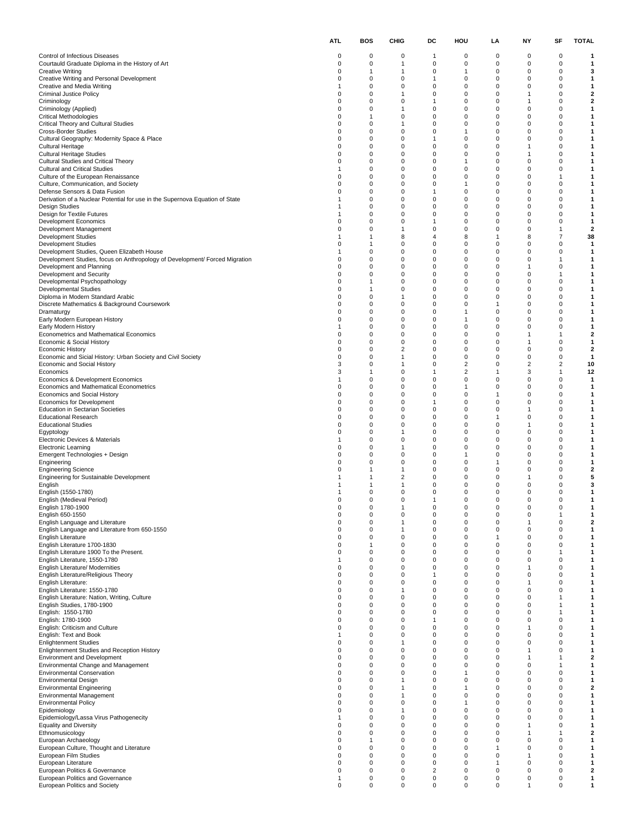|                                                                                                               | <b>ATL</b>                    | BOS    | CHIG                             | DC                            | HOU                                       | LA                   | NΥ                      | SF                           | <b>TOTAL</b>            |
|---------------------------------------------------------------------------------------------------------------|-------------------------------|--------|----------------------------------|-------------------------------|-------------------------------------------|----------------------|-------------------------|------------------------------|-------------------------|
| Control of Infectious Diseases                                                                                | 0                             | 0      | 0                                | 1                             | 0                                         | 0                    | 0                       | 0                            | 1                       |
| Courtauld Graduate Diploma in the History of Art                                                              | 0                             | 0      | 1                                | 0                             | $\mathbf 0$                               | 0                    | 0                       | $\mathbf 0$                  | 1                       |
| <b>Creative Writing</b><br>Creative Writing and Personal Development                                          | 0<br>0                        | 1<br>0 | $\mathbf{1}$<br>0                | 0<br>$\mathbf{1}$             | $\mathbf{1}$<br>0                         | 0<br>0               | 0<br>0                  | 0<br>0                       | 3<br>1                  |
| Creative and Media Writing                                                                                    | 1                             | 0      | $\mathbf 0$                      | $\mathbf 0$                   | $\mathbf 0$                               | 0                    | $\mathbf 0$             | 0                            | 1                       |
| <b>Criminal Justice Policy</b><br>Criminology                                                                 | 0<br>0                        | 0<br>0 | 1<br>0                           | 0<br>1                        | $\mathbf 0$<br>0                          | $\Omega$<br>0        | 1<br>1                  | 0<br>0                       | 2<br>2                  |
| Criminology (Applied)                                                                                         | 0                             | 0      | $\mathbf{1}$                     | $\mathbf 0$                   | $\mathbf 0$                               | 0                    | 0                       | 0                            | 1                       |
| <b>Critical Methodologies</b><br>Critical Theory and Cultural Studies                                         | 0<br>0                        | 1<br>0 | 0<br>$\mathbf{1}$                | $\mathbf 0$<br>0              | 0<br>$\mathbf 0$                          | 0<br>$\Omega$        | 0<br>$\mathbf 0$        | 0<br>0                       | 1<br>1                  |
| <b>Cross-Border Studies</b>                                                                                   | 0                             | 0      | 0                                | 0                             | $\mathbf{1}$                              | $\Omega$             | 0                       | 0                            | 1                       |
| Cultural Geography: Modernity Space & Place<br><b>Cultural Heritage</b>                                       | 0<br>0                        | 0<br>0 | 0<br>$\pmb{0}$                   | 1<br>$\mathbf 0$              | 0<br>$\mathbf 0$                          | 0<br>0               | 0<br>1                  | 0<br>0                       | 1<br>1                  |
| <b>Cultural Heritage Studies</b>                                                                              | 0                             | 0      | 0                                | $\mathbf 0$                   | 0                                         | 0                    | 1                       | 0                            | 1                       |
| Cultural Studies and Critical Theory<br><b>Cultural and Critical Studies</b>                                  | 0<br>1                        | 0<br>0 | $\mathbf 0$<br>0                 | 0<br>0                        | $\mathbf{1}$<br>$\mathbf 0$               | $\Omega$<br>$\Omega$ | $\mathbf 0$<br>0        | 0<br>0                       | 1<br>1                  |
| Culture of the European Renaissance                                                                           | 0                             | 0      | 0                                | 0                             | 0                                         | 0                    | 0                       | 1                            | 1                       |
| Culture, Communication, and Society                                                                           | 0                             | 0      | $\pmb{0}$                        | $\mathbf 0$                   | $\mathbf{1}$                              | 0                    | 0                       | 0                            | 1                       |
| Defense Sensors & Data Fusion<br>Derivation of a Nuclear Potential for use in the Supernova Equation of State | 0<br>1                        | 0<br>0 | 0<br>$\mathbf 0$                 | $\mathbf{1}$<br>$\mathbf 0$   | 0<br>$\mathbf 0$                          | 0<br>$\Omega$        | 0<br>$\mathbf 0$        | 0<br>0                       | 1<br>1                  |
| <b>Design Studies</b>                                                                                         | 1                             | 0      | 0                                | 0                             | $\mathbf 0$                               | $\Omega$             | 0                       | 0                            | 1                       |
| Design for Textile Futures<br><b>Development Economics</b>                                                    | -1<br>0                       | 0<br>0 | 0<br>$\pmb{0}$                   | 0<br>$\mathbf{1}$             | 0<br>$\mathbf 0$                          | 0<br>0               | 0<br>0                  | 0<br>0                       | 1<br>1                  |
| Development Management                                                                                        | 0                             | 0      | $\mathbf{1}$                     | $\mathbf 0$                   | 0                                         | 0                    | 0                       | 1                            | 2                       |
| Development Studies<br><b>Development Studies</b>                                                             | 1<br>0                        | 1<br>1 | 8<br>0                           | $\overline{4}$<br>$\mathbf 0$ | 8<br>$\mathbf 0$                          | 1<br>$\Omega$        | 8<br>0                  | $\overline{7}$<br>0          | 38<br>$\mathbf{1}$      |
| Development Studies, Queen Elizabeth House                                                                    | 1                             | 0      | 0                                | 0                             | 0                                         | 0                    | 0                       | 0                            | 1                       |
| Development Studies, focus on Anthropology of Development/ Forced Migration                                   | 0                             | 0      | $\pmb{0}$                        | $\mathbf 0$                   | $\mathbf 0$                               | 0                    | 0                       | 1                            | 1                       |
| Development and Planning<br>Development and Security                                                          | 0<br>0                        | 0<br>0 | 0<br>$\mathbf 0$                 | $\mathbf 0$<br>0              | 0<br>$\mathbf 0$                          | 0<br>$\Omega$        | 1<br>$\mathbf 0$        | 0<br>1                       | 1<br>1                  |
| Developmental Psychopathology                                                                                 | 0                             | 1      | 0                                | 0                             | $\mathbf 0$                               | $\Omega$             | 0                       | 0                            | 1                       |
| <b>Developmental Studies</b><br>Diploma in Modern Standard Arabic                                             | 0<br>0                        | 1<br>0 | 0<br>$\mathbf{1}$                | 0<br>$\mathbf 0$              | 0<br>$\mathbf 0$                          | 0<br>0               | 0<br>0                  | 0<br>0                       | 1<br>1                  |
| Discrete Mathematics & Background Coursework                                                                  | 0                             | 0      | 0                                | $\mathbf 0$                   | 0                                         | -1                   | 0                       | 0                            | 1                       |
| Dramaturgy                                                                                                    | 0<br>0                        | 0<br>0 | $\mathbf 0$<br>0                 | 0                             | $\mathbf{1}$<br>$\mathbf{1}$              | $\Omega$<br>$\Omega$ | $\mathbf 0$<br>0        | 0<br>0                       | 1                       |
| Early Modern European History<br>Early Modern History                                                         | 1                             | 0      | 0                                | 0<br>0                        | $\mathbf 0$                               | 0                    | 0                       | 0                            | 1<br>1                  |
| Econometrics and Mathematical Economics                                                                       | 0                             | 0      | $\pmb{0}$                        | $\mathbf 0$                   | $\mathbf 0$                               | 0                    | 1                       | $\mathbf{1}$                 | $\overline{\mathbf{2}}$ |
| Economic & Social History<br><b>Economic History</b>                                                          | 0<br>0                        | 0<br>0 | 0<br>$\overline{2}$              | $\mathbf 0$<br>$\mathbf 0$    | 0<br>$\mathbf 0$                          | 0<br>$\Omega$        | 1<br>$\mathbf 0$        | 0<br>0                       | 1<br>$\mathbf{2}$       |
| Economic and Sicial History: Urban Society and Civil Society                                                  | 0                             | 0      | 1                                | 0                             | 0                                         | $\Omega$             | 0                       | 0                            | $\mathbf{1}$            |
| Economic and Social History<br>Economics                                                                      | 3<br>3                        | 0<br>1 | $\mathbf{1}$<br>$\mathbf 0$      | 0<br>$\mathbf{1}$             | $\overline{\mathbf{c}}$<br>$\overline{2}$ | 0<br>1               | 2<br>3                  | 2<br>$\mathbf{1}$            | 10<br>12                |
| Economics & Development Economics                                                                             | 1                             | 0      | 0                                | $\mathbf 0$                   | 0                                         | 0                    | 0                       | 0                            | 1                       |
| Economics and Mathematical Econometrics                                                                       | 0<br>0                        | 0      | $\mathbf 0$<br>0                 | 0<br>0                        | $\mathbf{1}$<br>$\mathbf 0$               | $\Omega$<br>1        | $\mathbf 0$<br>0        | 0<br>0                       | 1                       |
| Economics and Social History<br>Economics for Development                                                     | 0                             | 0<br>0 | 0                                | 1                             | 0                                         | 0                    | 0                       | 0                            | 1<br>1                  |
| <b>Education in Sectarian Societies</b>                                                                       | 0                             | 0      | $\pmb{0}$                        | 0                             | $\mathbf 0$                               | 0                    | 1                       | 0                            | 1                       |
| <b>Educational Research</b><br><b>Educational Studies</b>                                                     | 0<br>0                        | 0<br>0 | 0<br>0                           | $\mathbf 0$<br>$\mathbf 0$    | 0<br>$\mathbf 0$                          | 1<br>$\Omega$        | 0<br>1                  | 0<br>0                       | 1<br>1                  |
| Egyptology                                                                                                    | 0                             | 0      | 1                                | 0                             | $\mathbf 0$                               | $\Omega$             | 0                       | 0                            | 1                       |
| Electronic Devices & Materials<br><b>Electronic Learning</b>                                                  | 1<br>0                        | 0<br>0 | 0<br>$\mathbf{1}$                | 0<br>$\mathbf 0$              | 0<br>$\mathbf 0$                          | 0<br>0               | 0<br>0                  | 0<br>0                       | 1<br>1                  |
| Emergent Technologies + Design                                                                                | 0                             | 0      | 0                                | 0                             | $\mathbf{1}$                              | 0                    | 0                       | 0                            | 1                       |
| Engineering<br><b>Engineering Science</b>                                                                     | 0<br>0                        | 0<br>1 | 0<br>$\mathbf{1}$                | 0<br>0                        | $\mathbf 0$<br>$\mathbf 0$                | 1<br>$\Omega$        | $\mathbf 0$<br>0        | 0<br>0                       | 1<br>2                  |
| Engineering for Sustainable Development                                                                       | 1                             | 1      | $\overline{2}$                   | 0                             | 0                                         | 0                    | 1                       | 0                            | 5                       |
| English                                                                                                       |                               | 1      | $\mathbf{1}$                     | 0                             | $\mathbf 0$                               | 0                    | 0                       | 0                            | 3                       |
| English (1550-1780)<br>English (Medieval Period)                                                              |                               | 0<br>0 | 0<br>0                           | $\mathbf 0$                   | 0<br>0                                    | 0<br>O               | 0<br>O                  | 0<br>O                       | 1<br>1                  |
| English 1780-1900                                                                                             | 0                             | 0      | 1                                | 0                             | 0                                         | 0                    | 0                       | 0                            | 1                       |
| English 650-1550<br>English Language and Literature                                                           | 0<br>0                        | 0<br>0 | $\mathbf 0$<br>$\mathbf{1}$      | 0<br>$\mathbf 0$              | 0<br>$\mathbf 0$                          | 0<br>0               | 0<br>$\mathbf{1}$       | $\mathbf{1}$<br>0            | 1<br>2                  |
| English Language and Literature from 650-1550                                                                 | 0                             | 0      | $\mathbf{1}$                     | $\mathbf 0$                   | 0                                         | 0                    | 0                       | 0                            | 1                       |
| <b>English Literature</b><br>English Literature 1700-1830                                                     | 0<br>0                        | 0<br>1 | $\mathbf 0$<br>0                 | 0<br>0                        | $\Omega$<br>$\mathbf 0$                   | -1<br>$\Omega$       | $\mathbf 0$<br>0        | 0<br>0                       | 1<br>1                  |
| English Literature 1900 To the Present.                                                                       | 0                             | 0      | 0                                | 0                             | 0                                         | 0                    | 0                       | 1                            | 1                       |
| English Literature, 1550-1780<br>English Literature/ Modernities                                              | $\overline{1}$<br>$\mathbf 0$ | 0<br>0 | $\mathbf 0$<br>$\mathbf 0$       | $\mathbf 0$<br>$\mathbf 0$    | $\mathbf 0$<br>0                          | $\Omega$<br>0        | 0<br>1                  | 0<br>0                       | 1<br>1                  |
| English Literature/Religious Theory                                                                           | 0                             | 0      | $\mathbf 0$                      | $\overline{1}$                | $\mathbf 0$                               | $\Omega$             | $\Omega$                | 0                            | 1                       |
| English Literature:                                                                                           | 0                             | 0      | 0                                | 0                             | $\mathbf 0$                               | $\Omega$             | 1                       | 0                            | 1                       |
| English Literature: 1550-1780<br>English Literature: Nation, Writing, Culture                                 | 0<br>0                        | 0<br>0 | $\overline{1}$<br>$\mathbf 0$    | 0<br>$\mathbf 0$              | $\mathbf 0$<br>$\mathbf 0$                | 0<br>$\Omega$        | 0<br>0                  | 0<br>$\overline{1}$          | 1<br>1                  |
| English Studies, 1780-1900                                                                                    | 0                             | 0      | $\mathbf 0$                      | $\mathbf 0$                   | 0                                         | 0                    | 0                       | 1                            | 1                       |
| English: 1550-1780<br>English: 1780-1900                                                                      | 0<br>0                        | 0<br>0 | $\mathbf 0$<br>0                 | $\Omega$<br>-1                | $\Omega$<br>$\mathbf 0$                   | $\Omega$<br>$\Omega$ | $\Omega$<br>$\mathbf 0$ | 1<br>0                       | 1<br>1                  |
| English: Criticism and Culture                                                                                | 0                             | 0      | 0                                | 0                             | $\mathbf 0$                               | 0                    | 1                       | 0                            | 1                       |
| English: Text and Book<br><b>Enlightenment Studies</b>                                                        | 1<br>$\mathbf 0$              | 0<br>0 | $\mathbf 0$<br>$\overline{1}$    | $\mathbf 0$<br>$\mathbf 0$    | $\mathbf 0$<br>0                          | 0<br>0               | 0<br>0                  | 0<br>0                       | 1<br>1                  |
| Enlightenment Studies and Reception History                                                                   | 0                             | 0      | $\mathbf 0$                      | 0                             | $\Omega$                                  | $\Omega$             | 1                       | 0                            | 1                       |
| <b>Environment and Development</b>                                                                            | 0                             | 0<br>0 | 0<br>0                           | 0<br>0                        | $\mathbf 0$<br>$\mathbf 0$                | $\Omega$             | 1<br>0                  | $\mathbf{1}$<br>$\mathbf{1}$ | 2<br>1                  |
| Environmental Change and Management<br><b>Environmental Conservation</b>                                      | 0<br>0                        | 0      | $\mathbf 0$                      | $\mathbf 0$                   | $\mathbf{1}$                              | 0<br>$\Omega$        | 0                       | $\mathbf 0$                  | $\mathbf{1}$            |
| <b>Environmental Design</b>                                                                                   | 0                             | 0      | $\overline{1}$                   | $\mathbf 0$                   | 0                                         | 0                    | 0                       | 0                            | 1                       |
| <b>Environmental Engineering</b><br><b>Environmental Management</b>                                           | 0<br>0                        | 0<br>0 | $\overline{1}$<br>$\overline{1}$ | 0<br>$\mathbf 0$              | $\mathbf{1}$<br>$\mathbf 0$               | $\Omega$<br>$\Omega$ | $\Omega$<br>0           | 0<br>0                       | 2<br>1                  |
| <b>Environmental Policy</b>                                                                                   | 0                             | 0      | 0                                | 0                             | $\mathbf{1}$                              | 0                    | 0                       | 0                            | 1                       |
| Epidemiology<br>Epidemiology/Lassa Virus Pathogenecity                                                        | 0<br>1                        | 0<br>0 | $\overline{1}$<br>$\mathbf 0$    | $\mathbf 0$<br>$\mathbf 0$    | $\mathbf 0$<br>$\mathbf 0$                | $\Omega$<br>0        | 0<br>0                  | 0<br>0                       | 1<br>1                  |
| <b>Equality and Diversity</b>                                                                                 | 0                             | 0      | $\mathbf 0$                      | 0                             | $\Omega$                                  | $\Omega$             | 1                       | 0                            | 1                       |
| Ethnomusicology                                                                                               | 0                             | 0      | 0                                | 0                             | $\mathbf 0$                               | $\Omega$             | 1                       | $\mathbf{1}$                 | 2                       |
| European Archaeology<br>European Culture, Thought and Literature                                              | 0<br>0                        | 1<br>0 | 0<br>$\mathbf 0$                 | 0<br>$\mathbf 0$              | 0<br>$\mathbf 0$                          | 0<br>1               | 0<br>0                  | 0<br>0                       | 1<br>1                  |
| European Film Studies                                                                                         | 0                             | 0      | $\mathbf 0$                      | $\mathbf 0$                   | $\mathbf 0$                               | $\Omega$             | 1                       | 0                            | 1                       |
| European Literature<br>European Politics & Governance                                                         | 0<br>0                        | 0<br>0 | $\mathbf 0$<br>0                 | $\mathbf 0$<br>$\overline{2}$ | $\mathbf 0$<br>0                          | -1<br>0              | $\mathbf 0$<br>0        | 0<br>0                       | 1<br>2                  |
| European Politics and Governance                                                                              | 1                             | 0      | $\pmb{0}$                        | 0                             | 0                                         | 0                    | 0                       | 0                            | 1                       |
| European Politics and Society                                                                                 | 0                             | 0      | $\pmb{0}$                        | $\pmb{0}$                     | $\mathbf 0$                               | 0                    | $\mathbf{1}$            | 0                            | 1                       |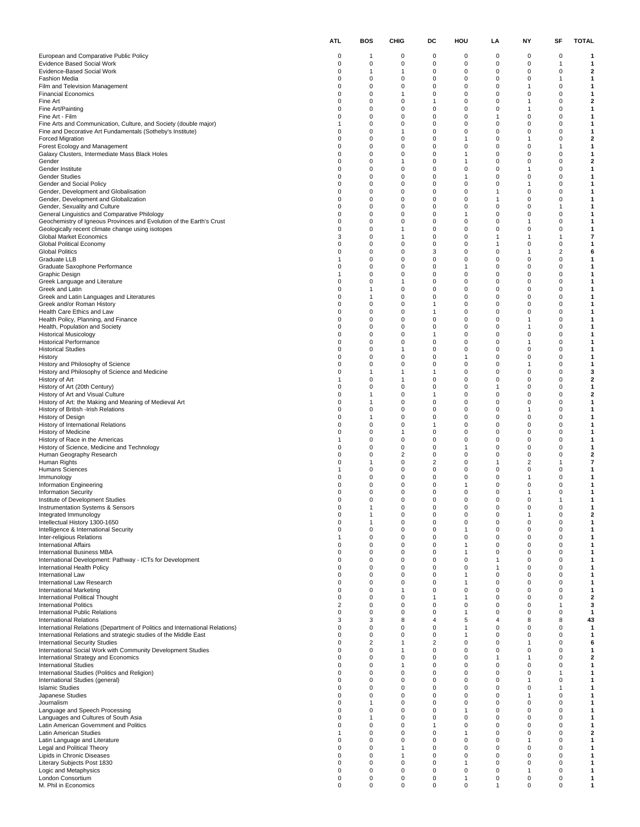|                                                                                                                                | <b>ATL</b>        | BOS               | CHIG                           | DC                          | HOU                          | LA                   | NΥ                | SF                  | <b>TOTAL</b>                 |
|--------------------------------------------------------------------------------------------------------------------------------|-------------------|-------------------|--------------------------------|-----------------------------|------------------------------|----------------------|-------------------|---------------------|------------------------------|
| European and Comparative Public Policy                                                                                         | 0                 | 1                 | 0                              | 0                           | 0                            | 0                    | 0                 | 0                   | 1                            |
| Evidence Based Social Work                                                                                                     | 0                 | 0                 | 0                              | 0                           | 0                            | 0                    | 0                 | $\mathbf{1}$        | 1                            |
| Evidence-Based Social Work<br><b>Fashion Media</b>                                                                             | 0<br>0            | 1<br>0            | $\mathbf{1}$<br>0              | 0<br>0                      | $\mathbf 0$<br>0             | 0<br>0               | 0<br>0            | 0<br>1              | $\mathbf{2}$<br>1            |
| Film and Television Management                                                                                                 | 0                 | 0                 | 0                              | $\mathbf 0$                 | $\mathbf 0$                  | 0                    | 1                 | 0                   | 1                            |
| <b>Financial Economics</b>                                                                                                     | 0                 | 0                 | $\mathbf{1}$                   | 0                           | $\mathbf 0$                  | $\Omega$             | 0                 | 0                   | 1                            |
| Fine Art<br>Fine Art/Painting                                                                                                  | 0<br>0            | 0<br>0            | 0<br>$\pmb{0}$                 | 1<br>0                      | 0<br>$\mathbf 0$             | 0<br>$\Omega$        | 1<br>$\mathbf{1}$ | 0<br>0              | 2<br>1                       |
| Fine Art - Film                                                                                                                | 0                 | 0                 | 0                              | $\mathbf 0$                 | 0                            | 1                    | 0                 | 0                   | 1                            |
| Fine Arts and Communication, Culture, and Society (double major)<br>Fine and Decorative Art Fundamentals (Sotheby's Institute) | 1<br>0            | 0<br>0            | 0<br>1                         | $\mathbf 0$<br>0            | $\mathbf 0$<br>$\mathbf 0$   | $\Omega$<br>$\Omega$ | $\mathbf 0$<br>0  | 0<br>0              | 1<br>1                       |
| <b>Forced Migration</b>                                                                                                        | 0                 | 0                 | 0                              | 0                           | $\mathbf{1}$                 | 0                    | 1                 | 0                   | 2                            |
| Forest Ecology and Management                                                                                                  | 0                 | 0                 | $\pmb{0}$                      | $\mathbf 0$                 | $\mathbf 0$                  | 0                    | 0                 | 1                   | 1                            |
| Galaxy Clusters, Intermediate Mass Black Holes<br>Gender                                                                       | 0<br>0            | 0<br>0            | 0<br>$\mathbf{1}$              | $\mathbf 0$<br>$\mathbf 0$  | $\mathbf{1}$<br>$\mathbf{1}$ | 0<br>$\Omega$        | 0<br>$\mathbf 0$  | 0<br>0              | 1<br>2                       |
| Gender Institute                                                                                                               | 0                 | 0                 | 0                              | 0                           | $\mathbf 0$                  | $\Omega$             | 1                 | 0                   | 1                            |
| <b>Gender Studies</b><br>Gender and Social Policy                                                                              | 0<br>0            | 0<br>0            | 0<br>$\pmb{0}$                 | 0<br>0                      | $\mathbf{1}$<br>$\mathbf 0$  | 0<br>0               | 0<br>1            | 0<br>0              | 1<br>1                       |
| Gender, Development and Globalisation                                                                                          | 0                 | 0                 | 0                              | $\mathbf 0$                 | 0                            | 1                    | 0                 | 0                   | 1                            |
| Gender, Development and Globalization                                                                                          | 0<br>0            | 0<br>0            | 0<br>0                         | $\mathbf 0$<br>0            | $\mathbf 0$<br>$\mathbf 0$   | 1<br>$\Omega$        | $\mathbf 0$<br>0  | 0<br>$\mathbf{1}$   | 1<br>1                       |
| Gender, Sexuality and Culture<br>General Linguistics and Comparative Philology                                                 | 0                 | 0                 | 0                              | 0                           | $\mathbf{1}$                 | 0                    | 0                 | 0                   | 1                            |
| Geochemistry of Igneous Provinces and Evolution of the Earth's Crust                                                           | 0                 | 0                 | $\pmb{0}$                      | $\mathbf 0$                 | $\mathbf 0$                  | 0                    | 1                 | 0                   | 1                            |
| Geologically recent climate change using isotopes<br>Global Market Economics                                                   | 0<br>3            | 0<br>0            | $\mathbf{1}$<br>$\mathbf{1}$   | $\mathbf 0$<br>$\mathbf 0$  | 0<br>$\mathbf 0$             | 0<br>1               | 0<br>1            | 0<br>1              | 1<br>7                       |
| Global Political Economy                                                                                                       | 0                 | 0                 | 0                              | 0                           | $\mathbf 0$                  | 1                    | 0                 | 0                   | 1                            |
| <b>Global Politics</b><br>Graduate LLB                                                                                         | 0<br>1            | 0<br>0            | 0<br>$\pmb{0}$                 | 3<br>0                      | 0<br>$\mathbf 0$             | 0<br>0               | 1<br>0            | $\overline{2}$<br>0 | 6<br>1                       |
| Graduate Saxophone Performance                                                                                                 | 0                 | 0                 | 0                              | $\mathbf 0$                 | $\mathbf{1}$                 | 0                    | 0                 | 0                   | 1                            |
| Graphic Design                                                                                                                 | 1                 | 0                 | 0                              | $\mathbf 0$                 | $\mathbf 0$                  | $\Omega$             | $\mathbf 0$       | 0                   | 1                            |
| Greek Language and Literature<br>Greek and Latin                                                                               | 0<br>0            | 0<br>1            | $\mathbf{1}$<br>0              | 0<br>0                      | $\mathbf 0$<br>0             | $\Omega$<br>0        | 0<br>0            | 0<br>0              | 1<br>1                       |
| Greek and Latin Languages and Literatures                                                                                      | 0                 | 1                 | $\pmb{0}$                      | $\mathbf 0$                 | $\mathbf 0$                  | 0                    | 0                 | 0                   | 1                            |
| Greek and/or Roman History                                                                                                     | 0                 | 0                 | 0                              | $\mathbf{1}$                | 0                            | 0                    | 0                 | 0                   | 1                            |
| Health Care Ethics and Law<br>Health Policy, Planning, and Finance                                                             | 0<br>0            | 0<br>0            | 0<br>0                         | $\mathbf{1}$<br>0           | $\mathbf 0$<br>$\mathbf 0$   | $\Omega$<br>$\Omega$ | $\Omega$<br>1     | 0<br>0              | 1<br>1                       |
| Health, Population and Society                                                                                                 | 0                 | 0                 | 0                              | 0                           | 0                            | 0                    | 1                 | 0                   | 1                            |
| <b>Historical Musicology</b><br><b>Historical Performance</b>                                                                  | 0<br>0            | 0<br>0            | $\pmb{0}$<br>0                 | 1<br>$\mathbf 0$            | $\mathbf 0$<br>0             | 0<br>0               | 0<br>1            | 0<br>0              | 1<br>1                       |
| <b>Historical Studies</b>                                                                                                      | 0                 | 0                 | $\mathbf{1}$                   | $\mathbf 0$                 | $\mathbf 0$                  | $\Omega$             | $\mathbf 0$       | 0                   | 1                            |
| History                                                                                                                        | 0                 | 0                 | 0                              | 0                           | $\mathbf{1}$                 | $\Omega$             | 0                 | 0                   | 1                            |
| History and Philosophy of Science<br>History and Philosophy of Science and Medicine                                            | 0<br>0            | 0<br>1            | 0<br>$\mathbf{1}$              | 0<br>$\mathbf{1}$           | 0<br>$\mathbf 0$             | 0<br>0               | 1<br>0            | 0<br>0              | 1<br>3                       |
| History of Art                                                                                                                 | 1                 | 0                 | $\mathbf{1}$                   | 0                           | 0                            | 0                    | 0                 | 0                   | 2                            |
| History of Art (20th Century)<br>History of Art and Visual Culture                                                             | 0<br>0            | 0<br>1            | $\mathbf 0$<br>0               | $\mathbf 0$<br>1            | $\mathbf 0$<br>$\mathbf 0$   | 1<br>$\Omega$        | $\mathbf 0$<br>0  | 0<br>0              | 1<br>2                       |
| History of Art: the Making and Meaning of Medieval Art                                                                         | 0                 | 1                 | 0                              | 0                           | 0                            | 0                    | 0                 | 0                   | 1                            |
| History of British -Irish Relations                                                                                            | 0                 | 0                 | $\pmb{0}$                      | $\mathbf 0$                 | $\mathbf 0$                  | 0                    | 1                 | 0                   | 1                            |
| History of Design<br>History of International Relations                                                                        | 0<br>0            | 1<br>0            | 0<br>0                         | $\mathbf 0$<br>$\mathbf{1}$ | 0<br>$\mathbf 0$             | 0<br>$\Omega$        | 0<br>$\mathbf 0$  | 0<br>0              | 1<br>1                       |
| History of Medicine                                                                                                            | 0                 | 0                 | $\mathbf{1}$                   | 0                           | $\mathbf 0$                  | $\Omega$             | 0                 | 0                   | 1                            |
| History of Race in the Americas<br>History of Science, Medicine and Technology                                                 | -1<br>0           | 0<br>0            | 0<br>$\pmb{0}$                 | 0<br>0                      | 0<br>$\mathbf{1}$            | 0<br>0               | 0<br>0            | 0<br>0              | 1<br>1                       |
| Human Geography Research                                                                                                       | 0                 | 0                 | $\overline{2}$                 | $\mathbf 0$                 | 0                            | 0                    | 0                 | 0                   | 2                            |
| Human Rights<br><b>Humans Sciences</b>                                                                                         | 0<br>1            | 1<br>0            | 0<br>0                         | $\overline{2}$<br>0         | $\mathbf 0$<br>$\mathbf 0$   | 1<br>$\Omega$        | 2<br>0            | $\mathbf{1}$<br>0   | 7<br>1                       |
| Immunology                                                                                                                     | 0                 | 0                 | 0                              | 0                           | 0                            | 0                    | 1                 | 0                   | 1                            |
| Information Engineering                                                                                                        | 0                 | 0                 | 0                              | 0                           | $\mathbf{1}$                 | 0                    | 0                 | 0                   | 1                            |
| <b>Information Security</b><br>Institute of Development Studies                                                                | O                 | 0<br>O            | 0<br>$\Omega$                  | $\mathbf 0$<br>$\Omega$     | 0<br>0                       | 0<br>O               | 1<br>0            | 0                   | 1<br>1                       |
| Instrumentation Systems & Sensors                                                                                              | 0                 | 1                 | 0                              | 0                           | 0                            | 0                    | 0                 | 0                   | 1                            |
| Integrated Immunology<br>Intellectual History 1300-1650                                                                        | 0<br>0            | 1<br>$\mathbf{1}$ | 0<br>$\mathbf 0$               | 0<br>$\mathbf 0$            | 0<br>$\mathbf 0$             | 0<br>0               | 1<br>0            | 0<br>0              | 2<br>$\mathbf{1}$            |
| Intelligence & International Security                                                                                          | 0                 | 0                 | $\mathbf 0$                    | $\mathbf 0$                 | $\overline{1}$               | 0                    | 0                 | 0                   | 1                            |
| Inter-religious Relations                                                                                                      | 1                 | 0                 | $\mathbf 0$                    | 0                           | $\Omega$                     | $\Omega$             | $\mathbf 0$       | 0                   | 1                            |
| <b>International Affairs</b><br>International Business MBA                                                                     | 0<br>0            | 0<br>0            | 0<br>0                         | 0<br>0                      | -1<br>$\mathbf{1}$           | $\Omega$<br>0        | 0<br>0            | 0<br>0              | 1<br>1                       |
| International Development: Pathway - ICTs for Development                                                                      | 0                 | 0                 | $\mathbf 0$                    | $\mathbf 0$                 | $\mathbf 0$                  | 1                    | 0                 | 0                   | 1                            |
| International Health Policy<br>International Law                                                                               | $\mathbf 0$<br>0  | 0<br>0            | $\mathbf 0$<br>$\mathbf 0$     | $\mathbf 0$<br>0            | $\mathbf 0$<br>$\mathbf{1}$  | -1<br>$\Omega$       | 0<br>$\Omega$     | 0<br>0              | 1<br>1                       |
| International Law Research                                                                                                     | 0                 | 0                 | 0                              | 0                           | $\mathbf{1}$                 | $\Omega$             | 0                 | 0                   | 1                            |
| <b>International Marketing</b>                                                                                                 | 0                 | 0                 | $\overline{1}$                 | 0                           | $\mathbf 0$                  | 0                    | 0                 | 0                   | 1                            |
| International Political Thought<br><b>International Politics</b>                                                               | 0<br>2            | 0<br>0            | $\mathbf 0$<br>$\mathbf 0$     | $\mathbf 0$                 | $\mathbf{1}$<br>$\mathbf 0$  | $\Omega$<br>$\Omega$ | 0<br>0            | 0<br>1              | $\overline{\mathbf{2}}$<br>3 |
| International Public Relations                                                                                                 | 0                 | 0                 | $\mathbf 0$                    | $\Omega$                    | $\mathbf{1}$                 | $\Omega$             | $\Omega$          | 0                   | 1                            |
| <b>International Relations</b><br>International Relations (Department of Politics and International Relations)                 | 3<br>0            | 3<br>0            | 8<br>0                         | $\overline{4}$<br>0         | 5<br>$\mathbf{1}$            | 4<br>0               | 8<br>0            | 8<br>0              | 43<br>$\mathbf{1}$           |
| International Relations and strategic studies of the Middle East                                                               | 0                 | $\mathbf 0$       | $\mathbf 0$                    | $\mathbf 0$                 | $\mathbf{1}$                 | 0                    | 0                 | 0                   | 1                            |
| <b>International Security Studies</b>                                                                                          | 0<br>0            | 2<br>0            | $\mathbf{1}$<br>$\overline{1}$ | 2<br>$\mathbf 0$            | $\mathbf 0$<br>$\Omega$      | 0<br>$\Omega$        | 1<br>$\Omega$     | 0                   | 6                            |
| International Social Work with Community Development Studies<br>International Strategy and Economics                           | 0                 | 0                 | 0                              | 0                           | $\mathbf 0$                  | 1                    | 1                 | 0<br>0              | 1<br>2                       |
| <b>International Studies</b>                                                                                                   | 0                 | 0                 | $\overline{1}$                 | 0                           | $\mathbf 0$                  | 0                    | 0                 | 0                   | 1                            |
| International Studies (Politics and Religion)<br>International Studies (general)                                               | 0<br>0            | 0<br>0            | $\mathbf 0$<br>$\mathbf 0$     | $\mathbf 0$<br>$\mathbf 0$  | $\mathbf 0$<br>$\mathbf 0$   | $\Omega$<br>0        | 0<br>1            | $\overline{1}$<br>0 | 1<br>1                       |
| <b>Islamic Studies</b>                                                                                                         | 0                 | 0                 | $\mathbf 0$                    | 0                           | $\Omega$                     | $\Omega$             | $\Omega$          | 1                   | 1                            |
| Japanese Studies                                                                                                               | 0                 | 0                 | 0                              | 0                           | $\mathbf 0$<br>$\mathbf 0$   | $\Omega$             | 1                 | 0                   | 1                            |
| Journalism<br>Language and Speech Processing                                                                                   | 0<br>0            | 1<br>0            | 0<br>$\mathbf 0$               | 0<br>$\mathbf 0$            | $\mathbf{1}$                 | 0<br>$\Omega$        | 0<br>0            | 0<br>0              | 1<br>1                       |
| Languages and Cultures of South Asia                                                                                           | 0                 | 1                 | $\mathbf 0$                    | $\mathbf 0$                 | $\Omega$                     | $\Omega$             | 0                 | 0                   | 1                            |
| Latin American Government and Politics<br>Latin American Studies                                                               | 0<br>$\mathbf{1}$ | 0<br>0            | $\mathbf 0$<br>0               | $\overline{1}$<br>0         | $\Omega$<br>$\mathbf{1}$     | $\Omega$<br>$\Omega$ | $\Omega$<br>0     | 0<br>0              | 1<br>2                       |
| Latin Language and Literature                                                                                                  | 0                 | 0                 | 0                              | 0                           | $\mathbf 0$                  | 0                    | 1                 | 0                   | 1                            |
| Legal and Political Theory                                                                                                     | 0                 | 0                 | $\overline{1}$                 | $\mathbf 0$                 | $\mathbf 0$                  | 0                    | 0                 | 0                   | 1                            |
| Lipids in Chronic Diseases<br>Literary Subjects Post 1830                                                                      | 0<br>0            | 0<br>0            | $\overline{1}$<br>$\mathbf 0$  | $\mathbf 0$<br>0            | $\Omega$<br>$\mathbf{1}$     | 0<br>$\Omega$        | 0<br>$\Omega$     | 0<br>0              | 1<br>1                       |
| Logic and Metaphysics                                                                                                          | 0                 | 0                 | 0                              | 0                           | 0                            | 0                    | 1                 | 0                   | 1                            |
| London Consortium<br>M. Phil in Economics                                                                                      | 0<br>0            | 0<br>0            | $\pmb{0}$<br>$\pmb{0}$         | 0<br>0                      | 1<br>$\mathbf 0$             | 0<br>-1              | 0<br>0            | 0<br>0              | 1<br>1                       |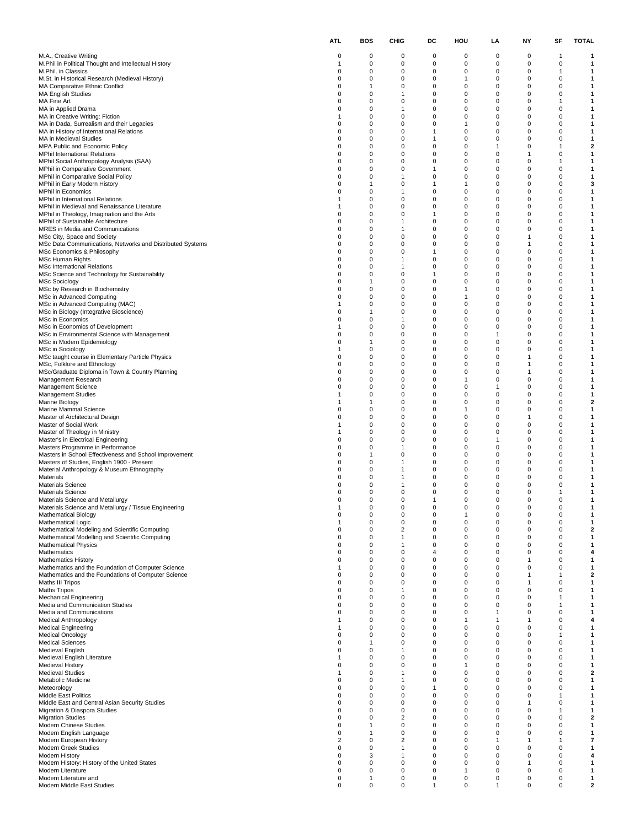|                                                                                                           | <b>ATL</b>           | <b>BOS</b> | <b>CHIG</b>                    | DC                           | HOU                         | LA                   | NY                   | SF                            | <b>TOTAL</b>      |
|-----------------------------------------------------------------------------------------------------------|----------------------|------------|--------------------------------|------------------------------|-----------------------------|----------------------|----------------------|-------------------------------|-------------------|
| M.A., Creative Writing                                                                                    | 0                    | 0          | 0                              | 0                            | 0                           | 0                    | 0                    | $\overline{1}$                | 1                 |
| M.Phil in Political Thought and Intellectual History<br>M.Phil. in Classics                               | 1<br>0               | 0<br>0     | $\mathbf 0$<br>$\mathbf 0$     | 0<br>0                       | 0<br>0                      | 0<br>0               | 0<br>0               | $\mathbf 0$<br>$\overline{1}$ | 1<br>1            |
| M.St. in Historical Research (Medieval History)                                                           | 0                    | 0          | 0                              | 0                            | $\mathbf{1}$                | 0                    | 0                    | $\mathbf 0$                   | 1                 |
| MA Comparative Ethnic Conflict<br><b>MA English Studies</b>                                               | $\Omega$<br>0        | 1<br>0     | $\mathbf 0$<br>$\mathbf{1}$    | $\mathbf 0$<br>0             | $\mathbf 0$<br>0            | 0<br>0               | $\mathbf 0$<br>0     | 0<br>0                        | 1<br>1            |
| MA Fine Art                                                                                               | 0                    | 0          | $\mathbf 0$                    | 0                            | 0                           | 0                    | 0                    | $\mathbf{1}$                  | 1                 |
| MA in Applied Drama<br>MA in Creative Writing: Fiction                                                    | 0<br>1               | 0<br>0     | $\mathbf{1}$<br>$\mathbf 0$    | 0<br>0                       | $\mathbf 0$<br>0            | 0<br>0               | 0<br>0               | 0<br>0                        | 1<br>1            |
| MA in Dada, Surrealism and their Legacies                                                                 | 0                    | 0          | $\mathbf 0$                    | $\mathbf 0$                  | $\mathbf{1}$                | 0                    | $\Omega$             | 0                             | 1                 |
| MA in History of International Relations<br>MA in Medieval Studies                                        | 0<br>0               | 0<br>0     | 0<br>$\mathbf 0$               | $\mathbf{1}$<br>$\mathbf{1}$ | 0<br>0                      | 0<br>0               | 0<br>0               | 0<br>0                        | 1<br>1            |
| MPA Public and Economic Policy                                                                            | 0                    | 0          | $\pmb{0}$                      | 0                            | $\mathbf 0$                 | 1                    | 0                    | $\overline{1}$                | 2                 |
| <b>MPhil International Relations</b><br>MPhil Social Anthropology Analysis (SAA)                          | 0<br>$\Omega$        | 0<br>0     | 0<br>$\mathbf 0$               | 0<br>$\mathbf 0$             | 0<br>$\mathbf 0$            | 0<br>0               | 1<br>$\Omega$        | 0<br>1                        | 1<br>1            |
| <b>MPhil in Comparative Government</b>                                                                    | 0                    | 0          | 0                              | $\mathbf{1}$                 | 0                           | 0                    | 0                    | 0                             | 1                 |
| MPhil in Comparative Social Policy<br>MPhil in Early Modern History                                       | 0<br>0               | 0<br>1     | 1<br>0                         | 0<br>$\mathbf{1}$            | 0<br>$\mathbf{1}$           | 0<br>0               | 0<br>0               | 0<br>0                        | 1<br>3            |
| MPhil in Economics                                                                                        | $\Omega$             | 0          | $\mathbf{1}$                   | 0                            | 0                           | 0                    | 0                    | 0                             | 1                 |
| MPhil in International Relations<br>MPhil in Medieval and Renaissance Literature                          | 1<br>1               | 0<br>0     | $\mathbf 0$<br>0               | $\mathbf 0$<br>$\mathbf 0$   | $\mathbf 0$<br>0            | 0<br>0               | $\Omega$<br>0        | 0<br>0                        | 1<br>1            |
| MPhil in Theology, Imagination and the Arts                                                               | 0                    | 0          | $\mathbf 0$                    | $\mathbf{1}$                 | 0                           | 0                    | 0                    | 0                             | 1                 |
| MPhil of Sustainable Architecture                                                                         | 0                    | 0          | $\mathbf{1}$                   | $\mathbf 0$                  | $\mathbf 0$                 | 0                    | 0                    | 0                             | 1                 |
| MRES in Media and Communications<br>MSc City, Space and Society                                           | $\Omega$<br>$\Omega$ | 0<br>0     | $\mathbf{1}$<br>$\mathbf 0$    | 0<br>$\mathbf 0$             | 0<br>$\mathbf 0$            | 0<br>0               | 0<br>1               | 0<br>0                        | 1<br>1            |
| MSc Data Communications, Networks and Distributed Systems                                                 | $\Omega$             | 0          | 0                              | $\mathbf 0$                  | 0                           | $\Omega$             | 1                    | 0                             | 1                 |
| MSc Economics & Philosophy<br><b>MSc Human Rights</b>                                                     | 0<br>0               | 0<br>0     | $\mathbf 0$<br>$\mathbf{1}$    | $\mathbf{1}$<br>0            | 0<br>$\mathbf 0$            | 0<br>0               | 0<br>0               | 0<br>0                        | 1<br>1            |
| <b>MSc International Relations</b>                                                                        | 0                    | 0          | $\mathbf{1}$                   | 0                            | 0                           | 0                    | 0                    | 0                             | 1                 |
| MSc Science and Technology for Sustainability<br><b>MSc Sociology</b>                                     | 0<br>0               | 0<br>1     | $\mathbf 0$<br>$\mathbf 0$     | $\mathbf{1}$<br>0            | $\mathbf 0$<br>0            | 0<br>0               | $\Omega$<br>0        | 0<br>0                        | 1<br>1            |
| MSc by Research in Biochemistry                                                                           | 0                    | 0          | $\mathbf 0$                    | 0                            | 1                           | 0                    | 0                    | 0                             | 1                 |
| MSc in Advanced Computing<br>MSc in Advanced Computing (MAC)                                              | 0<br>1               | 0<br>0     | $\mathbf 0$<br>0               | 0<br>0                       | $\mathbf{1}$<br>0           | 0<br>0               | 0<br>0               | 0<br>0                        | 1<br>1            |
| MSc in Biology (Integrative Bioscience)                                                                   | 0                    | 1          | $\mathbf 0$                    | $\mathbf 0$                  | $\mathbf 0$                 | 0                    | $\Omega$             | 0                             | 1                 |
| MSc in Economics                                                                                          | 0                    | 0          | $\mathbf{1}$                   | 0                            | 0                           | 0                    | 0                    | 0                             | 1                 |
| MSc in Economics of Development<br>MSc in Environmental Science with Management                           | 1<br>0               | 0<br>0     | $\mathbf 0$<br>$\pmb{0}$       | 0<br>0                       | 0<br>$\mathbf 0$            | 0<br>1               | 0<br>0               | 0<br>0                        | 1<br>1            |
| MSc in Modern Epidemiology                                                                                | 0                    | 1          | 0                              | 0                            | 0                           | 0                    | 0                    | 0                             | 1                 |
| MSc in Sociology<br>MSc taught course in Elementary Particle Physics                                      | 1<br>0               | 0<br>0     | $\mathbf 0$<br>0               | $\mathbf 0$<br>0             | $\mathbf 0$<br>0            | 0<br>0               | $\Omega$<br>1        | 0<br>0                        | 1<br>1            |
| MSc, Folklore and Ethnology                                                                               | 0                    | 0          | $\mathbf 0$                    | 0                            | 0                           | 0                    | 1                    | 0                             | 1                 |
| MSc/Graduate Diploma in Town & Country Planning<br>Management Research                                    | 0<br>$\Omega$        | 0<br>0     | $\pmb{0}$<br>0                 | 0<br>0                       | $\mathbf 0$<br>$\mathbf{1}$ | 0<br>0               | 1<br>0               | 0<br>0                        | 1<br>1            |
| Management Science                                                                                        | $\Omega$             | 0          | $\mathbf 0$                    | $\mathbf 0$                  | $\mathbf 0$                 | 1                    | $\Omega$             | 0                             | 1                 |
| <b>Management Studies</b>                                                                                 | 1                    | 0          | 0                              | 0                            | 0                           | $\Omega$             | 0                    | 0                             | 1<br>2            |
| Marine Biology<br>Marine Mammal Science                                                                   | 1<br>0               | 1<br>0     | $\mathbf 0$<br>$\mathbf 0$     | 0<br>0                       | 0<br>$\mathbf{1}$           | 0<br>0               | 0<br>0               | 0<br>0                        | 1                 |
| Master of Architectural Design                                                                            | 0                    | 0          | $\mathbf 0$                    | 0                            | 0                           | 0                    | 1                    | 0                             | 1                 |
| Master of Social Work<br>Master of Theology in Ministry                                                   | 1<br>1               | 0<br>0     | $\mathbf 0$<br>0               | $\mathbf 0$<br>0             | $\mathbf 0$<br>0            | 0<br>0               | $\Omega$<br>0        | 0<br>0                        | 1<br>1            |
| Master's in Electrical Engineering                                                                        | 0                    | 0          | $\mathbf 0$                    | 0                            | 0                           | 1                    | 0                    | 0                             | 1                 |
| Masters Programme in Performance<br>Masters in School Effectiveness and School Improvement                | 0<br>0               | 0<br>1     | $\mathbf{1}$<br>$\mathbf 0$    | 0<br>0                       | $\mathbf 0$<br>0            | 0<br>0               | 0<br>0               | 0<br>0                        | 1<br>1            |
| Masters of Studies, English 1900 - Present                                                                | $\Omega$             | 0          | $\mathbf{1}$                   | $\mathbf 0$                  | $\mathbf 0$                 | 0                    | $\mathbf 0$          | 0                             | 1                 |
| Material Anthropology & Museum Ethnography<br>Materials                                                   | $\Omega$<br>0        | 0<br>0     | $\mathbf{1}$<br>$\mathbf{1}$   | 0<br>0                       | 0<br>0                      | 0<br>0               | 0<br>0               | 0<br>0                        | 1<br>1            |
| <b>Materials Science</b>                                                                                  | 0                    | 0          | $\overline{1}$                 | 0                            | $\mathbf 0$                 | 0                    | 0                    | 0                             | 1                 |
| <b>Materials Science</b>                                                                                  | O                    | 0<br>O     | 0<br>$\Omega$                  | $\mathbf 0$                  | 0<br>0                      | 0<br>O               | 0<br>$\Omega$        | 1<br>O                        | 1<br>1            |
| Materials Science and Metallurgy<br>Materials Science and Metallurgy / Tissue Engineering                 | 1                    | 0          | 0                              | 0                            | 0                           | 0                    | 0                    | $\mathbf 0$                   | 1                 |
| <b>Mathematical Biology</b>                                                                               | 0                    | 0          | $\mathbf 0$                    | 0                            | 1                           | 0                    | 0                    | 0                             | 1                 |
| <b>Mathematical Logic</b><br>Mathematical Modeling and Scientific Computing                               | 1<br>0               | 0<br>0     | $\pmb{0}$<br>$\overline{2}$    | 0<br>$\mathbf 0$             | 0<br>0                      | 0<br>0               | 0<br>0               | 0<br>0                        | $\mathbf{1}$<br>2 |
| Mathematical Modelling and Scientific Computing                                                           | $\Omega$             | 0          | $\mathbf{1}$                   | 0                            | $\mathbf 0$                 | $\Omega$             | $\Omega$             | 0                             | 1                 |
| <b>Mathematical Physics</b><br>Mathematics                                                                | 0<br>0               | 0<br>0     | $\mathbf{1}$<br>$\mathbf 0$    | 0<br>4                       | 0<br>0                      | $\Omega$<br>0        | $\Omega$<br>0        | 0<br>0                        | 1<br>4            |
| <b>Mathematics History</b>                                                                                | 0                    | 0          | $\mathbf 0$                    | $\mathbf 0$                  | $\mathbf 0$                 | 0                    | 1                    | 0                             | $\mathbf{1}$      |
| Mathematics and the Foundation of Computer Science<br>Mathematics and the Foundations of Computer Science | 1<br>0               | 0<br>0     | $\mathbf 0$<br>$\mathbf 0$     | $\mathbf 0$<br>$\mathbf 0$   | $\mathbf 0$<br>$\mathbf 0$  | 0<br>0               | 0<br>1               | 0<br>1                        | 1<br>2            |
| Maths III Tripos                                                                                          | 0                    | 0          | $\mathbf 0$                    | $\mathbf 0$                  | 0                           | $\Omega$             | 1                    | 0                             | 1                 |
| <b>Maths Tripos</b><br><b>Mechanical Engineering</b>                                                      | 0<br>0               | 0<br>0     | $\mathbf{1}$<br>$\mathbf 0$    | 0<br>0                       | 0<br>$\mathbf 0$            | 0<br>$\Omega$        | 0<br>0               | 0<br>$\overline{1}$           | 1<br>1            |
| Media and Communication Studies                                                                           | 0                    | 0          | $\mathbf 0$                    | $\mathbf 0$                  | $\mathbf 0$                 | 0                    | 0                    | $\mathbf{1}$                  | 1                 |
| Media and Communications<br><b>Medical Anthropology</b>                                                   | $\Omega$<br>1        | 0<br>0     | $\mathbf 0$<br>$\mathbf 0$     | $\mathbf 0$<br>$\mathbf 0$   | $\mathbf 0$<br>$\mathbf{1}$ | -1<br>1              | $\Omega$<br>1        | 0<br>0                        | 1<br>4            |
| <b>Medical Engineering</b>                                                                                | 1                    | 0          | $\mathbf 0$                    | 0                            | 0                           | 0                    | 0                    | 0                             | 1                 |
| <b>Medical Oncology</b>                                                                                   | 0                    | 0          | $\mathbf 0$                    | 0                            | $\mathbf 0$                 | 0                    | 0                    | 1                             | 1                 |
| <b>Medical Sciences</b><br>Medieval English                                                               | 0<br>$\Omega$        | 1<br>0     | $\mathbf 0$<br>$\mathbf{1}$    | $\mathbf 0$<br>$\mathbf 0$   | $\mathbf 0$<br>$\mathbf 0$  | 0<br>$\Omega$        | 0<br>$\Omega$        | 0<br>0                        | 1<br>1            |
| Medieval English Literature                                                                               | 1                    | 0          | $\mathbf 0$                    | 0                            | 0                           | 0                    | 0                    | 0                             | 1                 |
| Medieval History<br><b>Medieval Studies</b>                                                               | 0<br>1               | 0<br>0     | $\mathbf 0$<br>$\overline{1}$  | 0<br>0                       | $\mathbf{1}$<br>0           | 0<br>0               | 0<br>0               | 0<br>0                        | 1<br>2            |
| Metabolic Medicine                                                                                        | 0                    | 0          | $\mathbf{1}$                   | $\Omega$                     | $\mathbf 0$                 | 0                    | 0                    | 0                             | 1                 |
| Meteorology<br>Middle East Politics                                                                       | $\Omega$<br>0        | 0<br>0     | $\mathbf 0$<br>$\mathbf 0$     | 1<br>$\mathbf 0$             | $\mathbf 0$<br>0            | $\Omega$<br>$\Omega$ | $\Omega$<br>$\Omega$ | 0<br>1                        | 1<br>1            |
| Middle East and Central Asian Security Studies                                                            | 0                    | 0          | $\mathbf 0$                    | 0                            | 0                           | 0                    | 1                    | 0                             | 1                 |
| Migration & Diaspora Studies                                                                              | 0                    | 0          | $\mathbf 0$                    | 0                            | $\mathbf 0$                 | 0                    | 0                    | $\overline{1}$                | $\mathbf{1}$      |
| <b>Migration Studies</b><br>Modern Chinese Studies                                                        | 0<br>$\Omega$        | 0<br>1     | $\overline{2}$<br>$\mathbf 0$  | $\mathbf 0$<br>$\mathbf 0$   | $\mathbf 0$<br>$\mathbf 0$  | 0<br>$\Omega$        | 0<br>$\Omega$        | 0<br>0                        | 2<br>1            |
| Modern English Language                                                                                   | 0                    | 1          | 0                              | $\mathbf 0$                  | 0                           | $\Omega$             | $\Omega$             | 0                             | 1                 |
| Modern European History<br>Modern Greek Studies                                                           | 2<br>0               | 0<br>0     | $\overline{2}$<br>$\mathbf{1}$ | 0<br>0                       | 0<br>$\mathbf 0$            | 0                    | 1<br>0               | $\mathbf{1}$<br>0             | 7<br>1            |
| Modern History                                                                                            | 0                    | 3          | $\mathbf{1}$                   | $\mathbf 0$                  | $\mathbf 0$                 | 0                    | 0                    | 0                             | 4                 |
| Modern History: History of the United States<br>Modern Literature                                         | 0<br>0               | 0<br>0     | $\mathbf 0$<br>$\mathbf 0$     | $\mathbf 0$<br>0             | $\mathbf 0$<br>1            | 0<br>0               | 1<br>0               | 0<br>0                        | 1<br>1            |
| Modern Literature and                                                                                     | 0                    | 1          | 0                              | 0                            | 0                           | 0                    | 0                    | 0                             | 1                 |
| Modern Middle East Studies                                                                                | 0                    | 0          | $\pmb{0}$                      | $\mathbf{1}$                 | $\mathbf 0$                 | 1                    | $\mathbf 0$          | 0                             | 2                 |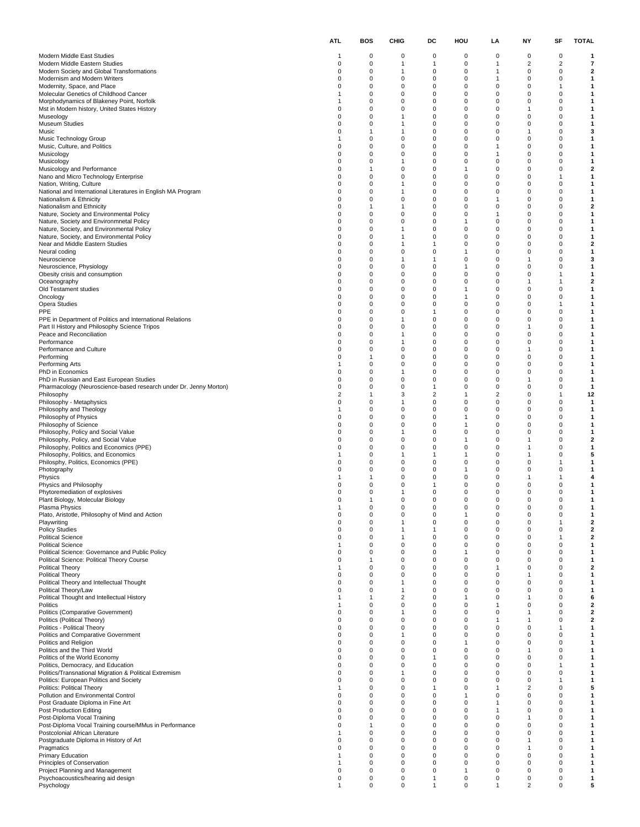|                                                                                                               | ATL                 | BOS         | CHIG                                    | DC                            | HOU                         | LA                   | NΥ                      | SF                  | <b>TOTAL</b>                            |
|---------------------------------------------------------------------------------------------------------------|---------------------|-------------|-----------------------------------------|-------------------------------|-----------------------------|----------------------|-------------------------|---------------------|-----------------------------------------|
| Modern Middle East Studies                                                                                    | -1                  | 0           | 0                                       | 0                             | 0                           | 0                    | 0                       | 0                   | 1                                       |
| Modern Middle Eastern Studies                                                                                 | 0                   | 0           | 1                                       | 1                             | 0                           | 1                    | $\overline{\mathbf{c}}$ | $\overline{2}$      | $\overline{7}$                          |
| Modern Society and Global Transformations<br>Modernism and Modern Writers                                     | 0<br>0              | 0<br>0      | $\overline{1}$<br>0                     | 0<br>0                        | $\mathbf 0$<br>0            | 1<br>1               | 0<br>0                  | 0<br>0              | $\overline{\mathbf{2}}$<br>1            |
| Modernity, Space, and Place                                                                                   | 0                   | 0           | $\mathbf 0$                             | $\mathbf 0$                   | $\mathbf 0$                 | $\Omega$             | 0                       | 1                   | 1                                       |
| Molecular Genetics of Childhood Cancer<br>Morphodynamics of Blakeney Point, Norfolk                           | 1<br>-1             | 0<br>0      | 0<br>0                                  | 0<br>0                        | $\mathbf 0$<br>0            | 0<br>0               | 0<br>0                  | 0<br>0              | 1<br>1                                  |
| Mst in Modern history, United States History                                                                  | 0                   | 0           | 0                                       | $\mathbf 0$                   | $\mathbf 0$                 | 0                    | 1                       | 0                   | 1                                       |
| Museology<br><b>Museum Studies</b>                                                                            | 0<br>0              | 0<br>0      | $\mathbf{1}$<br>$\mathbf{1}$            | $\mathbf 0$<br>0              | 0<br>$\mathbf 0$            | 0<br>$\Omega$        | 0<br>$\mathbf 0$        | 0<br>0              | 1<br>1                                  |
| Music                                                                                                         | 0                   | 1           | 1                                       | 0                             | $\mathbf 0$                 | 0                    | 1                       | 0                   | 3                                       |
| Music Technology Group<br>Music, Culture, and Politics                                                        | -1<br>0             | 0<br>0      | 0<br>$\mathbf 0$                        | 0<br>$\mathbf 0$              | 0<br>$\mathbf 0$            | 0<br>1               | 0<br>0                  | 0<br>0              | 1<br>1                                  |
| Musicology                                                                                                    | 0                   | 0           | 0                                       | $\mathbf 0$                   | 0                           | 1                    | 0                       | 0                   | 1                                       |
| Musicology<br>Musicology and Performance                                                                      | 0<br>0              | 0<br>1      | $\mathbf{1}$<br>0                       | 0<br>0                        | $\Omega$<br>$\mathbf{1}$    | $\Omega$<br>0        | $\mathbf 0$<br>0        | 0<br>0              | 1<br>2                                  |
| Nano and Micro Technology Enterprise                                                                          | 0                   | 0           | 0                                       | 0                             | 0                           | 0                    | 0                       | 1                   | 1                                       |
| Nation, Writing, Culture                                                                                      | 0<br>0              | 0<br>0      | $\mathbf{1}$<br>$\mathbf{1}$            | 0<br>0                        | $\mathbf 0$<br>0            | 0                    | 0<br>0                  | 0<br>0              | 1<br>1                                  |
| National and International Literatures in English MA Program<br>Nationalism & Ethnicity                       | 0                   | 0           | $\mathbf 0$                             | 0                             | $\mathbf 0$                 | 0<br>-1              | $\mathbf 0$             | 0                   | 1                                       |
| Nationalism and Ethnicity                                                                                     | 0                   | 1           | $\mathbf{1}$<br>0                       | 0<br>0                        | $\mathbf 0$<br>0            | 0<br>1               | 0<br>0                  | 0<br>0              | 2<br>1                                  |
| Nature, Society and Environmental Policy<br>Nature, Society and Environmnetal Policy                          | 0<br>0              | 0<br>0      | 0                                       | $\mathbf 0$                   | $\mathbf{1}$                | 0                    | 0                       | 0                   | 1                                       |
| Nature, Society, and Environmental Policy                                                                     | 0                   | 0           | $\mathbf{1}$                            | $\mathbf 0$                   | 0                           | 0                    | 0                       | 0                   | 1                                       |
| Nature, Society, and Environmental Policy<br>Near and Middle Eastern Studies                                  | 0<br>0              | 0<br>0      | $\mathbf{1}$<br>1                       | 0<br>-1                       | $\mathbf 0$<br>$\mathbf 0$  | $\Omega$<br>0        | $\mathbf 0$<br>0        | 0<br>0              | 1<br>2                                  |
| Neural coding                                                                                                 | 0                   | 0           | 0                                       | 0                             | $\mathbf{1}$                | 0                    | 0                       | 0                   | 1                                       |
| Neuroscience<br>Neuroscience, Physiology                                                                      | 0<br>0              | 0<br>0      | $\overline{1}$<br>0                     | -1<br>$\mathbf 0$             | $\mathbf 0$<br>$\mathbf{1}$ | 0<br>0               | 1<br>0                  | 0<br>0              | 3<br>1                                  |
| Obesity crisis and consumption                                                                                | 0                   | 0           | $\mathbf 0$                             | 0                             | $\mathbf 0$                 | $\Omega$             | $\mathbf 0$             | 1                   | 1                                       |
| Oceanography<br>Old Testament studies                                                                         | 0<br>0              | 0<br>0      | 0<br>0                                  | 0<br>0                        | $\mathbf 0$<br>$\mathbf{1}$ | 0<br>0               | 1<br>0                  | $\mathbf{1}$<br>0   | 2<br>1                                  |
| Oncology                                                                                                      | 0                   | 0           | $\pmb{0}$                               | $\mathbf 0$                   | $\mathbf{1}$                | 0                    | 0                       | 0                   | 1                                       |
| Opera Studies<br>PPE                                                                                          | 0<br>0              | 0<br>0      | 0<br>$\mathbf 0$                        | $\mathbf 0$<br>$\mathbf{1}$   | 0<br>$\Omega$               | 0<br>$\Omega$        | 0<br>$\mathbf 0$        | 1<br>0              | 1<br>1                                  |
| PPE in Department of Politics and International Relations                                                     | 0                   | 0           | $\mathbf{1}$                            | 0                             | $\mathbf 0$                 | 0                    | 0                       | 0                   | 1                                       |
| Part II History and Philosophy Science Tripos                                                                 | 0<br>$\Omega$       | 0           | 0                                       | 0<br>$\mathbf 0$              | 0<br>$\mathbf 0$            | 0                    | 1                       | 0<br>0              | 1                                       |
| Peace and Reconciliation<br>Performance                                                                       | 0                   | 0<br>0      | $\mathbf{1}$<br>$\mathbf{1}$            | $\mathbf 0$                   | 0                           | 0<br>0               | 0<br>0                  | 0                   | 1<br>1                                  |
| Performance and Culture                                                                                       | 0                   | 0           | $\mathbf 0$                             | 0                             | $\mathbf 0$                 | $\Omega$             | 1                       | 0                   | 1                                       |
| Performing<br>Performing Arts                                                                                 | 0<br>1              | 1<br>0      | 0<br>0                                  | 0<br>0                        | $\mathbf 0$<br>0            | 0<br>0               | 0<br>0                  | 0<br>0              | 1<br>1                                  |
| PhD in Economics                                                                                              | 0                   | 0           | $\overline{1}$                          | $\mathbf 0$                   | $\mathbf 0$                 | 0                    | 0                       | 0                   | 1                                       |
| PhD in Russian and East European Studies<br>Pharmacology (Neuroscience-based research under Dr. Jenny Morton) | 0<br>$\Omega$       | 0<br>0      | 0<br>$\mathbf 0$                        | 0<br>$\mathbf{1}$             | 0<br>$\mathbf 0$            | 0<br>0               | 1<br>$\mathbf 0$        | 0<br>0              | 1<br>$\mathbf{1}$                       |
| Philosophy                                                                                                    | 2                   | 1           | 3                                       | $\overline{2}$                | $\mathbf{1}$                | 2                    | 0                       | $\mathbf{1}$        | 12                                      |
| Philosophy - Metaphysics<br>Philosophy and Theology                                                           | 0<br>1              | 0<br>0      | 1<br>$\mathbf 0$                        | 0<br>0                        | 0<br>$\mathbf 0$            | 0<br>0               | 0<br>0                  | 0<br>0              | $\mathbf{1}$<br>1                       |
| Philosophy of Physics                                                                                         | 0                   | 0           | 0                                       | 0                             | $\mathbf{1}$                | 0                    | 0                       | 0                   | 1                                       |
| Philosophy of Science<br>Philosophy, Policy and Social Value                                                  | 0<br>0              | 0<br>0      | $\mathbf 0$<br>1                        | 0<br>0                        | $\mathbf{1}$<br>$\mathbf 0$ | $\Omega$<br>0        | $\mathbf 0$<br>0        | 0<br>0              | 1<br>1                                  |
| Philosophy, Policy, and Social Value                                                                          | 0                   | 0           | 0                                       | 0                             | $\mathbf{1}$                | 0                    | 1                       | 0                   | 2                                       |
| Philosophy, Politics and Economics (PPE)<br>Philosophy, Politics, and Economics                               | 0<br>1              | 0<br>0      | $\pmb{0}$<br>1                          | $\mathbf 0$<br>$\mathbf{1}$   | $\mathbf 0$<br>$\mathbf{1}$ | 0<br>0               | $\mathbf{1}$<br>1       | 0<br>0              | 1<br>5                                  |
| Philosphy, Politics, Economics (PPE)                                                                          | 0                   | 0           | $\mathbf 0$                             | $\mathbf 0$                   | $\mathbf 0$                 | 0                    | $\mathbf 0$             | 1                   | 1                                       |
| Photography<br>Physics                                                                                        | 0<br>1              | 0<br>1      | 0<br>0                                  | 0<br>0                        | $\mathbf{1}$<br>0           | $\Omega$<br>0        | 0<br>1                  | 0<br>1              | 1<br>4                                  |
| Physics and Philosophy                                                                                        | 0                   | 0           | 0                                       | -1                            | $\mathbf 0$                 | 0                    | 0                       | 0                   | 1                                       |
| Phytoremediation of explosives<br>Plant Biology, Molecular Biology                                            | O                   | 0           | $\mathbf{1}$<br>$\mathbf 0$             | $\mathbf 0$<br>$\Omega$       | 0<br>$\Omega$               | 0<br>O               | 0<br>O                  | 0<br>O              | 1<br>1                                  |
| Plasma Physics                                                                                                | $\mathbf{1}$        | 0           | 0                                       | 0                             | 0                           | 0                    | 0                       | 0                   | 1                                       |
| Plato, Aristotle, Philosophy of Mind and Action<br>Playwriting                                                | 0<br>0              | 0<br>0      | $\pmb{0}$<br>$\overline{1}$             | 0<br>$\mathbf 0$              | $\mathbf{1}$<br>$\mathbf 0$ | 0<br>0               | 0<br>$\mathsf 0$        | 0<br>$\overline{1}$ | $\mathbf{1}$<br>$\overline{\mathbf{2}}$ |
| <b>Policy Studies</b>                                                                                         | 0                   | 0           | $\mathbf{1}$                            | $\mathbf{1}$                  | 0                           | 0                    | 0                       | 0                   | $\mathbf 2$                             |
| <b>Political Science</b><br><b>Political Science</b>                                                          | 0<br>$\mathbf{1}$   | 0<br>0      | $\overline{1}$<br>0                     | $\mathbf 0$<br>0              | $\mathbf 0$<br>$\mathbf 0$  | $\Omega$<br>$\Omega$ | $\mathbf 0$<br>0        | 1<br>0              | 2<br>1                                  |
| Political Science: Governance and Public Policy                                                               | 0                   | 0           | 0                                       | 0                             | $\mathbf{1}$                | 0                    | 0                       | 0                   | 1                                       |
| Political Science: Political Theory Course                                                                    | 0<br>1              | 1<br>0      | $\mathbf 0$<br>$\mathbf 0$              | $\mathbf 0$<br>$\mathbf 0$    | $\mathbf 0$<br>0            | $\Omega$<br>-1       | 0<br>0                  | 0<br>0              | $\mathbf{1}$<br>$\mathbf{2}$            |
| Political Theory<br>Political Theory                                                                          | 0                   | 0           | $\mathbf 0$                             | 0                             | $\mathbf 0$                 | $\Omega$             | 1                       | 0                   | 1                                       |
| Political Theory and Intellectual Thought                                                                     | 0                   | 0           | $\overline{1}$                          | 0                             | $\mathbf 0$                 | 0                    | 0                       | 0                   | 1                                       |
| Political Theory/Law<br>Political Thought and Intellectual History                                            | 0<br>1              | 0<br>1      | $\mathbf{1}$<br>$\overline{\mathbf{c}}$ | 0<br>$\mathbf 0$              | 0<br>$\mathbf{1}$           | 0<br>$\Omega$        | 0<br>1                  | 0<br>0              | 1<br>6                                  |
| Politics                                                                                                      | $\overline{1}$      | 0           | 0                                       | $\mathbf 0$                   | 0                           | -1                   | 0                       | 0                   | $\mathbf 2$                             |
| Politics (Comparative Government)<br>Politics (Political Theory)                                              | 0<br>0              | 0<br>0      | $\mathbf{1}$<br>0                       | 0<br>0                        | $\mathbf 0$<br>$\mathbf 0$  | $\Omega$<br>1        | 1<br>1                  | 0<br>0              | 2<br>2                                  |
| Politics - Political Theory                                                                                   | 0                   | 0           | 0                                       | 0                             | 0                           | 0                    | 0                       | $\mathbf{1}$        | 1                                       |
| Politics and Comparative Government<br>Politics and Religion                                                  | 0<br>0              | 0<br>0      | $\overline{1}$<br>$\mathbf 0$           | $\mathbf 0$<br>$\mathbf 0$    | $\mathbf 0$<br>$\mathbf{1}$ | 0<br>0               | $\pmb{0}$<br>0          | 0<br>0              | $\mathbf{1}$<br>1                       |
| Politics and the Third World                                                                                  | 0                   | 0           | $\mathbf 0$                             | 0                             | $\mathbf 0$                 | $\Omega$             | 1                       | 0                   | 1                                       |
| Politics of the World Economy<br>Politics, Democracy, and Education                                           | 0<br>0              | 0<br>0      | 0<br>0                                  | -1<br>0                       | $\mathbf 0$<br>0            | $\Omega$<br>0        | 0<br>0                  | 0<br>1              | 1<br>1                                  |
| Politics/Transnational Migration & Political Extremism                                                        | 0                   | $\mathbf 0$ | $\mathbf{1}$                            | $\mathbf 0$                   | $\mathbf 0$                 | 0                    | $\mathsf 0$             | 0                   | $\mathbf{1}$                            |
| Politics: European Politics and Society<br>Politics: Political Theory                                         | 0<br>$\overline{1}$ | 0<br>0      | $\mathbf 0$<br>$\mathbf 0$              | $\mathbf 0$<br>$\overline{1}$ | 0<br>$\mathbf 0$            | 0<br>-1              | 0<br>2                  | 1<br>0              | 1<br>5                                  |
| Pollution and Environmental Control                                                                           | 0                   | 0           | 0                                       | 0                             | $\mathbf{1}$                | $\Omega$             | 0                       | 0                   | 1                                       |
| Post Graduate Diploma in Fine Art<br>Post Production Editing                                                  | 0<br>0              | 0<br>0      | 0<br>$\mathbf 0$                        | 0<br>$\mathbf 0$              | 0<br>$\mathbf 0$            | -1<br>1              | 0<br>0                  | 0<br>$\mathbf 0$    | 1<br>$\mathbf{1}$                       |
| Post-Diploma Vocal Training                                                                                   | 0                   | 0           | $\mathbf 0$                             | $\mathbf 0$                   | 0                           | 0                    | 1                       | 0                   | 1                                       |
| Post-Diploma Vocal Training course/MMus in Performance<br>Postcolonial African Literature                     | 0<br>$\mathbf{1}$   | 1<br>0      | $\mathbf 0$<br>0                        | 0<br>0                        | $\mathbf 0$<br>$\mathbf 0$  | $\Omega$<br>0        | $\Omega$<br>0           | 0<br>0              | 1<br>1                                  |
| Postgraduate Diploma in History of Art                                                                        | 0                   | 0           | 0                                       | 0                             | 0                           | 0                    | 1                       | 0                   | 1                                       |
| Pragmatics                                                                                                    | 0                   | 0           | $\mathbf 0$                             | $\mathbf 0$                   | $\mathbf 0$                 | 0                    | 1                       | 0                   | $\mathbf{1}$                            |
| Primary Education<br>Principles of Conservation                                                               | 1<br>1              | 0<br>0      | $\mathbf 0$<br>$\mathbf 0$              | $\mathbf 0$<br>0              | 0<br>$\mathbf 0$            | 0<br>$\Omega$        | 0<br>$\mathbf 0$        | 0<br>0              | 1<br>1                                  |
| Project Planning and Management                                                                               | 0                   | 0           | 0                                       | 0                             | $\mathbf{1}$                | 0                    | 0                       | 0                   | 1                                       |
| Psychoacoustics/hearing aid design<br>Psychology                                                              | 0<br>$\overline{1}$ | 0<br>0      | $\pmb{0}$<br>$\mathbf 0$                | 1<br>1                        | $\mathbf 0$<br>$\mathbf 0$  | 0<br>-1              | 0<br>$\overline{2}$     | 0<br>0              | 1<br>5                                  |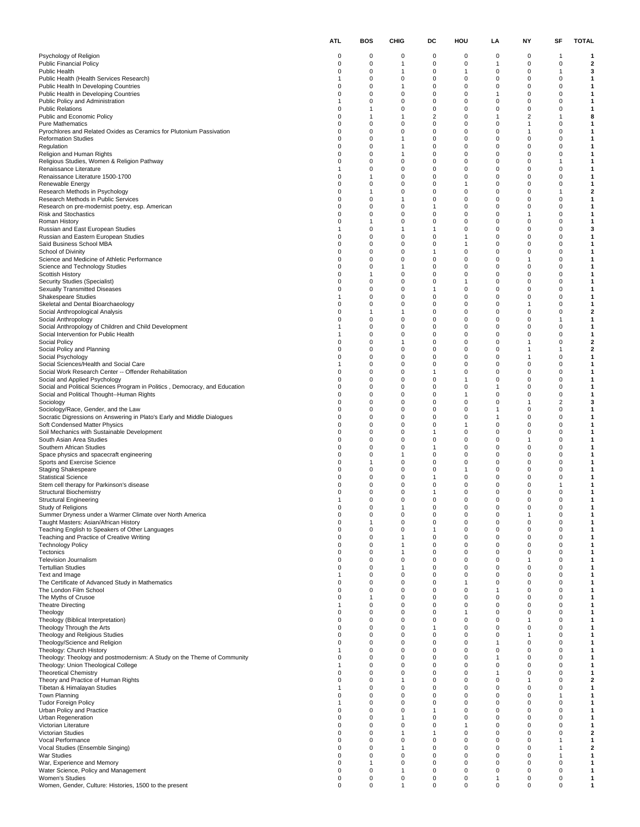|                                                                                                                | ATL.                 | BOS                     | CHIG                             | DC            | HOU                       | LA              | NΥ                          | SF                      | TOTAL  |
|----------------------------------------------------------------------------------------------------------------|----------------------|-------------------------|----------------------------------|---------------|---------------------------|-----------------|-----------------------------|-------------------------|--------|
| Psychology of Religion                                                                                         | 0                    | 0                       | 0                                | 0             | 0                         | 0               | 0                           | $\mathbf{1}$            | 1      |
| <b>Public Financial Policy</b>                                                                                 | $\Omega$             | $\mathbf 0$             | $\overline{1}$                   | 0             | $\Omega$                  | -1              | $\mathbf 0$                 | $\mathbf 0$             | 2      |
| <b>Public Health</b><br>Public Health (Health Services Research)                                               | $\Omega$             | $\mathbf 0$<br>0        | $\mathbf{1}$<br>0                | 0<br>0        | $\mathbf{1}$<br>0         | 0<br>0          | 0<br>0                      | 1<br>0                  | 3<br>1 |
| Public Health In Developing Countries                                                                          | 0                    | 0                       | $\overline{1}$                   | 0             | 0                         | 0               | 0                           | $\Omega$                | 1      |
| Public Health in Developing Countries                                                                          | 0                    | 0                       | $\mathbf 0$                      | 0             | 0                         | -1              | 0                           | $\mathbf 0$             | 1      |
| Public Policy and Administration<br><b>Public Relations</b>                                                    | $\Omega$             | $\Omega$<br>1           | 0<br>0                           | 0<br>0        | $\mathbf 0$<br>$\Omega$   | 0<br>0          | 0<br>$\mathbf 0$            | 0<br>$\Omega$           | 1<br>1 |
| Public and Economic Policy                                                                                     | $\Omega$             | 1                       | 1                                | 2             | $^{\circ}$                | 1               | $\overline{2}$              | 1                       | 8      |
| Pure Mathematics                                                                                               | 0                    | 0                       | 0                                | 0             | $\mathbf 0$               | 0               | -1                          | $\Omega$                | 1      |
| Pyrochlores and Related Oxides as Ceramics for Plutonium Passivation                                           | 0                    | 0                       | $\mathbf 0$                      | 0             | 0                         | 0               | $\mathbf{1}$                | $\mathbf 0$             | 1      |
| <b>Reformation Studies</b><br>Regulation                                                                       | $\Omega$<br>$\Omega$ | $\mathbf 0$<br>$\Omega$ | $\mathbf{1}$<br>$\mathbf{1}$     | 0<br>0        | $\mathbf 0$<br>0          | 0<br>0          | 0<br>$\mathbf 0$            | $\Omega$<br>$\Omega$    | 1<br>1 |
| Religion and Human Rights                                                                                      | $\Omega$             | 0                       | $\mathbf{1}$                     | 0             | 0                         | 0               | $\Omega$                    | $\Omega$                | 1      |
| Religious Studies, Women & Religion Pathway                                                                    | $\Omega$             | 0                       | $\mathbf 0$                      | 0             | $\mathbf 0$               | 0               | $\Omega$                    | 1                       | 1      |
| Renaissance Literature<br>Renaissance Literature 1500-1700                                                     | -1<br>$\Omega$       | 0<br>1                  | $\mathbf 0$<br>$\mathbf 0$       | 0<br>0        | 0<br>$\Omega$             | 0<br>$^{\circ}$ | 0<br>0                      | $\mathbf 0$<br>0        | 1<br>1 |
| Renewable Energy                                                                                               | $\Omega$             | $\mathbf 0$             | 0                                | 0             | $\mathbf{1}$              | 0               | $\mathbf 0$                 | $\Omega$                | 1      |
| Research Methods in Psychology                                                                                 | $\Omega$             | 1                       | 0                                | 0             | 0                         | 0               | $\Omega$                    | 1                       | 2      |
| Research Methods in Public Services                                                                            | $\Omega$<br>0        | 0<br>0                  | $\overline{1}$<br>$\mathbf 0$    | 0<br>1        | 0<br>0                    | 0<br>0          | $\Omega$<br>0               | $\Omega$<br>$\mathbf 0$ | 1<br>1 |
| Research on pre-modernist poetry, esp. American<br>Risk and Stochastics                                        | $\Omega$             | $\Omega$                | $\mathbf 0$                      | 0             | $\mathbf 0$               | $^{\circ}$      | $\mathbf{1}$                | $\Omega$                | 1      |
| Roman History                                                                                                  | $\Omega$             | 1                       | 0                                | 0             | $\Omega$                  | 0               | $\mathbf 0$                 | $\Omega$                | 1      |
| Russian and East European Studies                                                                              |                      | 0                       | $\mathbf{1}$                     | 1             | $^{\circ}$                | 0               | $\Omega$                    | $\Omega$                | 3      |
| Russian and Eastern European Studies<br>Saïd Business School MBA                                               | 0<br>0               | 0<br>0                  | $\mathbf 0$<br>$\mathbf 0$       | 0<br>0        | 1<br>$\mathbf{1}$         | 0<br>0          | $\mathbf 0$<br>0            | $\Omega$<br>$\mathbf 0$ | 1<br>1 |
| School of Divinity                                                                                             | $\Omega$             | $\mathbf 0$             | 0                                | 1             | $\mathbf 0$               | $^{\circ}$      | $\Omega$                    | $\Omega$                | 1      |
| Science and Medicine of Athletic Performance                                                                   | $\Omega$             | $\mathbf 0$             | 0                                | 0             | $\mathbf 0$               | $^{\circ}$      | $\mathbf{1}$                | $\Omega$                | 1      |
| Science and Technology Studies<br>Scottish History                                                             | $\Omega$<br>0        | 0                       | 1<br>$\mathbf 0$                 | 0<br>0        | 0<br>$\Omega$             | 0<br>0          | $\Omega$<br>$\Omega$        | $\Omega$<br>$\Omega$    | 1<br>1 |
| Security Studies (Specialist)                                                                                  | 0                    | 1<br>0                  | $\mathbf 0$                      | 0             | $\mathbf{1}$              | 0               | $\mathbf 0$                 | $\mathbf 0$             | 1      |
| <b>Sexually Transmitted Diseases</b>                                                                           | $\Omega$             | $\mathbf 0$             | 0                                | 1             | $\mathbf 0$               | $^{\circ}$      | 0                           | $\Omega$                | 1      |
| <b>Shakespeare Studies</b>                                                                                     |                      | $\Omega$                | 0                                | 0             | 0                         | 0               | $\mathbf 0$                 | $\Omega$                | 1      |
| Skeletal and Dental Bioarchaeology                                                                             | $\Omega$<br>$\Omega$ | 0<br>1                  | 0<br>$\overline{1}$              | 0<br>0        | $^{\circ}$<br>$\mathbf 0$ | 0<br>0          | -1<br>$\Omega$              | $\Omega$<br>$\Omega$    | 1<br>2 |
| Social Anthropological Analysis<br>Social Anthropology                                                         | 0                    | 0                       | $\mathbf 0$                      | 0             | 0                         | 0               | 0                           | 1                       | 1      |
| Social Anthropology of Children and Child Development                                                          |                      | $\mathbf 0$             | 0                                | 0             | $\mathbf 0$               | 0               | $\Omega$                    | 0                       | 1      |
| Social Intervention for Public Health                                                                          |                      | $\mathbf 0$             | $\mathbf 0$                      | 0             | $\mathbf 0$               | 0               | $\mathbf 0$                 | $\Omega$                | 1      |
| Social Policy<br>Social Policy and Planning                                                                    | $\Omega$<br>$\Omega$ | 0<br>0                  | 1<br>0                           | 0<br>0        | 0<br>0                    | 0<br>0          | -1<br>-1                    | $\Omega$<br>1           | 2<br>2 |
| Social Psychology                                                                                              | 0                    | 0                       | $\mathbf 0$                      | 0             | 0                         | 0               | $\mathbf{1}$                | $\mathbf 0$             | 1      |
| Social Sciences/Health and Social Care                                                                         |                      | $\mathbf 0$             | 0                                | 0             | $\mathbf 0$               | $\Omega$        | $\Omega$                    | $\Omega$                | 1      |
| Social Work Research Center -- Offender Rehabilitation                                                         | $\Omega$<br>$\Omega$ | $\mathbf 0$             | 0                                | 1             | $\Omega$<br>$\mathbf{1}$  | 0               | 0<br>$\Omega$               | $\Omega$<br>$\Omega$    | 1      |
| Social and Applied Psychology<br>Social and Political Sciences Program in Politics, Democracy, and Education   | $\Omega$             | 0<br>0                  | 0<br>0                           | 0<br>0        | 0                         | 0<br>1          | $\mathbf 0$                 | $\Omega$                | 1<br>1 |
| Social and Political Thought--Human Rights                                                                     | 0                    | 0                       | $\mathbf 0$                      | 0             | $\mathbf{1}$              | 0               | 0                           | 0                       | 1      |
| Sociology                                                                                                      | $\Omega$             | $\mathbf 0$             | 0                                | 0             | $\mathbf 0$               | 0               | $\mathbf{1}$                | $\overline{2}$          | 3      |
| Sociology/Race, Gender, and the Law<br>Socratic Digressions on Answering in Plato's Early and Middle Dialogues | $\Omega$<br>$\Omega$ | $\mathbf 0$<br>0        | 0<br>0                           | 0<br>0        | $\mathbf 0$<br>$^{\circ}$ | 1<br>1          | $\mathbf 0$<br>$\Omega$     | $\Omega$<br>$\Omega$    | 1<br>1 |
| Soft Condensed Matter Physics                                                                                  | 0                    | 0                       | 0                                | 0             | $\mathbf{1}$              | 0               | $\Omega$                    | $\Omega$                | 1      |
| Soil Mechanics with Sustainable Development                                                                    | 0                    | 0                       | $\mathbf 0$                      | $\mathbf{1}$  | 0                         | 0               | 0                           | $\mathbf 0$             | 1      |
| South Asian Area Studies                                                                                       | $\Omega$             | $\mathbf 0$             | $\mathbf 0$                      | 0             | $\mathbf 0$               | 0               | $\mathbf{1}$                | $\Omega$                | 1      |
| Southern African Studies<br>Space physics and spacecraft engineering                                           | $\Omega$<br>$\Omega$ | $\mathbf 0$<br>0        | $\mathbf 0$<br>$\mathbf{1}$      | 1<br>0        | $\mathbf 0$<br>0          | 0<br>0          | $\mathbf 0$<br>$\Omega$     | $\Omega$<br>$\Omega$    | 1<br>1 |
| Sports and Exercise Science                                                                                    | $\Omega$             | 1                       | 0                                | 0             | $\Omega$                  | 0               | 0                           | $\Omega$                | 1      |
| <b>Staging Shakespeare</b>                                                                                     | 0                    | 0                       | $\mathbf 0$                      | 0             | $\mathbf{1}$              | 0               | $\mathbf 0$                 | $\mathbf 0$             | 1      |
| <b>Statistical Science</b><br>Stem cell therapy for Parkinson's disease                                        | O                    | $\Omega$<br>0           | 0<br>0                           | 1<br>0        | $\mathbf 0$<br>0          | $\Omega$<br>0   | 0<br>0                      | $\Omega$<br>1           | 1<br>1 |
| <b>Structural Biochemistry</b>                                                                                 |                      | 0                       | 0                                | 1             | 0                         | 0               | 0                           | $\Omega$                | 1      |
| <b>Structural Engineering</b>                                                                                  |                      | 0                       | 0                                | 0             | $\mathbf 0$               | 0               | $\mathbf 0$                 | $\Omega$                | 1      |
| Study of Religions<br>Summer Dryness under a Warmer Climate over North America                                 | 0                    | $\Omega$<br>0           | 1<br>0                           | $\Omega$<br>0 | $\Omega$<br>$\Omega$      | $\Omega$<br>0   | $\Omega$<br>1               | U<br>0                  | 1      |
| Taught Masters: Asian/African History                                                                          | 0                    | $\mathbf{1}$            | $\mathbf 0$                      | 0             | 0                         | 0               | 0                           | 0                       | 1      |
| Teaching English to Speakers of Other Languages                                                                | 0                    | 0                       | 0                                | 1             | 0                         | 0               | 0                           | 0                       | 1      |
| Teaching and Practice of Creative Writing                                                                      | 0                    | 0                       | $\overline{1}$                   | 0             | $\mathbf 0$               | 0               | $\mathbf 0$                 | $\Omega$                | 1      |
| <b>Technology Policy</b><br>Tectonics                                                                          | 0<br>0               | 0<br>$\mathbf 0$        | $\overline{1}$<br>$\overline{1}$ | 0<br>0        | 0<br>$\mathbf 0$          | 0<br>0          | 0<br>$\mathbf 0$            | 0<br>$\mathbf 0$        | 1<br>1 |
| Television Journalism                                                                                          | 0                    | $\Omega$                | $\mathbf 0$                      | 0             | $\Omega$                  | 0               | 1                           | $\Omega$                | 1      |
| <b>Tertullian Studies</b>                                                                                      | 0                    | 0                       | 1                                | 0             | $^{\circ}$                | 0               | 0                           | 0                       | 1      |
| Text and Image<br>The Certificate of Advanced Study in Mathematics                                             | 1<br>0               | 0<br>0                  | $\mathbf 0$<br>$\mathbf 0$       | 0<br>0        | $\Omega$<br>$\mathbf{1}$  | 0<br>0          | $\mathbf 0$<br>0            | $\Omega$<br>0           | 1<br>1 |
| The London Film School                                                                                         | 0                    | $\mathbf 0$             | 0                                | 0             | $\mathbf 0$               | -1              | $\mathbf 0$                 | $\mathbf 0$             | 1      |
| The Myths of Crusoe                                                                                            | 0                    | 1                       | 0                                | 0             | $\Omega$                  | 0               | $\mathbf 0$                 | $\Omega$                | 1      |
| <b>Theatre Directing</b>                                                                                       |                      | 0                       | 0                                | 0             | $^{\circ}$                | 0               | $\Omega$                    | $\Omega$<br>$\Omega$    | 1      |
| Theology<br>Theology (Biblical Interpretation)                                                                 | 0<br>0               | 0<br>0                  | 0<br>$\mathbf 0$                 | 0<br>0        | $\mathbf{1}$<br>0         | 0<br>0          | $\mathbf 0$<br>$\mathbf{1}$ | 0                       | 1<br>1 |
| Theology Through the Arts                                                                                      | 0                    | $\mathbf 0$             | 0                                | 1             | $\mathbf 0$               | 0               | $\mathbf 0$                 | $\mathbf 0$             | 1      |
| Theology and Religious Studies                                                                                 | 0                    | $\Omega$                | 0                                | 0             | $\Omega$                  | 0               | 1                           | $\Omega$                | 1      |
| Theology/Science and Religion<br>Theology: Church History                                                      | $\Omega$<br>-1       | 0<br>0                  | 0<br>0                           | 0<br>0        | $\mathbf 0$<br>0          | 1<br>0          | 0<br>$\mathbf 0$            | $\Omega$<br>$\Omega$    | 1<br>1 |
| Theology: Theology and postmodernism: A Study on the Theme of Community                                        | 0                    | 0                       | 0                                | 0             | 0                         | 1               | 0                           | 0                       | 1      |
| Theology: Union Theological College                                                                            | -1                   | $\mathbf 0$             | 0                                | 0             | $\mathbf 0$               | $^{\circ}$      | $\mathbf 0$                 | $\mathbf 0$             | 1      |
| <b>Theoretical Chemistry</b>                                                                                   | $\Omega$             | $\Omega$                | 0                                | 0             | $\Omega$                  | 1               | $\mathbf 0$                 | $\Omega$                | 1      |
| Theory and Practice of Human Rights<br>Tibetan & Himalayan Studies                                             | $\Omega$<br>1        | $\mathbf 0$<br>0        | 1<br>0                           | 0<br>0        | $^{\circ}$<br>$\mathbf 0$ | 0<br>0          | $\mathbf{1}$<br>0           | 0<br>$\Omega$           | 2<br>1 |
| Town Planning                                                                                                  | 0                    | 0                       | $\mathbf 0$                      | 0             | 0                         | 0               | 0                           | 1                       | 1      |
| <b>Tudor Foreign Policy</b>                                                                                    | 1                    | $\mathbf 0$             | 0                                | 0             | $\mathbf 0$               | $\Omega$        | $\mathbf 0$                 | $\mathbf 0$             | 1      |
| Urban Policy and Practice                                                                                      | 0<br>0               | $\Omega$<br>$\Omega$    | 0<br>1                           | 1<br>0        | $\Omega$<br>$^{\circ}$    | 0<br>0          | $\mathbf 0$<br>0            | $\Omega$<br>0           | 1      |
| Urban Regeneration<br>Victorian Literature                                                                     | 0                    | 0                       | 0                                | 0             | $\mathbf{1}$              | 0               | $\mathbf 0$                 | $\Omega$                | 1<br>1 |
| Victorian Studies                                                                                              | 0                    | 0                       | 1                                | 1             | 0                         | 0               | 0                           | 0                       | 2      |
| Vocal Performance                                                                                              | 0                    | $\Omega$                | 0                                | 0             | $\mathbf 0$               | 0               | $\mathbf 0$                 | 1                       | 1      |
| Vocal Studies (Ensemble Singing)<br><b>War Studies</b>                                                         | 0<br>$\Omega$        | $\Omega$<br>$\Omega$    | 1<br>0                           | 0<br>0        | $\Omega$<br>$^{\circ}$    | 0<br>0          | $\mathbf 0$<br>0            | 1<br>1                  | 2<br>1 |
| War, Experience and Memory                                                                                     | 0                    | 1                       | 0                                | 0             | $\mathbf 0$               | 0               | 0                           | $\mathbf 0$             | 1      |
| Water Science, Policy and Management                                                                           | 0                    | 0                       | 1                                | 0             | $\mathbf 0$               | 0               | 0                           | 0                       | 1      |
| Women's Studies                                                                                                | 0                    | 0                       | 0<br>$\overline{1}$              | 0             | $\mathbf 0$               | $\mathbf{1}$    | 0                           | 0                       | 1      |
| Women, Gender, Culture: Histories, 1500 to the present                                                         | 0                    | 0                       |                                  | 0             | 0                         | 0               | 0                           | 0                       | 1      |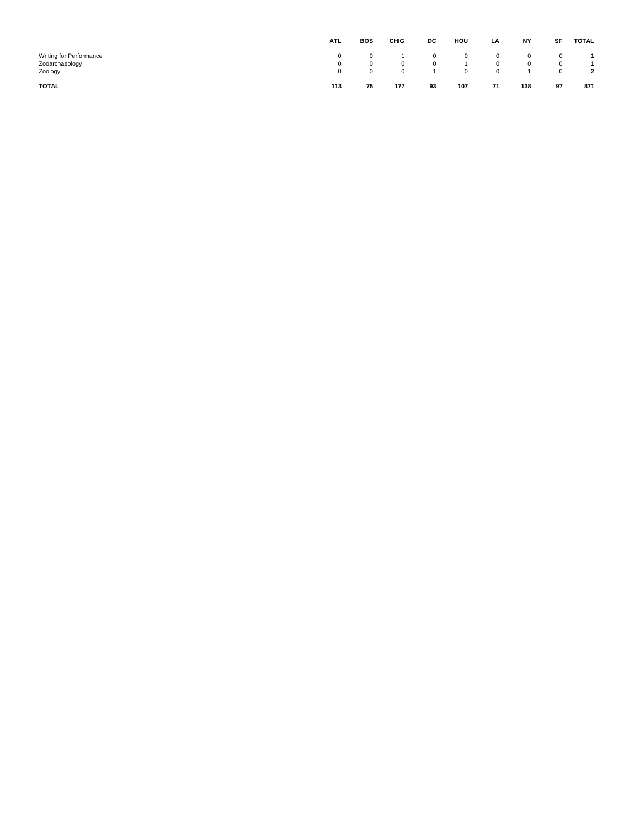|                                                      | <b>ATL</b>  | <b>BOS</b>           | CHIG   | DC                           | HOU                    | LA          | <b>NY</b>                    | SF          | TOTAL          |
|------------------------------------------------------|-------------|----------------------|--------|------------------------------|------------------------|-------------|------------------------------|-------------|----------------|
| Writing for Performance<br>Zooarchaeology<br>Zoology | 0<br>0<br>0 | $^{\circ}$<br>0<br>0 | 0<br>0 | $\mathbf{0}$<br>$\mathbf{0}$ | $^{\circ}$<br>$\Omega$ | 0<br>0<br>0 | $\mathbf{0}$<br>$\mathbf{0}$ | 0<br>0<br>0 | $\overline{2}$ |
| <b>TOTAL</b>                                         | 113         | 75                   | 177    | 93                           | 107                    | 71          | 138                          | 97          | 871            |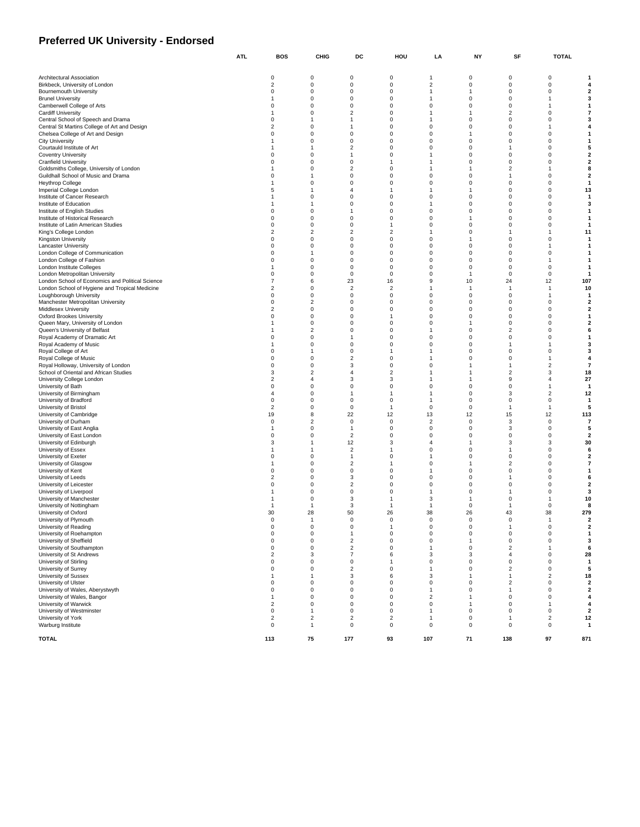#### **Preferred UK University - Endorsed**

|                                                                                    | ATL.                          | BOS                 | CHIG                           | DC                         | HOU                                     | LA                       | NΥ                   | SF                            | TOTAL                                              |
|------------------------------------------------------------------------------------|-------------------------------|---------------------|--------------------------------|----------------------------|-----------------------------------------|--------------------------|----------------------|-------------------------------|----------------------------------------------------|
|                                                                                    |                               |                     |                                |                            |                                         |                          |                      |                               |                                                    |
| Architectural Association<br>Birkbeck, University of London                        | 0<br>$\sqrt{2}$               | 0<br>0              | 0<br>$\pmb{0}$                 | 0<br>$\mathsf 0$           | $\mathbf{1}$<br>$\overline{\mathbf{c}}$ | 0<br>$\pmb{0}$           | 0<br>0               | 0<br>$\pmb{0}$                | 4                                                  |
| <b>Bournemouth University</b>                                                      | 0                             | 0                   | $\mathbf 0$                    | 0                          | $\overline{1}$                          | 1                        | $\mathbf 0$          | 0                             | $\overline{2}$                                     |
| <b>Brunel University</b>                                                           | 1                             | 0                   | $\mathbf 0$                    | $\mathsf 0$                | 1                                       | $\pmb{0}$                | $\Omega$             | $\mathbf{1}$                  | 3                                                  |
| Camberwell College of Arts                                                         | 0                             | 0                   | $\mathbf 0$                    | 0                          | 0                                       | 0                        | $\Omega$             | $\mathbf{1}$                  |                                                    |
| <b>Cardiff University</b>                                                          | 1<br>0                        | 0<br>1              | $\sqrt{2}$                     | 0                          | $\mathbf{1}$                            | 1                        | 2<br>0               | 0                             | 7<br>3                                             |
| Central School of Speech and Drama<br>Central St Martins College of Art and Design | $\overline{2}$                | 0                   | $\mathbf{1}$<br>$\mathbf{1}$   | 0<br>$\mathbf 0$           | $\mathbf{1}$<br>0                       | 0<br>$\pmb{0}$           | $\Omega$             | 0<br>$\mathbf{1}$             | 4                                                  |
| Chelsea College of Art and Design                                                  | 0                             | 0                   | 0                              | 0                          | 0                                       | 1                        | $\mathbf 0$          | 0                             | $\mathbf{1}$                                       |
| <b>City University</b>                                                             | 1                             | 0                   | $\pmb{0}$                      | 0                          | 0                                       | $\pmb{0}$                | 0                    | $\pmb{0}$                     | -1                                                 |
| Courtauld Institute of Art                                                         | 1                             | 1                   | $\overline{2}$                 | 0                          | 0                                       | 0                        | 1                    | 0                             | 5                                                  |
| <b>Coventry University</b>                                                         | $\mathbf 0$<br>0              | 0                   | $\mathbf{1}$                   | $\mathbf 0$<br>1           | 1                                       | $\pmb{0}$                | $\Omega$<br>$\Omega$ | $\pmb{0}$                     | $\overline{\mathbf{2}}$                            |
| <b>Cranfield University</b><br>Goldsmiths College, University of London            | $\mathbf{1}$                  | 0<br>0              | $\mathbf 0$<br>$\sqrt{2}$      | 0                          | 1<br>1                                  | 0<br>$\mathbf{1}$        | 2                    | 0<br>$\overline{1}$           | $\overline{\mathbf{2}}$<br>8                       |
| Guildhall School of Music and Drama                                                | 0                             | 1                   | 0                              | 0                          | 0                                       | 0                        | 1                    | 0                             | $\overline{\mathbf{2}}$                            |
| <b>Heythrop College</b>                                                            | $\mathbf{1}$                  | 0                   | $\mathbf 0$                    | 0                          | $\mathbf 0$                             | 0                        | 0                    | 0                             | $\mathbf{1}$                                       |
| Imperial College London                                                            | 5                             | 1                   | $\overline{4}$                 | 1                          | $\mathbf{1}$                            | 1                        | 0                    | $\pmb{0}$                     | 13                                                 |
| Institute of Cancer Research                                                       | $\mathbf{1}$<br>1             | 0<br>1              | $\mathbf 0$                    | 0<br>0                     | 0<br>$\mathbf{1}$                       | 0                        | 0                    | 0                             | -1                                                 |
| Institute of Education<br>Institute of English Studies                             | 0                             | 0                   | 0<br>$\mathbf{1}$              | 0                          | $\mathbf 0$                             | 0<br>0                   | 0<br>$\Omega$        | 0<br>$\pmb{0}$                | 3<br>-1                                            |
| Institute of Historical Research                                                   | $\mathbf 0$                   | 0                   | $\mathbf 0$                    | 0                          | 0                                       | 1                        | 0                    | $\pmb{0}$                     | -1                                                 |
| Institute of Latin American Studies                                                | 0                             | 0                   | $\mathbf 0$                    | $\mathbf{1}$               | 0                                       | 0                        | 0                    | 0                             | -1                                                 |
| King's College London                                                              | $\overline{2}$                | $\overline{2}$      | $\sqrt{2}$                     | $\overline{\mathbf{c}}$    | 1                                       | 0                        | 1                    | $\mathbf{1}$                  | 11                                                 |
| Kingston University                                                                | $\Omega$                      | 0                   | $\mathbf 0$                    | 0                          | $\mathbf 0$                             | $\mathbf{1}$             | 0                    | 0                             |                                                    |
| Lancaster University<br>London College of Communication                            | 0<br>0                        | 0<br>$\mathbf{1}$   | $\mathbf 0$<br>$\mathbf 0$     | 0<br>0                     | 0<br>0                                  | $\pmb{0}$<br>0           | 0<br>0               | $\mathbf{1}$<br>0             |                                                    |
| London College of Fashion                                                          | 0                             | 0                   | $\pmb{0}$                      | 0                          | 0                                       | $\pmb{0}$                | 0                    | $\mathbf{1}$                  |                                                    |
| London Institute Colleges                                                          | $\mathbf{1}$                  | 0                   | $\mathbf 0$                    | 0                          | 0                                       | 0                        | 0                    | 0                             | -1                                                 |
| London Metropolitan University                                                     | $\mathbf 0$                   | 0                   | $\mathbf 0$                    | $\mathsf 0$                | 0                                       | 1                        | $^{\circ}$           | $\pmb{0}$                     | -1                                                 |
| London School of Economics and Political Science                                   | $\overline{7}$                | 6                   | 23                             | 16                         | 9                                       | 10                       | 24                   | 12                            | 107                                                |
| London School of Hygiene and Tropical Medicine<br>Loughborough University          | 2<br>0                        | 0<br>0              | $\sqrt{2}$<br>$\mathbf 0$      | $\overline{c}$<br>0        | 1<br>0                                  | -1<br>0                  | -1<br>0              | $\mathbf{1}$<br>$\mathbf{1}$  | 10<br>$\mathbf{1}$                                 |
| Manchester Metropolitan University                                                 | $\Omega$                      | $\boldsymbol{2}$    | $\mathbf 0$                    | $\mathbf 0$                | 0                                       | $\pmb{0}$                | $\Omega$             | $\pmb{0}$                     | $\overline{\mathbf{2}}$                            |
| Middlesex University                                                               | $\overline{2}$                | 0                   | $\mathbf 0$                    | 0                          | 0                                       | 0                        | 0                    | 0                             | $\overline{\mathbf{2}}$                            |
| Oxford Brookes University                                                          | 0                             | 0                   | $\pmb{0}$                      | 1                          | 0                                       | $\pmb{0}$                | 0                    | $\pmb{0}$                     | $\mathbf{1}$                                       |
| Queen Mary, University of London                                                   | $\mathbf{1}$                  | 0                   | $\mathbf 0$                    | 0                          | 0                                       | 1                        | 0                    | 0                             | $\overline{\mathbf{2}}$                            |
| Queen's University of Belfast<br>Royal Academy of Dramatic Art                     | 1<br>0                        | $\overline{2}$<br>0 | $\mathbf 0$<br>$\mathbf{1}$    | $\mathsf 0$<br>0           | 1<br>0                                  | $\pmb{0}$<br>0           | 2<br>$\Omega$        | $\pmb{0}$<br>0                | 6<br>$\mathbf{1}$                                  |
| Royal Academy of Music                                                             | $\mathbf{1}$                  | 0                   | 0                              | 0                          | 0                                       | 0                        | -1                   | $\overline{1}$                | 3                                                  |
| Royal College of Art                                                               | 0                             | 1                   | 0                              | 1                          | 1                                       | 0                        | 0                    | 0                             | 3                                                  |
| Royal College of Music                                                             | $\Omega$                      | 0                   | $\sqrt{2}$                     | 0                          | 1                                       | 0                        | $\Omega$             | $\mathbf{1}$                  | 4                                                  |
| Royal Holloway, University of London                                               | 0                             | 0                   | 3                              | 0                          | 0                                       | 1                        | 1                    | $\sqrt{2}$                    | $\overline{7}$                                     |
| School of Oriental and African Studies<br>University College London                | 3<br>$\overline{2}$           | $\overline{2}$<br>4 | $\sqrt{4}$<br>3                | 2<br>3                     | $\mathbf{1}$<br>$\mathbf{1}$            | $\mathbf{1}$<br>1        | 2<br>9               | 3<br>4                        | 18<br>27                                           |
| University of Bath                                                                 | $\pmb{0}$                     | 0                   | $\mathbf 0$                    | 0                          | 0                                       | 0                        | $\Omega$             | $\mathbf{1}$                  | -1                                                 |
| University of Birmingham                                                           | $\overline{4}$                | 0                   | $\mathbf{1}$                   | $\mathbf{1}$               | $\mathbf{1}$                            | $\pmb{0}$                | 3                    | $\overline{c}$                | 12                                                 |
| University of Bradford                                                             | 0                             | 0                   | $\mathbf 0$                    | 0                          | $\overline{1}$                          | 0                        | 0                    | 0                             | $\mathbf{1}$                                       |
| University of Bristol                                                              | $\overline{2}$                | 0                   | 0                              | $\mathbf{1}$               | $\mathbf 0$                             | 0                        | 1                    | $\mathbf{1}$                  | 5                                                  |
| University of Cambridge<br>University of Durham                                    | 19<br>0                       | 8<br>$\overline{2}$ | 22<br>$\pmb{0}$                | 12<br>0                    | 13<br>$\overline{2}$                    | 12<br>$\pmb{0}$          | 15<br>3              | 12<br>0                       | 113<br>7                                           |
| University of East Anglia                                                          | $\mathbf{1}$                  | 0                   | $\mathbf{1}$                   | 0                          | 0                                       | 0                        | 3                    | $\pmb{0}$                     | 5                                                  |
| University of East London                                                          | 0                             | 0                   | $\sqrt{2}$                     | 0                          | 0                                       | $\pmb{0}$                | 0                    | $\pmb{0}$                     | $\overline{\mathbf{2}}$                            |
| University of Edinburgh                                                            | 3                             | 1                   | 12                             | 3                          | 4                                       | 1                        | 3                    | 3                             | 30                                                 |
| University of Essex                                                                | 1<br>0                        | -1                  | $\sqrt{2}$                     | 1                          | 0                                       | $\pmb{0}$                | -1<br>0              | $\pmb{0}$                     | 6                                                  |
| University of Exeter<br>University of Glasgow                                      | 1                             | 0<br>0              | $\mathbf{1}$<br>$\sqrt{2}$     | 0<br>1                     | 1<br>0                                  | 0<br>1                   | 2                    | 0<br>$\pmb{0}$                | $\overline{\mathbf{2}}$<br>7                       |
| University of Kent                                                                 | 0                             | 0                   | 0                              | 0                          | 1                                       | 0                        | 0                    | 0                             | $\mathbf 1$                                        |
| University of Leeds                                                                | $\overline{2}$                | 0                   | 3                              | $\mathbf 0$                | 0                                       | $\pmb{0}$                | 1                    | $\pmb{0}$                     | 6                                                  |
| University of Leicester                                                            | 0                             | 0                   | $\overline{\mathbf{c}}$        | 0                          | 0                                       | 0                        | 0                    | 0                             | $\overline{\mathbf{2}}$                            |
| University of Liverpool                                                            | 1<br>$\mathbf{1}$             | 0                   | $\pmb{0}$<br>3                 | 0<br>1                     | $\mathbf{1}$<br>3                       | $\pmb{0}$<br>1           | 1<br>$\Omega$        | 0                             | 3                                                  |
| University of Manchester<br>University of Nottingham                               | 1                             | 0<br>1              | 3                              | -1                         | $\mathbf{1}$                            | $\pmb{0}$                | 1                    | $\mathbf{1}$<br>$\pmb{0}$     | 10<br>8                                            |
| University of Oxford                                                               | 30                            | 28                  | 50                             | 26                         | 38                                      | 26                       | 43                   | 38                            | 279                                                |
| University of Plymouth                                                             | $\Omega$                      | $\mathbf{1}$        | $\mathbf 0$                    | $\mathbf 0$                | $\mathbf 0$                             | 0                        | $\Omega$             | $\overline{1}$                | $\overline{\mathbf{2}}$                            |
| University of Reading                                                              | 0                             | 0                   | 0                              | 1                          | 0                                       | 0                        | 1                    | 0                             | 2                                                  |
| University of Roehampton<br>University of Sheffield                                | $\mathbf 0$<br>$\mathbf 0$    | 0<br>0              | $\mathbf{1}$<br>$\overline{c}$ | $\mathsf 0$<br>$\mathsf 0$ | 0<br>0                                  | $\pmb{0}$<br>1           | 0<br>0               | $\pmb{0}$<br>$\pmb{0}$        | $\mathbf{1}$<br>3                                  |
| University of Southampton                                                          | 0                             | 0                   | $\overline{c}$                 | 0                          | $\mathbf{1}$                            | $\pmb{0}$                | 2                    | $\mathbf{1}$                  | 6                                                  |
| University of St Andrews                                                           | $\sqrt{2}$                    | 3                   | $\overline{7}$                 | 6                          | 3                                       | 3                        | 4                    | $\pmb{0}$                     | 28                                                 |
| University of Stirling                                                             | $\mathbf 0$                   | 0                   | $\mathbf 0$                    | $\mathbf{1}$               | 0                                       | $\pmb{0}$                | $\mathbf 0$          | $\pmb{0}$                     | $\overline{1}$                                     |
| University of Surrey                                                               | $\mathbf 0$                   | 0                   | $\sqrt{2}$                     | 0                          | $\overline{1}$                          | $\pmb{0}$                | 2                    | $\pmb{0}$                     | 5                                                  |
| University of Sussex                                                               | $\mathbf{1}$                  | 1                   | 3                              | 6                          | 3                                       | $\mathbf{1}$             | 1                    | $\overline{\mathbf{c}}$       | 18                                                 |
| University of Ulster<br>University of Wales, Aberystwyth                           | 0<br>0                        | 0<br>0              | $\pmb{0}$<br>$\mathbf 0$       | 0<br>0                     | 0<br>$\overline{1}$                     | $\pmb{0}$<br>$\mathbf 0$ | $\overline{c}$<br>1  | 0<br>$\pmb{0}$                | $\overline{\mathbf{2}}$<br>$\overline{\mathbf{2}}$ |
| University of Wales, Bangor                                                        | 1                             | 0                   | $\mathbf 0$                    | 0                          | $\overline{c}$                          | 1                        | 0                    | $\pmb{0}$                     | 4                                                  |
| University of Warwick                                                              | $\overline{2}$                | 0                   | 0                              | 0                          | 0                                       | 1                        | 0                    | $\mathbf{1}$                  | 4                                                  |
| University of Westminster                                                          | $\pmb{0}$                     | 1                   | $\pmb{0}$                      | $\mathsf 0$                | $\mathbf{1}$                            | $\pmb{0}$                | 0                    | $\pmb{0}$                     | $\overline{\mathbf{2}}$                            |
| University of York                                                                 | $\overline{2}$<br>$\mathbf 0$ | $\overline{2}$      | $\overline{2}$<br>$\mathbf 0$  | 2<br>$\mathsf 0$           | $\overline{1}$<br>$\mathsf 0$           | 0                        | 1<br>$\mathbf 0$     | $\overline{2}$<br>$\mathbf 0$ | 12                                                 |
| Warburg Institute                                                                  |                               | $\mathbf{1}$        |                                |                            |                                         | $\pmb{0}$                |                      |                               | $\mathbf{1}$                                       |
| <b>TOTAL</b>                                                                       | 113                           | 75                  | 177                            | 93                         | 107                                     | 71                       | 138                  | 97                            | 871                                                |
|                                                                                    |                               |                     |                                |                            |                                         |                          |                      |                               |                                                    |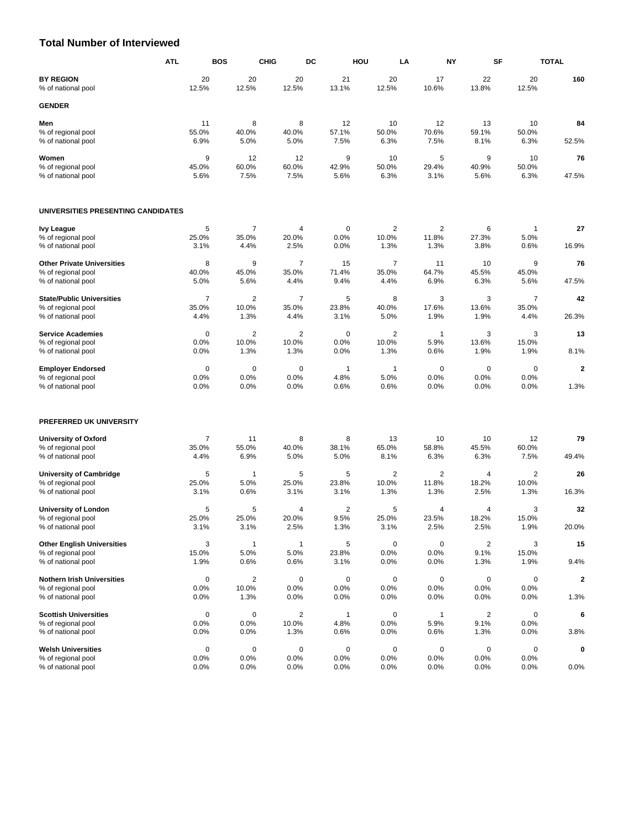#### **Total Number of Interviewed**

|                                        | <b>ATL</b>     | <b>BOS</b>              | <b>CHIG</b>    | DC             | HOU            | LA             | NY             | SF             | <b>TOTAL</b>            |
|----------------------------------------|----------------|-------------------------|----------------|----------------|----------------|----------------|----------------|----------------|-------------------------|
| <b>BY REGION</b><br>% of national pool | 20<br>12.5%    | 20<br>12.5%             | 20<br>12.5%    | 21<br>13.1%    | 20<br>12.5%    | 17<br>10.6%    | 22<br>13.8%    | 20<br>12.5%    | 160                     |
| <b>GENDER</b>                          |                |                         |                |                |                |                |                |                |                         |
| Men                                    | 11             | 8                       | 8              | 12             | 10             | 12             | 13             | 10             | 84                      |
| % of regional pool                     | 55.0%          | 40.0%                   | 40.0%          | 57.1%          | 50.0%          | 70.6%          | 59.1%          | 50.0%          |                         |
| % of national pool                     | 6.9%           | 5.0%                    | 5.0%           | 7.5%           | 6.3%           | 7.5%           | 8.1%           | 6.3%           | 52.5%                   |
| Women                                  | 9              | 12                      | 12             | 9              | 10             | 5              | 9              | 10             | 76                      |
| % of regional pool                     | 45.0%          | 60.0%                   | 60.0%          | 42.9%          | 50.0%          | 29.4%          | 40.9%          | 50.0%          |                         |
| % of national pool                     | 5.6%           | 7.5%                    | 7.5%           | 5.6%           | 6.3%           | 3.1%           | 5.6%           | 6.3%           | 47.5%                   |
| UNIVERSITIES PRESENTING CANDIDATES     |                |                         |                |                |                |                |                |                |                         |
| <b>Ivy League</b>                      | 5              | $\overline{7}$          | 4              | 0              | $\overline{2}$ | $\overline{2}$ | 6              | -1             | 27                      |
| % of regional pool                     | 25.0%          | 35.0%                   | 20.0%          | 0.0%           | 10.0%          | 11.8%          | 27.3%          | 5.0%           |                         |
| % of national pool                     | 3.1%           | 4.4%                    | 2.5%           | 0.0%           | 1.3%           | 1.3%           | 3.8%           | 0.6%           | 16.9%                   |
| <b>Other Private Universities</b>      | 8              | 9                       | $\overline{7}$ | 15             | $\overline{7}$ | 11             | 10             | 9              | 76                      |
| % of regional pool                     | 40.0%          | 45.0%                   | 35.0%          | 71.4%          | 35.0%          | 64.7%          | 45.5%          | 45.0%          |                         |
| % of national pool                     | 5.0%           | 5.6%                    | 4.4%           | 9.4%           | 4.4%           | 6.9%           | 6.3%           | 5.6%           | 47.5%                   |
| <b>State/Public Universities</b>       | $\overline{7}$ | $\overline{2}$          | $\overline{7}$ | 5              | 8              | 3              | 3              | $\overline{7}$ | 42                      |
| % of regional pool                     | 35.0%          | 10.0%                   | 35.0%          | 23.8%          | 40.0%          | 17.6%          | 13.6%          | 35.0%          |                         |
| % of national pool                     | 4.4%           | 1.3%                    | 4.4%           | 3.1%           | 5.0%           | 1.9%           | 1.9%           | 4.4%           | 26.3%                   |
| <b>Service Academies</b>               | $\mathbf 0$    | $\overline{2}$          | $\overline{2}$ | 0              | 2              | $\mathbf{1}$   | 3              | 3              | 13                      |
| % of regional pool                     | 0.0%           | 10.0%                   | 10.0%          | 0.0%           | 10.0%          | 5.9%           | 13.6%          | 15.0%          |                         |
| % of national pool                     | 0.0%           | 1.3%                    | 1.3%           | 0.0%           | 1.3%           | 0.6%           | 1.9%           | 1.9%           | 8.1%                    |
| <b>Employer Endorsed</b>               | $\mathbf 0$    | $\mathbf 0$             | $\mathbf 0$    | $\mathbf{1}$   | $\overline{1}$ | $\mathbf 0$    | $\mathbf 0$    | $\mathbf 0$    | $\overline{\mathbf{2}}$ |
| % of regional pool                     | 0.0%           | 0.0%                    | 0.0%           | 4.8%           | 5.0%           | 0.0%           | 0.0%           | 0.0%           |                         |
| % of national pool                     | 0.0%           | 0.0%                    | 0.0%           | 0.6%           | 0.6%           | 0.0%           | 0.0%           | 0.0%           | 1.3%                    |
| PREFERRED UK UNIVERSITY                |                |                         |                |                |                |                |                |                |                         |
| <b>University of Oxford</b>            | $\overline{7}$ | 11                      | 8              | 8              | 13             | 10             | 10             | 12             | 79                      |
| % of regional pool                     | 35.0%          | 55.0%                   | 40.0%          | 38.1%          | 65.0%          | 58.8%          | 45.5%          | 60.0%          |                         |
| % of national pool                     | 4.4%           | 6.9%                    | 5.0%           | 5.0%           | 8.1%           | 6.3%           | 6.3%           | 7.5%           | 49.4%                   |
| <b>University of Cambridge</b>         | 5              | $\mathbf{1}$            | 5              | 5              | $\overline{2}$ | $\overline{2}$ | $\overline{4}$ | 2              | 26                      |
| % of regional pool                     | 25.0%          | 5.0%                    | 25.0%          | 23.8%          | 10.0%          | 11.8%          | 18.2%          | 10.0%          |                         |
| % of national pool                     | 3.1%           | 0.6%                    | 3.1%           | 3.1%           | 1.3%           | 1.3%           | 2.5%           | 1.3%           | 16.3%                   |
| <b>University of London</b>            | 5              | 5                       | 4              | $\overline{2}$ | 5              | $\overline{4}$ | 4              | 3              | 32                      |
| % of regional pool                     | 25.0%          | 25.0%                   | 20.0%          | 9.5%           | 25.0%          | 23.5%          | 18.2%          | 15.0%          |                         |
| % of national pool                     | 3.1%           | 3.1%                    | 2.5%           | 1.3%           | 3.1%           | 2.5%           | 2.5%           | 1.9%           | 20.0%                   |
| <b>Other English Universities</b>      | 3              | 1                       | $\mathbf{1}$   | 5              | $\mathbf 0$    | $\mathbf 0$    | $\sqrt{2}$     | 3              | 15                      |
| % of regional pool                     | 15.0%          | 5.0%                    | 5.0%           | 23.8%          | 0.0%           | 0.0%           | 9.1%           | 15.0%          |                         |
| % of national pool                     | 1.9%           | 0.6%                    | 0.6%           | 3.1%           | 0.0%           | 0.0%           | 1.3%           | 1.9%           | 9.4%                    |
| <b>Nothern Irish Universities</b>      | $\mathbf 0$    | $\overline{\mathbf{c}}$ | $\pmb{0}$      | 0              | $\mathbf 0$    | 0              | $\mathbf 0$    | 0              | 2                       |
| % of regional pool                     | 0.0%           | 10.0%                   | 0.0%           | 0.0%           | 0.0%           | 0.0%           | 0.0%           | 0.0%           |                         |
| % of national pool                     | 0.0%           | 1.3%                    | 0.0%           | 0.0%           | 0.0%           | 0.0%           | 0.0%           | 0.0%           | 1.3%                    |
| <b>Scottish Universities</b>           | $\pmb{0}$      | $\mathbf 0$             | $\overline{2}$ | 1              | $\mathbf 0$    | 1              | $\overline{2}$ | 0              | 6                       |
| % of regional pool                     | 0.0%           | 0.0%                    | 10.0%          | 4.8%           | 0.0%           | 5.9%           | 9.1%           | 0.0%           |                         |
| % of national pool                     | 0.0%           | 0.0%                    | 1.3%           | 0.6%           | 0.0%           | 0.6%           | 1.3%           | 0.0%           | 3.8%                    |
| <b>Welsh Universities</b>              | $\pmb{0}$      | 0                       | $\pmb{0}$      | 0              | 0              | 0              | $\mathbf 0$    | 0              | 0                       |
| % of regional pool                     | 0.0%           | 0.0%                    | 0.0%           | 0.0%           | 0.0%           | 0.0%           | 0.0%           | 0.0%           |                         |
| % of national pool                     | 0.0%           | 0.0%                    | 0.0%           | 0.0%           | 0.0%           | 0.0%           | 0.0%           | 0.0%           | 0.0%                    |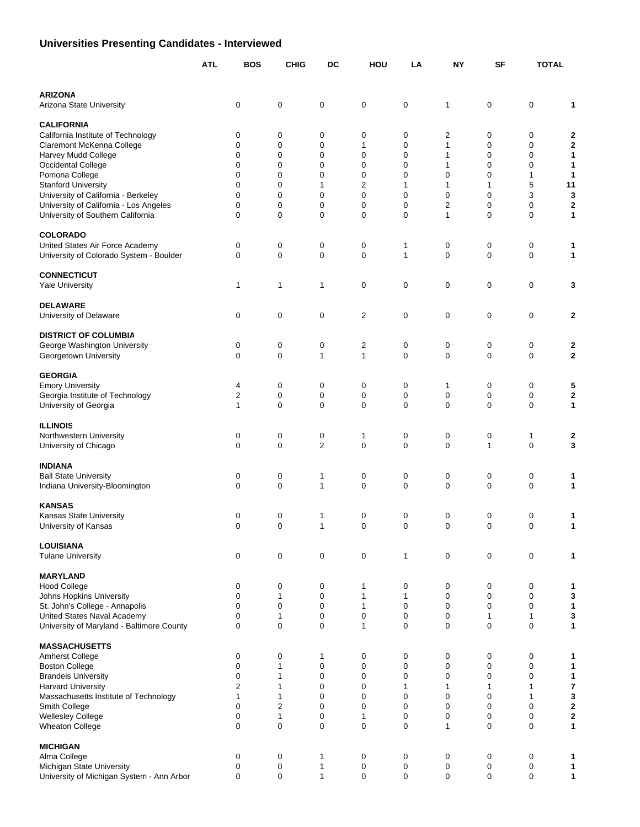# **Universities Presenting Candidates - Interviewed**

|                                                                             | <b>ATL</b> | <b>BOS</b>       | <b>CHIG</b>                     | DC               | HOU                 | LA           | <b>NY</b>         | <b>SF</b>         | <b>TOTAL</b>     |                |
|-----------------------------------------------------------------------------|------------|------------------|---------------------------------|------------------|---------------------|--------------|-------------------|-------------------|------------------|----------------|
| <b>ARIZONA</b><br>Arizona State University                                  |            | 0                | 0                               | 0                | $\mathbf 0$         | 0            | 1                 | 0                 | 0                | 1              |
| <b>CALIFORNIA</b>                                                           |            |                  |                                 |                  |                     |              |                   |                   |                  |                |
| California Institute of Technology                                          |            | 0                | 0                               | 0                | 0                   | 0            | 2                 | 0                 | 0                | 2              |
| Claremont McKenna College<br>Harvey Mudd College                            |            | 0<br>0           | $\boldsymbol{0}$<br>$\mathbf 0$ | 0<br>0           | 1<br>0              | 0<br>0       | $\mathbf{1}$<br>1 | 0<br>0            | 0<br>0           | 2<br>1         |
| Occidental College                                                          |            | $\mathbf 0$      | $\mathbf 0$                     | $\mathbf 0$      | 0                   | 0            | $\mathbf{1}$      | 0                 | $\mathbf 0$      | 1              |
| Pomona College                                                              |            | 0                | 0                               | 0                | 0                   | 0            | 0                 | $\mathbf 0$       | 1                | 1              |
| <b>Stanford University</b>                                                  |            | 0                | 0                               | 1                | 2                   | 1            | 1                 | $\mathbf{1}$      | 5                | 11             |
| University of California - Berkeley                                         |            | 0                | 0                               | 0                | 0                   | 0            | 0                 | $\mathbf 0$       | 3                | 3              |
| University of California - Los Angeles<br>University of Southern California |            | 0<br>$\mathbf 0$ | 0<br>$\mathbf 0$                | 0<br>$\mathbf 0$ | 0<br>$\mathbf 0$    | 0<br>0       | 2<br>$\mathbf{1}$ | 0<br>$\mathbf 0$  | 0<br>$\mathbf 0$ | 2<br>1         |
| <b>COLORADO</b>                                                             |            |                  |                                 |                  |                     |              |                   |                   |                  |                |
| United States Air Force Academy                                             |            | 0                | 0                               | 0                | 0                   | 1            | 0                 | 0                 | 0                | 1              |
| University of Colorado System - Boulder                                     |            | 0                | $\mathbf 0$                     | $\mathbf 0$      | 0                   | 1            | 0                 | $\mathbf 0$       | $\mathbf 0$      | 1              |
| <b>CONNECTICUT</b>                                                          |            |                  |                                 |                  |                     |              |                   |                   |                  |                |
| <b>Yale University</b>                                                      |            | $\mathbf{1}$     | $\mathbf{1}$                    | $\mathbf{1}$     | 0                   | 0            | 0                 | 0                 | $\mathbf 0$      | 3              |
| <b>DELAWARE</b>                                                             |            |                  |                                 |                  |                     |              |                   |                   |                  |                |
| University of Delaware                                                      |            | 0                | 0                               | $\mathbf 0$      | $\overline{2}$      | 0            | 0                 | 0                 | $\mathbf 0$      | 2              |
| <b>DISTRICT OF COLUMBIA</b>                                                 |            |                  |                                 |                  |                     |              |                   |                   |                  |                |
| George Washington University<br>Georgetown University                       |            | 0<br>0           | 0<br>$\mathbf 0$                | 0<br>1           | $\overline{c}$<br>1 | 0<br>0       | 0<br>0            | 0<br>$\mathbf 0$  | 0<br>0           | 2<br>2         |
| <b>GEORGIA</b>                                                              |            |                  |                                 |                  |                     |              |                   |                   |                  |                |
| <b>Emory University</b>                                                     |            | 4                | 0                               | 0                | 0                   | 0            | 1                 | 0                 | 0                | 5              |
| Georgia Institute of Technology                                             |            | 2                | 0                               | 0                | 0                   | 0            | $\mathbf 0$       | 0                 | 0                | 2              |
| University of Georgia                                                       |            | 1                | $\mathbf 0$                     | $\mathbf 0$      | 0                   | 0            | 0                 | $\mathbf 0$       | $\mathbf 0$      | 1              |
| <b>ILLINOIS</b>                                                             |            |                  |                                 |                  |                     |              |                   |                   |                  |                |
| Northwestern University                                                     |            | 0                | $\mathbf 0$                     | 0                | 1                   | 0            | 0                 | 0                 | 1                | 2              |
| University of Chicago                                                       |            | $\mathbf 0$      | $\boldsymbol{0}$                | $\overline{2}$   | $\boldsymbol{0}$    | 0            | 0                 | $\mathbf{1}$      | $\mathbf 0$      | 3              |
| <b>INDIANA</b><br><b>Ball State University</b>                              |            | 0                | 0                               | 1                | $\pmb{0}$           | 0            | 0                 | 0                 | 0                | 1              |
| Indiana University-Bloomington                                              |            | $\mathbf 0$      | $\mathbf 0$                     | 1                | $\mathbf 0$         | 0            | 0                 | $\mathbf 0$       | $\mathbf 0$      | 1              |
| <b>KANSAS</b>                                                               |            |                  |                                 |                  |                     |              |                   |                   |                  |                |
| Kansas State University                                                     |            | 0                | 0                               | 1                | 0                   | 0            | 0                 | 0                 | 0                | 1              |
| University of Kansas                                                        |            | $\Omega$         | $\Omega$                        | 1                | $\Omega$            | $\Omega$     | $\Omega$          | $\Omega$          | $\Omega$         |                |
| <b>LOUISIANA</b>                                                            |            |                  |                                 |                  |                     |              |                   |                   |                  |                |
| <b>Tulane University</b>                                                    |            | 0                | 0                               | 0                | $\mathbf 0$         | $\mathbf{1}$ | $\boldsymbol{0}$  | 0                 | $\mathbf 0$      | 1              |
| <b>MARYLAND</b>                                                             |            |                  |                                 |                  |                     |              |                   |                   |                  |                |
| <b>Hood College</b>                                                         |            | 0                | 0                               | 0                | 1                   | 0            | 0                 | 0                 | 0                | 1              |
| Johns Hopkins University                                                    |            | $\boldsymbol{0}$ | 1                               | 0                | 1                   | 1            | 0                 | 0                 | 0                | 3              |
| St. John's College - Annapolis<br>United States Naval Academy               |            | 0<br>0           | 0<br>$\mathbf{1}$               | 0<br>0           | 1<br>0              | 0<br>0       | 0<br>0            | 0<br>$\mathbf{1}$ | 0<br>1           | 1<br>3         |
| University of Maryland - Baltimore County                                   |            | 0                | $\boldsymbol{0}$                | $\mathbf 0$      | $\mathbf{1}$        | 0            | 0                 | 0                 | $\mathbf 0$      | 1              |
| <b>MASSACHUSETTS</b>                                                        |            |                  |                                 |                  |                     |              |                   |                   |                  |                |
| Amherst College                                                             |            | 0                | 0                               | 1                | 0                   | 0            | 0                 | 0                 | 0                | 1              |
| <b>Boston College</b>                                                       |            | 0                | 1                               | $\pmb{0}$        | 0                   | 0            | 0                 | 0                 | 0                | 1              |
| <b>Brandeis University</b>                                                  |            | 0                | $\mathbf{1}$                    | 0                | 0                   | 0            | 0                 | 0                 | 0                | 1              |
| <b>Harvard University</b>                                                   |            | 2                | $\mathbf{1}$                    | $\mathbf 0$      | 0                   | $\mathbf{1}$ | 1                 | 1                 | 1                | 7              |
| Massachusetts Institute of Technology<br>Smith College                      |            | 1<br>0           | 1<br>$\overline{2}$             | 0<br>0           | 0<br>0              | 0<br>0       | 0<br>0            | 0<br>0            | 1<br>0           | 3<br>2         |
| <b>Wellesley College</b>                                                    |            | 0                | 1                               | 0                | 1                   | 0            | 0                 | 0                 | 0                | $\overline{2}$ |
| <b>Wheaton College</b>                                                      |            | 0                | $\boldsymbol{0}$                | $\mathbf 0$      | $\boldsymbol{0}$    | 0            | $\mathbf{1}$      | 0                 | $\mathbf 0$      | 1              |
| <b>MICHIGAN</b>                                                             |            |                  |                                 |                  |                     |              |                   |                   |                  |                |
| Alma College                                                                |            | 0                | $\pmb{0}$                       | 1                | 0                   | 0            | 0                 | 0                 | 0                | 1              |
| Michigan State University<br>University of Michigan System - Ann Arbor      |            | 0<br>0           | $\pmb{0}$<br>$\boldsymbol{0}$   | 1<br>1           | 0<br>$\mathbf 0$    | 0<br>0       | 0<br>0            | 0<br>0            | 0<br>0           | 1<br>1         |
|                                                                             |            |                  |                                 |                  |                     |              |                   |                   |                  |                |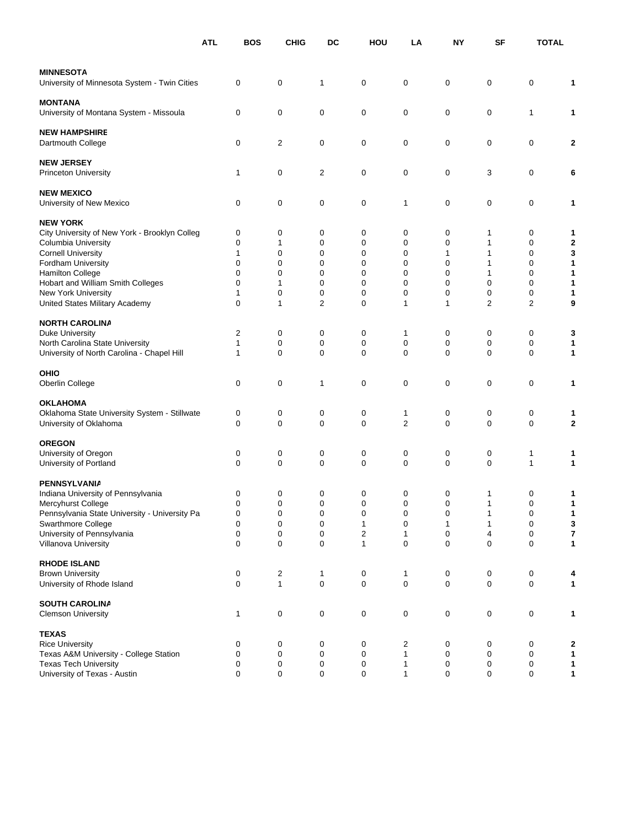|                                                    | <b>ATL</b> | BOS              | <b>CHIG</b>            | DC             | HOU         | LA                    | ΝY               | SF               | <b>TOTAL</b> |             |
|----------------------------------------------------|------------|------------------|------------------------|----------------|-------------|-----------------------|------------------|------------------|--------------|-------------|
| <b>MINNESOTA</b>                                   |            |                  |                        |                |             |                       |                  |                  |              |             |
| University of Minnesota System - Twin Cities       |            | $\mathbf 0$      | $\pmb{0}$              | 1              | 0           | 0                     | 0                | 0                | 0            | 1           |
| <b>MONTANA</b>                                     |            |                  |                        |                |             |                       |                  |                  |              |             |
| University of Montana System - Missoula            |            | 0                | $\mathbf 0$            | 0              | 0           | 0                     | 0                | 0                | 1            | 1           |
| <b>NEW HAMPSHIRE</b>                               |            |                  |                        |                |             |                       |                  |                  |              |             |
| Dartmouth College                                  |            | 0                | 2                      | 0              | 0           | 0                     | 0                | 0                | 0            | 2           |
| <b>NEW JERSEY</b>                                  |            |                  |                        |                |             |                       |                  |                  |              |             |
| Princeton University                               |            | 1                | $\pmb{0}$              | 2              | 0           | 0                     | 0                | 3                | 0            | 6           |
| <b>NEW MEXICO</b>                                  |            |                  |                        |                |             |                       |                  |                  |              |             |
| University of New Mexico                           |            | 0                | $\pmb{0}$              | 0              | 0           | 1                     | 0                | 0                | 0            | 1           |
| <b>NEW YORK</b>                                    |            |                  |                        |                |             |                       |                  |                  |              |             |
| City University of New York - Brooklyn Colleg      |            | 0                | 0                      | 0              | 0           | 0                     | 0                | 1                | 0            | 1           |
| <b>Columbia University</b>                         |            | 0                | 1                      | 0              | 0           | 0                     | 0                | 1                | 0            | 2           |
| <b>Cornell University</b>                          |            | 1                | $\mathbf 0$            | 0              | 0           | 0                     | 1                | 1                | 0            | 3           |
| <b>Fordham University</b>                          |            | 0                | 0                      | 0              | 0           | 0                     | 0                | 1                | 0            | 1           |
| <b>Hamilton College</b>                            |            | $\mathbf 0$      | $\mathbf 0$            | 0              | $\mathbf 0$ | 0                     | 0                | 1                | 0            | 1           |
| Hobart and William Smith Colleges                  |            | 0                | 1                      | $\mathbf 0$    | 0           | 0                     | $\mathbf 0$      | 0                | 0            | 1           |
| New York University                                |            | 1                | 0                      | 0              | 0           | 0                     | 0                | 0                | 0            | 1           |
| United States Military Academy                     |            | $\mathbf 0$      | 1                      | $\overline{2}$ | 0           | 1                     | 1                | 2                | 2            | 9           |
| <b>NORTH CAROLINA</b>                              |            |                  |                        |                |             |                       |                  |                  |              |             |
| Duke University                                    |            | $\overline{c}$   | 0                      | 0              | 0           | 1                     | 0                | 0                | 0            | 3           |
| North Carolina State University                    |            | 1                | 0                      | 0              | 0           | 0                     | 0                | 0                | 0            | 1           |
| University of North Carolina - Chapel Hill         |            | 1                | $\mathbf 0$            | 0              | $\mathbf 0$ | 0                     | $\mathbf 0$      | $\mathbf 0$      | 0            | 1           |
| OHIO                                               |            |                  |                        |                |             |                       |                  |                  |              |             |
| Oberlin College                                    |            | $\mathbf 0$      | $\mathbf 0$            | 1              | 0           | 0                     | 0                | 0                | 0            | 1           |
| <b>OKLAHOMA</b>                                    |            |                  |                        |                |             |                       |                  |                  |              |             |
| Oklahoma State University System - Stillwate       |            | 0                | 0                      | 0              | 0           | 1                     | 0                | 0                | 0            | 1           |
| University of Oklahoma                             |            | 0                | $\mathbf 0$            | 0              | $\mathbf 0$ | 2                     | 0                | 0                | 0            | $\mathbf 2$ |
| <b>OREGON</b>                                      |            |                  |                        |                |             |                       |                  |                  |              |             |
| University of Oregon                               |            | 0                | 0                      | 0              | 0           | 0                     | 0                | 0                | 1            | 1           |
| University of Portland                             |            | $\Omega$         | $\mathbf 0$            | $\mathbf 0$    | $\mathbf 0$ | $\mathbf 0$           | $\mathbf 0$      | $\mathbf 0$      | 1            | 1           |
| PENNSYLVANIA                                       |            |                  |                        |                |             |                       |                  |                  |              |             |
| Indiana University of Pennsylvania                 |            | 0                | 0                      | 0              | 0           | 0                     | 0                | 1                | 0            | 1           |
| Mercyhurst College                                 |            | 0                | 0                      | 0              | 0           | 0                     | 0                |                  | 0            | 1           |
| Pennsylvania State University - University Pa      |            | $\pmb{0}$        | 0                      | $\pmb{0}$      | $\pmb{0}$   | $\pmb{0}$             | $\pmb{0}$        | 1                | 0            | 1           |
| Swarthmore College                                 |            | 0                | $\pmb{0}$              | $\pmb{0}$      | 1           | $\pmb{0}$             | 1                | $\mathbf{1}$     | $\pmb{0}$    | $\mathbf 3$ |
| University of Pennsylvania<br>Villanova University |            | 0<br>$\mathbf 0$ | $\pmb{0}$<br>$\pmb{0}$ | 0<br>0         | 2<br>1      | 1<br>$\boldsymbol{0}$ | 0<br>$\mathbf 0$ | 4<br>$\mathbf 0$ | 0<br>0       | 7<br>1      |
|                                                    |            |                  |                        |                |             |                       |                  |                  |              |             |
| <b>RHODE ISLAND</b>                                |            |                  |                        |                |             |                       |                  |                  |              |             |
| <b>Brown University</b>                            |            | 0                | 2                      | 1              | 0           | 1                     | 0                | 0                | 0            | 4           |
| University of Rhode Island                         |            | 0                | $\mathbf{1}$           | 0              | 0           | $\boldsymbol{0}$      | 0                | $\pmb{0}$        | 0            | 1           |
| <b>SOUTH CAROLINA</b>                              |            |                  |                        |                |             |                       |                  |                  |              |             |
| <b>Clemson University</b>                          |            | 1                | $\pmb{0}$              | 0              | $\pmb{0}$   | $\pmb{0}$             | 0                | $\pmb{0}$        | 0            | 1           |
| <b>TEXAS</b>                                       |            |                  |                        |                |             |                       |                  |                  |              |             |
| <b>Rice University</b>                             |            | 0                | 0                      | 0              | 0           | 2                     | 0                | 0                | 0            | 2           |
| Texas A&M University - College Station             |            | 0                | $\pmb{0}$              | 0              | 0           | 1                     | 0                | 0                | 0            | 1           |
| <b>Texas Tech University</b>                       |            | 0                | $\pmb{0}$              | 0              | 0           | 1                     | 0                | 0                | 0            | 1           |
| University of Texas - Austin                       |            | $\mathbf 0$      | 0                      | 0              | 0           | 1                     | 0                | 0                | 0            | 1           |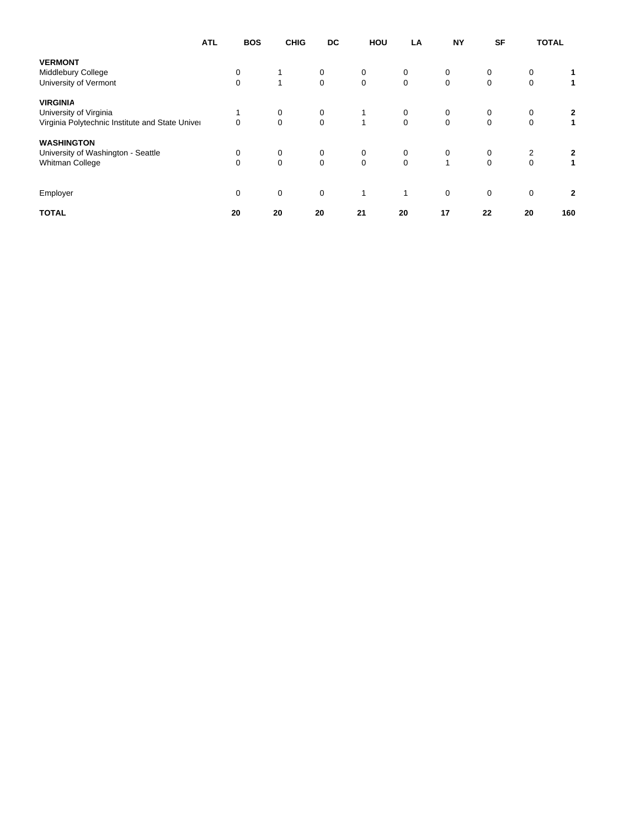|                                                 | <b>ATL</b> | <b>BOS</b>   | <b>CHIG</b> | DC           | HOU          | LA           | <b>NY</b>   | <b>SF</b>   | <b>TOTAL</b> |
|-------------------------------------------------|------------|--------------|-------------|--------------|--------------|--------------|-------------|-------------|--------------|
| <b>VERMONT</b>                                  |            |              |             |              |              |              |             |             |              |
| Middlebury College                              | 0          |              | 0           | 0            | 0            | $\mathbf 0$  | 0           | 0           |              |
| University of Vermont                           | $\Omega$   | $\mathbf{1}$ | $\mathbf 0$ | $\mathbf 0$  | $\mathbf 0$  | $\mathbf 0$  | $\mathbf 0$ | $\mathbf 0$ | 1            |
| <b>VIRGINIA</b>                                 |            |              |             |              |              |              |             |             |              |
| University of Virginia                          |            | 0            | 0           |              | $\mathbf 0$  | 0            | 0           | 0           | 2            |
| Virginia Polytechnic Institute and State Univer | $\Omega$   | $\mathbf 0$  | $\mathbf 0$ | $\mathbf{1}$ | $\mathbf 0$  | $\mathbf 0$  | $\mathbf 0$ | $\mathbf 0$ | 1            |
| <b>WASHINGTON</b>                               |            |              |             |              |              |              |             |             |              |
| University of Washington - Seattle              | 0          | 0            | 0           | 0            | $\mathbf 0$  | 0            | 0           | 2           | 2            |
| Whitman College                                 | $\Omega$   | $\mathbf 0$  | $\mathbf 0$ | $\mathbf 0$  | $\Omega$     | $\mathbf{1}$ | $\mathbf 0$ | $\mathbf 0$ | 1            |
|                                                 | $\Omega$   | $\mathbf 0$  | $\mathbf 0$ | $\mathbf{1}$ | $\mathbf{1}$ | $\Omega$     | $\mathbf 0$ | $\mathbf 0$ | $\mathbf{2}$ |
| Employer                                        |            |              |             |              |              |              |             |             |              |
| <b>TOTAL</b>                                    | 20         | 20           | 20          | 21           | 20           | 17           | 22          | 20          | 160          |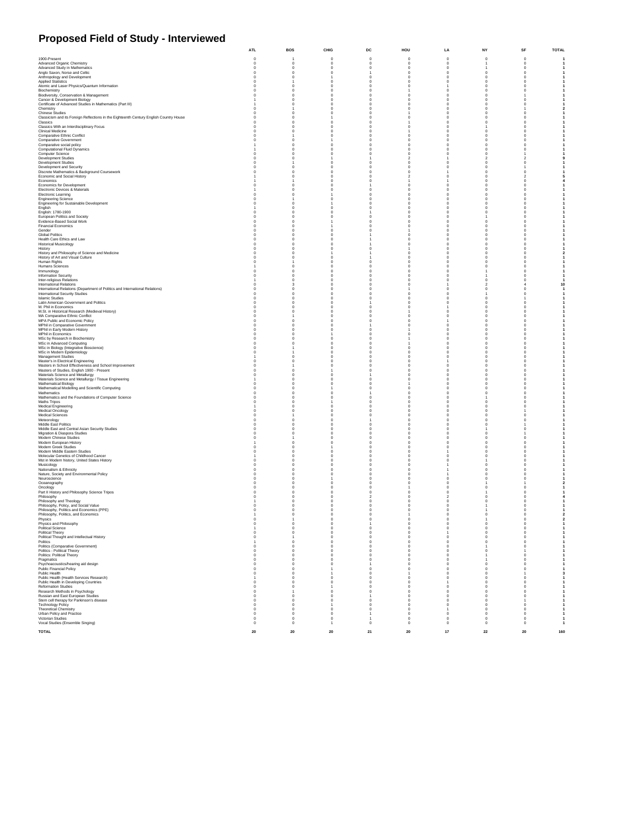# **Proposed Field of Study - Interviewed**

|                                                                                        | <b>ATL</b>                 | BOS                        | <b>CHIG</b>               | DC                       | HOU                        | LA                           | NΥ                        | SF                  | TOTAL                          |
|----------------------------------------------------------------------------------------|----------------------------|----------------------------|---------------------------|--------------------------|----------------------------|------------------------------|---------------------------|---------------------|--------------------------------|
| 1900-Present                                                                           | $\mathbf 0$                |                            | $\mathbf 0$               | $\ddot{\mathbf{0}}$      | $\circ$                    | $\mathbf 0$                  | $\circ$                   | $\ddot{\mathbf{0}}$ |                                |
| Advanced Organic Chemistry                                                             | $\mathbf 0$                | $\bf{0}$                   | $\mathbf 0$               | $\circ$                  | $\mathbf 0$                | $\mathbf 0$                  |                           | $\mathbf 0$         |                                |
| <b>Advanced Study in Mathematics</b>                                                   | $\Omega$                   | $\mathbf 0$                | $\Omega$                  | $\mathbf 0$              | $\Omega$                   | $\mathbf 0$                  |                           | $\Omega$            |                                |
| Anglo Saxon, Norse and Celtic                                                          | $\Omega$                   | $\Omega$                   | $\Omega$                  |                          | $\Omega$                   | $\mathbf 0$                  | $\Omega$                  |                     |                                |
| Anthropology and Development                                                           | $\Omega$                   | $^{\circ}$                 |                           | 0                        | $^{\circ}$                 | $^{\circ}$                   | $^{\circ}$                |                     |                                |
| <b>Applied Statistics</b><br>Atomic and Laser Physics/Quantum Information              |                            | 0                          | $\Omega$                  | $^{\circ}$<br>0          | $\Omega$                   | $^{\circ}$                   | $^{\circ}$<br>0           |                     |                                |
| Biochemistry                                                                           |                            | 0                          |                           | 0                        |                            | $\mathbf 0$                  | $^{\circ}$                |                     |                                |
| Biodiversity, Conservation & Management                                                |                            |                            |                           | O                        |                            | $\pmb{0}$                    | 0                         |                     |                                |
| Cancer & Development Biology                                                           |                            |                            |                           | 0                        |                            | $\bf{0}$                     | $\mathbf 0$               |                     |                                |
| Certificate of Advanced Studies in Mathematics (Part III)                              |                            | $\Omega$                   | $\Omega$                  | $\Omega$                 | $\Omega$                   | $\mathbf 0$                  | $\mathbf 0$               |                     |                                |
| Chemistry<br>Chinese Studies                                                           |                            |                            | $\Omega$                  | $\Omega$                 | $\Omega$                   | $\mathbf{0}$                 | $\Omega$                  |                     |                                |
| Classicism and its Foreign Reflections in the Eighteenth Century English Country House |                            | O<br>$^{\circ}$            | $\Omega$                  | $^{\circ}$<br>$^{\circ}$ | $^{\circ}$                 | $^{\circ}$<br>$^{\circ}$     | $^{\circ}$<br>$^{\circ}$  |                     |                                |
| Classics                                                                               |                            | O                          | $\Omega$                  | $^{\circ}$               |                            | $^{\circ}$                   | $^{\circ}$                |                     |                                |
| Classics With an Interdisciplinary Focus                                               |                            |                            |                           | 0                        | 0                          | $\mathbf 0$                  |                           |                     |                                |
| Clinical Medicine                                                                      |                            | 0                          |                           | 0                        |                            | $\mathbf 0$                  | $^{\circ}$                |                     |                                |
| Comparative Ethnic Conflict                                                            |                            |                            |                           | C                        |                            | $\pmb{0}$                    | 0                         |                     |                                |
| Comparative Government                                                                 |                            | $\Omega$                   |                           | 0<br>$\Omega$            |                            | $\bf{0}$                     | $\mathbf 0$<br>$\circ$    |                     |                                |
| Comparative social policy                                                              |                            | $\Omega$<br>$\Omega$       | $\Omega$                  | $\Omega$                 | $\Omega$<br>$\Omega$       | $\mathbf 0$<br>$\mathbf{0}$  | $\Omega$                  |                     |                                |
| <b>Computational Fluid Dynamics</b><br><b>Computer Science</b>                         |                            | $^{\circ}$                 | $\Omega$                  | $^{\circ}$               | $\Omega$                   | $^{\circ}$                   | $^{\circ}$                |                     |                                |
| <b>Development Studies</b>                                                             |                            | 0                          |                           |                          |                            | -1                           | $\overline{2}$            |                     |                                |
| <b>Development Studies</b>                                                             |                            |                            |                           | 0                        |                            | $\mathbf 0$                  | $\circ$                   |                     |                                |
| Development and Security                                                               |                            | 0                          |                           | 0                        |                            | $\bf{0}$                     | $\mathbf 0$               |                     |                                |
| Discrete Mathematics & Background Coursework                                           |                            | $\Omega$                   |                           | 0                        |                            |                              | o                         |                     |                                |
| Economic and Social History<br>Economics                                               |                            |                            | $\Omega$                  | 0<br>$\Omega$            |                            | $\bf{0}$                     | 0<br>$\mathbf 0$          |                     |                                |
| Economics for Development                                                              |                            | $\Omega$                   | $\Omega$                  |                          | $\Omega$                   | $\mathbf{0}$                 | $\mathbf 0$               |                     |                                |
| Electronic Devices & Materials                                                         |                            | Ω                          | $\Omega$                  | 0                        | $\Omega$                   | $^{\circ}$                   | $^{\circ}$                |                     |                                |
| Electronic Learning                                                                    |                            | O                          |                           | 0                        | $\Omega$                   | $^{\circ}$                   | $^{\circ}$                |                     |                                |
| <b>Engineering Science</b>                                                             |                            |                            |                           | 0                        |                            | $\mathbf 0$                  | 0                         |                     |                                |
| Engineering for Sustainable Development                                                |                            |                            |                           | 0<br>O                   |                            | $\mathbf 0$<br>$\pmb{0}$     | $^{\circ}$<br>$\mathbf 0$ |                     |                                |
| English<br>English: 1780-1900                                                          |                            |                            |                           |                          |                            | $\bf{0}$                     | $\mathbf 0$               |                     |                                |
| European Politics and Society                                                          |                            | $\Omega$                   |                           | $\Omega$                 |                            | $\mathbf{0}$                 |                           |                     |                                |
| Evidence-Based Social Work                                                             |                            | $\Omega$                   |                           | $\Omega$                 | $\Omega$                   | $\mathbf{0}$                 | $\Omega$                  |                     |                                |
| <b>Financial Economics</b>                                                             |                            | O                          |                           | $^{\circ}$               | $\Omega$                   | $^{\circ}$                   | $^{\circ}$                |                     |                                |
| Gender<br><b>Global Politics</b>                                                       | $\Omega$                   | $^{\circ}$                 | $\Omega$                  | $^{\circ}$               |                            | $^{\circ}$                   | $^{\circ}$                |                     |                                |
| Health Care Ethics and Law                                                             |                            | O                          | $\Omega$                  |                          | $\Omega$                   | $^{\circ}$<br>$\mathbf 0$    | $^{\circ}$<br>0           |                     |                                |
| <b>Historical Musicology</b>                                                           |                            | 0                          |                           |                          |                            | $\mathbf 0$                  | $^{\circ}$                |                     |                                |
| History                                                                                |                            |                            |                           |                          |                            | $\pmb{0}$                    | 0                         |                     |                                |
| History and Philosophy of Science and Medicine                                         |                            | $\circ$                    |                           |                          |                            | $\bf{0}$                     | $\mathbf 0$               |                     |                                |
| History of Art and Visual Culture                                                      |                            | $\Omega$                   |                           |                          | $\Omega$                   | $\mathbf{0}$                 | $\circ$                   |                     |                                |
| Human Rights<br><b>Humans Sciences</b>                                                 |                            | O                          | $\Omega$<br>$\Omega$      | $\Omega$<br>$^{\circ}$   | $\Omega$<br>$\Omega$       | $\mathbf{0}$<br>$^{\circ}$   | $\Omega$<br>$^{\circ}$    |                     |                                |
| Immunology                                                                             |                            | 0                          | $\Omega$                  | 0                        | $\Omega$                   | $^{\circ}$                   |                           |                     |                                |
| Information Security                                                                   |                            | 0                          |                           | 0                        |                            | $\mathbf 0$                  |                           |                     |                                |
| Inter-religious Relations                                                              |                            |                            |                           | 0                        |                            | $\bf{0}$                     | $^{\circ}$                |                     |                                |
| International Relations                                                                |                            |                            |                           | 0                        |                            |                              | $\overline{2}$            |                     | 10                             |
| International Relations (Department of Politics and International Relations)           |                            |                            |                           | 0                        |                            | $\pmb{0}$                    | 0                         |                     |                                |
| International Security Studies                                                         |                            | $\Omega$                   | $\Omega$                  | $\Omega$<br>$\Omega$     | $\Omega$                   | $\mathbf{0}$                 |                           |                     |                                |
| <b>Islamic Studies</b><br>Latin American Government and Politics                       |                            | $\Omega$<br>O              | $\Omega$<br>$\Omega$      |                          | $\Omega$<br>$\Omega$       | $\mathbf{0}$<br>$^{\circ}$   | $\mathbf 0$<br>$^{\circ}$ |                     |                                |
| M. Phil in Economics                                                                   |                            | O                          | $\Omega$                  | $^{\circ}$               | $\Omega$                   |                              | $^{\circ}$                |                     |                                |
| M.St. in Historical Research (Medieval History)                                        |                            | o                          |                           | 0                        |                            | $\mathbf 0$                  | 0                         |                     |                                |
| MA Comparative Ethnic Conflict                                                         |                            |                            |                           | 0                        |                            | $\mathbf 0$                  | $^{\circ}$                |                     |                                |
| MPA Public and Economic Policy                                                         |                            |                            |                           | O                        |                            |                              | $\mathbf 0$               |                     |                                |
| MPhil in Comparative Government                                                        |                            |                            |                           |                          |                            | $\bf{0}$                     | $\mathbf 0$               |                     |                                |
| MPhil in Early Modern History                                                          |                            | $\Omega$<br>$\Omega$       | $\Omega$                  | $\Omega$<br>$\Omega$     | $\Omega$                   | $\mathbf{0}$<br>$\mathbf{0}$ | $\mathbf 0$<br>$\Omega$   |                     |                                |
| MPhil in Economics<br>MSc by Research in Biochemistry                                  | $\Omega$                   | O                          | $\Omega$                  | $^{\circ}$               |                            | $^{\circ}$                   | $^{\circ}$                |                     |                                |
| MSc in Advanced Computing                                                              | $\Omega$                   | $^{\circ}$                 | $\Omega$                  | $^{\circ}$               |                            | $^{\circ}$                   | $^{\circ}$                |                     |                                |
| MSc in Biology (Integrative Bioscience)                                                |                            |                            | $\Omega$                  | $^{\circ}$               | $\Omega$                   | $^{\circ}$                   | $^{\circ}$                |                     |                                |
| MSc in Modern Epidemiology                                                             |                            |                            |                           | 0                        |                            | $\mathbf 0$                  | 0                         |                     |                                |
| Management Studies                                                                     |                            |                            |                           | 0                        |                            | $\mathbf 0$                  | $^{\circ}$                |                     |                                |
| Master's in Electrical Engineering                                                     |                            |                            |                           | C                        |                            |                              | 0                         |                     |                                |
| Masters in School Effectiveness and School Improvement                                 |                            | $\Omega$                   |                           | 0<br>$\Omega$            |                            | $\bf{0}$<br>$\mathbf 0$      | $\mathbf 0$<br>$\circ$    |                     |                                |
| Masters of Studies, English 1900 - Present<br>Materials Science and Metallurgy         |                            | $\Omega$                   | $\Omega$                  |                          |                            | $\mathbf 0$                  | $\Omega$                  |                     |                                |
| Materials Science and Metallurgy / Tissue Engineering                                  |                            | $\Omega$                   | $\Omega$                  | $^{\circ}$               | $\Omega$                   | $^{\circ}$                   | $^{\circ}$                |                     |                                |
|                                                                                        |                            | 0                          | $\Omega$                  | 0                        |                            | $^{\circ}$                   | $^{\circ}$                |                     |                                |
| Mathematical Biology<br>Mathematical Modelling and Scientific Computing                |                            | 0                          |                           | 0                        |                            | $\mathbf 0$                  | $^{\circ}$                |                     |                                |
| Mathematics                                                                            |                            |                            |                           |                          |                            | $\bf{0}$                     | $^{\circ}$                |                     |                                |
| Mathematics and the Foundations of Computer Science                                    |                            | $\Omega$                   |                           | 0                        |                            | $\bf{0}$<br>$\pmb{0}$        | 0                         |                     |                                |
| Maths Tripos<br>Medical Engineering                                                    |                            | $\Omega$                   | $\Omega$                  | $\Omega$                 | $\Omega$                   | $\mathbf 0$                  | $\Omega$                  |                     |                                |
| Medical Oncology                                                                       |                            | $\Omega$                   | $\Omega$                  | $\Omega$                 | $\Omega$                   | $\mathbf{0}$                 | $\Omega$                  |                     |                                |
| <b>Medical Sciences</b>                                                                |                            |                            | $\Omega$                  | $^{\circ}$               | $\Omega$                   | $^{\circ}$                   | $^{\circ}$                |                     |                                |
| Meteorology                                                                            |                            | O                          | $\Omega$                  |                          | $\Omega$                   | $^{\circ}$                   | $^{\circ}$                |                     |                                |
| Middle East Politics                                                                   |                            | 0                          |                           | 0                        |                            | $\mathbf 0$                  | 0                         |                     |                                |
| Middle East and Central Asian Security Studies<br>Migration & Diaspora Studies         |                            | 0                          |                           | 0<br>O                   |                            | $\mathbf 0$<br>$\pmb{0}$     |                           |                     |                                |
| Modern Chinese Studies                                                                 |                            |                            |                           | 0                        |                            | $\bf{0}$                     | $\mathbf 0$               |                     |                                |
| Modern European History                                                                |                            | $\Omega$                   |                           | $\Omega$                 |                            | $\mathbf 0$                  | $\mathbf 0$               |                     |                                |
| Modern Greek Studies                                                                   |                            | $\Omega$                   |                           | $\Omega$                 | $\Omega$                   | $\mathbf 0$                  | $\Omega$                  |                     |                                |
| Modern Middle Eastern Studies                                                          |                            | O                          | $\Omega$                  | $^{\circ}$               | $\Omega$                   | -1                           | $^{\circ}$                |                     |                                |
| Molecular Genetics of Childhood Cancer<br>Mst in Modern history, United States History |                            | O<br>Ω                     | $\Omega$<br>$\Omega$      | $^{\circ}$<br>0          | $\Omega$                   | $^{\circ}$<br>$^{\circ}$     | $^{\circ}$                |                     |                                |
| Musicology                                                                             |                            |                            |                           | 0                        |                            |                              | 0                         |                     |                                |
| Nationalism & Ethnicity                                                                |                            |                            |                           | 0                        |                            |                              | $^{\circ}$                |                     |                                |
| Nature, Society and Environmental Policy                                               |                            |                            |                           |                          |                            |                              | o                         |                     |                                |
| Neuroscience                                                                           |                            |                            |                           |                          |                            | $\bf{0}$                     | $\mathbf 0$               |                     |                                |
| Oceanography                                                                           |                            | $\Omega$<br>$\Omega$       |                           | $\Omega$<br>$\Omega$     |                            | $\mathbf 0$<br>$\mathbf 0$   | $^{\circ}$                |                     |                                |
| Oncology<br>Part II History and Philosophy Science Tripos                              |                            | O                          | $\Omega$                  | $^{\circ}$               |                            | $^{\circ}$                   |                           |                     |                                |
| Philosophy                                                                             |                            | O                          | $\Omega$                  | $\overline{\mathbf{2}}$  |                            | $\overline{2}$               | $^{\circ}$                |                     |                                |
| Philosophy and Theology                                                                |                            |                            | 0                         | $^{\circ}$               |                            | $\mathbf 0$                  | 0                         |                     |                                |
| Philosophy, Policy, and Social Value                                                   |                            |                            | 0                         | $\mathbf 0$              |                            | $\bf{0}$                     |                           |                     |                                |
| Philosophy, Politics and Economics (PPE)                                               |                            |                            |                           | 0                        |                            | $\pmb{0}$                    |                           |                     |                                |
| Philosophy, Politics, and Economics<br>Physics                                         |                            |                            | $\Omega$                  | $\mathbf{0}$<br>$\Omega$ | $^{\circ}$                 | $\pmb{0}$<br>$^{\circ}$      | $\mathbf 0$               | $\Omega$            |                                |
| Physics and Philosophy                                                                 | $\Omega$                   | $\mathbf 0$                | $\Omega$                  |                          | $\mathbf 0$                | $\bf{0}$                     | $^{\circ}$                | $\Omega$            |                                |
| Political Science                                                                      |                            | $^{\circ}$                 | $^{\circ}$                | $^{\circ}$               | $^{\circ}$                 | $^{\circ}$                   | $^{\circ}$                | $^{\circ}$          |                                |
| Political Theory                                                                       | $^{\circ}$                 | $^{\circ}$                 | $^{\circ}$                | $^{\circ}$               | $^{\circ}$                 | $\mathbf{1}$                 | $^{\circ}$                | $^{\circ}$          |                                |
| Political Thought and Intellectual History                                             | 0                          |                            | 0                         | $\bf{0}$                 | $\,$ 0                     | $\mathbf 0$                  | $\circ$                   | $^{\circ}$          |                                |
| Politics                                                                               |                            | $\mathbf 0$                | $\mathbf 0$               | $\mathbf 0$              | $^{\circ}$                 | $\bf{0}$                     | $\circ$                   | $^{\circ}$          | -1                             |
| Politics (Comparative Government)                                                      |                            | $\mathbf 0$                | $\mathbf 0$<br>$^{\circ}$ | $\pmb{0}$                | $\mathbf 0$                | $\pmb{0}$                    |                           | $\pmb{0}$           |                                |
| Politics - Political Theory<br>Politics: Political Theory                              | $\mathbf 0$<br>$\Omega$    | $\bf{0}$<br>$\overline{0}$ | $\mathbf 0$               | $\bf{0}$<br>$^{\circ}$   | $\mathbf 0$<br>$\mathbf 0$ | $\bf{0}$<br>$\bf{0}$         | $\mathbf 0$               | $\Omega$            | 1<br>$\mathbf{1}$              |
| Pragmatics                                                                             | $\Omega$                   | $\Omega$                   | $\Omega$                  | $^{\circ}$               | $\Omega$                   | $\mathbf 0$                  | 1                         | $\Omega$            | $\mathbf{1}$                   |
| Psychoacoustics/hearing aid design                                                     | $^{\circ}$                 | $^{\circ}$                 | $^{\circ}$                | $\mathbf{1}$             | $^{\circ}$                 | $^{\circ}$                   | $^{\circ}$                | $^{\circ}$          | $\mathbf{1}$                   |
| <b>Public Financial Policy</b>                                                         | $^{\circ}$                 | $^{\circ}$                 | -1                        | $^{\circ}$               | $^{\circ}$                 | $^{\circ}$                   | $^{\circ}$                | $^{\circ}$          | $\overline{1}$                 |
| Public Health                                                                          | $^{\circ}$                 | $^{\circ}$                 |                           | $^{\circ}$               |                            | $^{\circ}$                   | $^{\circ}$                |                     | $\mathbf{3}$                   |
| Public Health (Health Services Research)                                               |                            | 0                          | 0                         | $\bf{0}$                 | 0                          | $\bf{0}$                     | $\circ$                   | $^{\circ}$          | $\mathbf{1}$                   |
| Public Health in Developing Countries<br>Reformation Studies                           | $\mathbf 0$<br>$\mathbf 0$ | $\bf{0}$<br>0              | $^{\circ}$                | $\mathbf 0$<br>$\circ$   | $^{\circ}$<br>$\mathbf 0$  | -1<br>$\bf{0}$               | $\circ$<br>$\mathbf 0$    | $^{\circ}$          | $\mathbf{1}$<br>$\mathbf{1}$   |
| Research Methods in Psychology                                                         | $\mathbf 0$                |                            | $^{\circ}$                | $\bf{0}$                 | $\mathbf 0$                | $\bf{0}$                     | $\circ$                   | $\pmb{0}$           | $\overline{1}$                 |
| Russian and East European Studies                                                      | $\mathbf{0}$               | $\mathbf 0$                | $\Omega$                  |                          | $\mathbf 0$                | $\bf{0}$                     | $\mathbf{0}$              | $^{\circ}$          | $\overline{1}$                 |
| Stem cell therapy for Parkinson's disease                                              | $\Omega$                   | $\Omega$                   | $\Omega$                  | $\Omega$                 | $\Omega$                   | $\mathbf 0$                  | $\mathbf{0}$              |                     | $\overline{1}$                 |
| <b>Technology Policy</b>                                                               | $^{\circ}$                 | $^{\circ}$                 |                           | $^{\circ}$               | $^{\circ}$                 | $^{\circ}$                   | $^{\circ}$                | $^{\circ}$          | $\overline{1}$                 |
| <b>Theoretical Chemistry</b>                                                           | $^{\circ}$                 | $^{\circ}$                 | $^{\circ}$                | $^{\circ}$               | $^{\circ}$                 | -1                           | $^{\circ}$                | $^{\circ}$          | $\overline{1}$                 |
| Urban Policy and Practice<br>Victorian Studies                                         | $\mathbf 0$<br>$\circ$     | 0<br>$\bf{0}$              | 0<br>$^{\circ}$           | -1<br>-1                 | 0<br>$\mathbf 0$           | $\mathbf 0$<br>$\bf{0}$      | $\circ$<br>$\circ$        | $^{\circ}$<br>0     | $\mathbf{1}$                   |
| Vocal Studies (Ensemble Singing)                                                       | $\bf{0}$                   | $\mathbf 0$                |                           | $\pmb{0}$                | $\bf{0}$                   | $\mathbf 0$                  | $\bf{0}$                  | $\mathbf 0$         | $\mathbf{1}$<br>$\overline{1}$ |
|                                                                                        |                            |                            |                           |                          |                            |                              |                           |                     |                                |
| <b>TOTAL</b>                                                                           | 20                         | 20                         | 20                        | 21                       | 20                         | 17                           | 22                        | 20                  | 160                            |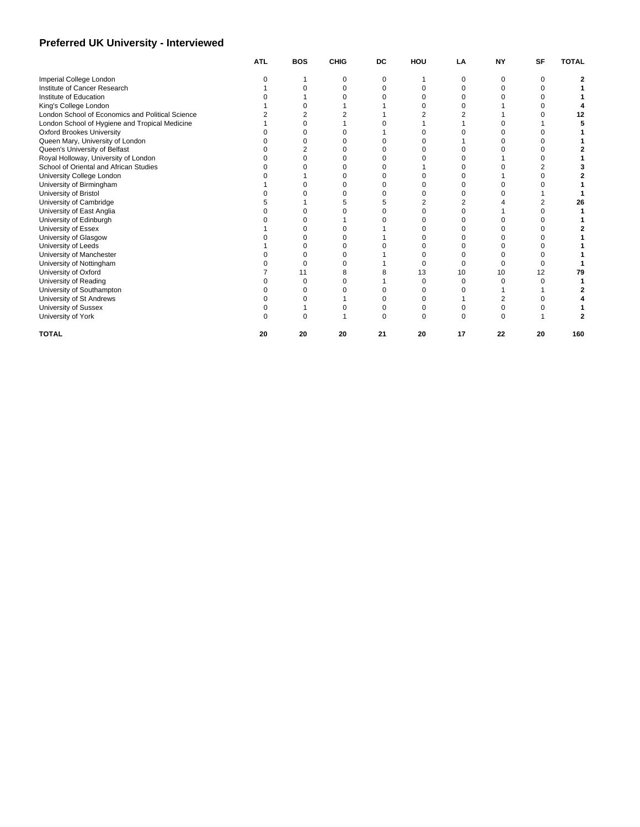## **Preferred UK University - Interviewed**

|                                                  | <b>ATL</b> | <b>BOS</b> | <b>CHIG</b> | DC | HOU | LA | NΥ | SF | <b>TOTAL</b> |
|--------------------------------------------------|------------|------------|-------------|----|-----|----|----|----|--------------|
| Imperial College London                          |            |            |             | n  |     | n  |    |    |              |
| Institute of Cancer Research                     |            |            |             | O  |     |    |    |    |              |
| Institute of Education                           |            |            |             |    |     |    |    |    |              |
| King's College London                            |            |            |             |    |     |    |    |    |              |
| London School of Economics and Political Science |            |            |             |    |     |    |    |    | 12           |
| London School of Hygiene and Tropical Medicine   |            |            |             |    |     |    |    |    |              |
| <b>Oxford Brookes University</b>                 |            |            |             |    |     |    |    |    |              |
| Queen Mary, University of London                 |            |            |             |    |     |    |    |    |              |
| Queen's University of Belfast                    |            |            |             |    |     |    |    |    |              |
| Royal Holloway, University of London             |            |            |             |    |     |    |    |    |              |
| School of Oriental and African Studies           |            |            |             |    |     |    |    |    |              |
| University College London                        |            |            |             |    |     |    |    |    |              |
| University of Birmingham                         |            |            |             |    |     |    |    |    |              |
| University of Bristol                            |            |            |             |    |     |    |    |    |              |
| University of Cambridge                          |            |            |             |    |     |    |    |    | 26           |
| University of East Anglia                        |            |            |             |    |     |    |    |    |              |
| University of Edinburgh                          |            |            |             |    |     |    |    |    |              |
| University of Essex                              |            |            |             |    |     |    |    |    |              |
| University of Glasgow                            |            |            |             |    |     |    |    |    |              |
| University of Leeds                              |            |            |             |    |     |    |    |    |              |
| University of Manchester                         |            |            |             |    |     |    |    |    |              |
| University of Nottingham                         |            |            |             |    |     |    |    |    |              |
| University of Oxford                             |            |            |             |    | 13  | 10 | 10 | 12 | 79           |
| University of Reading                            |            |            |             |    |     |    |    |    |              |
| University of Southampton                        |            |            |             |    |     |    |    |    |              |
| University of St Andrews                         |            |            |             |    |     |    |    |    |              |
| University of Sussex                             |            |            |             |    |     |    |    |    |              |
| University of York                               |            |            |             | n  |     |    |    |    |              |
| <b>TOTAL</b>                                     | 20         | 20         | 20          | 21 | 20  | 17 | 22 | 20 | 160          |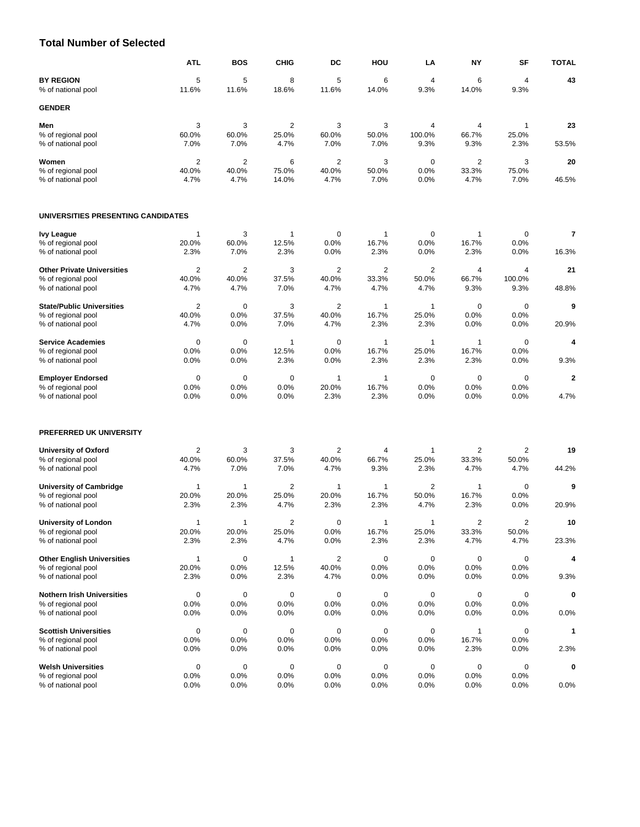#### **Total Number of Selected**

|                                          | <b>ATL</b>     | <b>BOS</b>     | <b>CHIG</b>    | DC                      | HOU           | LA             | <b>NY</b>      | SF             | <b>TOTAL</b> |
|------------------------------------------|----------------|----------------|----------------|-------------------------|---------------|----------------|----------------|----------------|--------------|
| <b>BY REGION</b>                         | 5              | 5              | 8              | 5                       | 6             | 4              | 6              | 4              | 43           |
| % of national pool                       | 11.6%          | 11.6%          | 18.6%          | 11.6%                   | 14.0%         | 9.3%           | 14.0%          | 9.3%           |              |
| <b>GENDER</b>                            |                |                |                |                         |               |                |                |                |              |
| Men                                      | 3              | 3              | 2              | 3                       | 3             | 4              | 4              | 1              | 23           |
| % of regional pool                       | 60.0%          | 60.0%          | 25.0%          | 60.0%                   | 50.0%         | 100.0%         | 66.7%          | 25.0%          |              |
| % of national pool                       | 7.0%           | 7.0%           | 4.7%           | 7.0%                    | 7.0%          | 9.3%           | 9.3%           | 2.3%           | 53.5%        |
| Women                                    | $\overline{2}$ | $\overline{2}$ | 6              | $\overline{2}$          | 3             | 0              | $\overline{2}$ | 3              | 20           |
| % of regional pool<br>% of national pool | 40.0%<br>4.7%  | 40.0%<br>4.7%  | 75.0%<br>14.0% | 40.0%<br>4.7%           | 50.0%<br>7.0% | 0.0%<br>0.0%   | 33.3%<br>4.7%  | 75.0%<br>7.0%  | 46.5%        |
|                                          |                |                |                |                         |               |                |                |                |              |
| UNIVERSITIES PRESENTING CANDIDATES       |                |                |                |                         |               |                |                |                |              |
| <b>Ivy League</b>                        | $\mathbf 1$    | 3              | 1              | 0                       | 1             | 0              | 1              | 0              | 7            |
| % of regional pool                       | 20.0%          | 60.0%          | 12.5%          | 0.0%                    | 16.7%         | 0.0%           | 16.7%          | 0.0%           |              |
| % of national pool                       | 2.3%           | 7.0%           | 2.3%           | 0.0%                    | 2.3%          | 0.0%           | 2.3%           | 0.0%           | 16.3%        |
| <b>Other Private Universities</b>        | $\overline{2}$ | 2              | 3              | 2                       | 2             | 2              | 4              | $\overline{4}$ | 21           |
| % of regional pool                       | 40.0%          | 40.0%          | 37.5%          | 40.0%                   | 33.3%         | 50.0%          | 66.7%          | 100.0%         |              |
| % of national pool                       | 4.7%           | 4.7%           | 7.0%           | 4.7%                    | 4.7%          | 4.7%           | 9.3%           | 9.3%           | 48.8%        |
| <b>State/Public Universities</b>         | $\overline{2}$ | $\mathbf 0$    | 3              | $\overline{2}$          | 1             | 1              | 0              | $\mathbf 0$    | 9            |
| % of regional pool                       | 40.0%          | 0.0%           | 37.5%          | 40.0%                   | 16.7%         | 25.0%          | 0.0%           | 0.0%           |              |
| % of national pool                       | 4.7%           | 0.0%           | 7.0%           | 4.7%                    | 2.3%          | 2.3%           | 0.0%           | 0.0%           | 20.9%        |
| <b>Service Academies</b>                 | $\mathbf 0$    | $\mathbf 0$    | $\mathbf{1}$   | $\mathbf 0$             | $\mathbf{1}$  | 1              | $\mathbf{1}$   | $\mathbf 0$    | 4            |
| % of regional pool                       | 0.0%           | 0.0%           | 12.5%          | 0.0%                    | 16.7%         | 25.0%          | 16.7%          | 0.0%           |              |
| % of national pool                       | 0.0%           | 0.0%           | 2.3%           | 0.0%                    | 2.3%          | 2.3%           | 2.3%           | 0.0%           | 9.3%         |
| <b>Employer Endorsed</b>                 | $\mathbf 0$    | 0              | $\mathbf 0$    | $\mathbf{1}$            | 1             | 0              | 0              | $\mathbf 0$    | $\mathbf{2}$ |
| % of regional pool                       | 0.0%           | 0.0%           | 0.0%           | 20.0%                   | 16.7%         | 0.0%           | 0.0%           | 0.0%           |              |
| % of national pool                       | 0.0%           | 0.0%           | 0.0%           | 2.3%                    | 2.3%          | 0.0%           | 0.0%           | 0.0%           | 4.7%         |
| PREFERRED UK UNIVERSITY                  |                |                |                |                         |               |                |                |                |              |
| <b>University of Oxford</b>              | $\overline{2}$ | 3              | 3              | $\overline{2}$          | 4             | 1              | 2              | $\overline{2}$ | 19           |
| % of regional pool                       | 40.0%          | 60.0%          | 37.5%          | 40.0%                   | 66.7%         | 25.0%          | 33.3%          | 50.0%          |              |
| % of national pool                       | 4.7%           | 7.0%           | 7.0%           | 4.7%                    | 9.3%          | 2.3%           | 4.7%           | 4.7%           | 44.2%        |
| <b>University of Cambridge</b>           | $\mathbf{1}$   | 1              | 2              | $\mathbf{1}$            | 1             | $\overline{2}$ | $\mathbf{1}$   | $\mathbf 0$    | 9            |
| % of regional pool                       | 20.0%          | 20.0%          | 25.0%          | 20.0%                   | 16.7%         | 50.0%          | 16.7%          | 0.0%           |              |
| % of national pool                       | 2.3%           | 2.3%           | 4.7%           | 2.3%                    | 2.3%          | 4.7%           | 2.3%           | 0.0%           | 20.9%        |
| <b>University of London</b>              | $\mathbf 1$    | -1             | 2              | 0                       | 1             | 1              | 2              | 2              | 10           |
| % of regional pool                       | 20.0%          | 20.0%          | 25.0%          | 0.0%                    | 16.7%         | 25.0%          | 33.3%          | 50.0%          |              |
| % of national pool                       | 2.3%           | 2.3%           | 4.7%           | 0.0%                    | 2.3%          | 2.3%           | 4.7%           | 4.7%           | 23.3%        |
| <b>Other English Universities</b>        | $\mathbf{1}$   | 0              | 1              | $\overline{\mathbf{c}}$ | 0             | $\mathbf 0$    | 0              | 0              | 4            |
| % of regional pool                       | 20.0%          | 0.0%           | 12.5%          | 40.0%                   | 0.0%          | 0.0%           | 0.0%           | 0.0%           |              |
| % of national pool                       | 2.3%           | 0.0%           | 2.3%           | 4.7%                    | 0.0%          | 0.0%           | 0.0%           | 0.0%           | 9.3%         |
| <b>Nothern Irish Universities</b>        | 0              | $\pmb{0}$      | 0              | 0                       | 0             | $\mathbf 0$    | 0              | 0              | 0            |
| % of regional pool                       | 0.0%           | 0.0%           | 0.0%           | 0.0%                    | 0.0%          | 0.0%           | 0.0%           | 0.0%           |              |
| % of national pool                       | 0.0%           | 0.0%           | 0.0%           | 0.0%                    | 0.0%          | 0.0%           | 0.0%           | 0.0%           | 0.0%         |
| <b>Scottish Universities</b>             | $\pmb{0}$      | $\mathbf 0$    | 0              | 0                       | 0             | $\mathbf 0$    | 1              | $\mathbf 0$    | 1            |
| % of regional pool                       | 0.0%           | 0.0%           | 0.0%           | 0.0%                    | 0.0%          | 0.0%           | 16.7%          | 0.0%           |              |
| % of national pool                       | 0.0%           | 0.0%           | 0.0%           | 0.0%                    | 0.0%          | 0.0%           | 2.3%           | 0.0%           | 2.3%         |
| <b>Welsh Universities</b>                | 0              | 0              | 0              | 0                       | 0             | 0              | 0              | 0              | 0            |
| % of regional pool<br>% of national pool | 0.0%<br>0.0%   | 0.0%<br>0.0%   | 0.0%<br>0.0%   | 0.0%<br>0.0%            | 0.0%<br>0.0%  | 0.0%<br>0.0%   | 0.0%<br>0.0%   | 0.0%<br>0.0%   | $0.0\%$      |
|                                          |                |                |                |                         |               |                |                |                |              |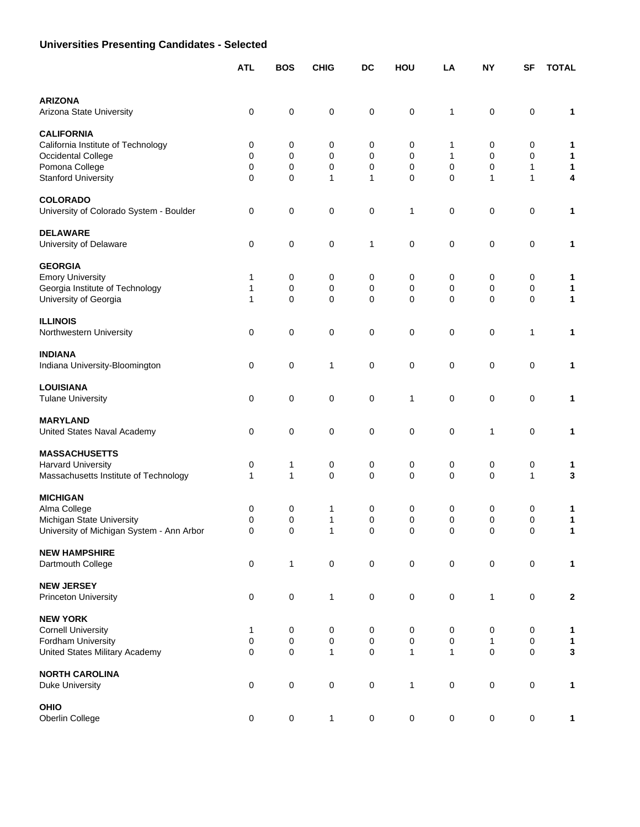# **Universities Presenting Candidates - Selected**

|                                                                        | <b>ATL</b>  | <b>BOS</b>   | <b>CHIG</b>       | <b>DC</b>        | HOU              | LA                         | <b>NY</b>    | <b>SF</b>    | <b>TOTAL</b>     |
|------------------------------------------------------------------------|-------------|--------------|-------------------|------------------|------------------|----------------------------|--------------|--------------|------------------|
|                                                                        |             |              |                   |                  |                  |                            |              |              |                  |
| <b>ARIZONA</b><br>Arizona State University                             | 0           | 0            | 0                 | 0                | $\mathsf 0$      | 1                          | 0            | 0            | 1                |
| <b>CALIFORNIA</b>                                                      |             |              |                   |                  |                  |                            |              |              |                  |
| California Institute of Technology                                     | 0           | 0            | 0                 | 0                | 0                | 1                          | 0            | 0            | 1                |
| Occidental College                                                     | 0           | 0            | $\mathbf 0$       | 0                | $\mathbf 0$      | 1                          | 0            | 0            | 1                |
| Pomona College<br><b>Stanford University</b>                           | 0<br>0      | 0<br>0       | 0<br>1            | 0<br>1           | $\mathbf 0$<br>0 | $\mathbf 0$<br>$\mathbf 0$ | 0<br>1       | 1<br>1       | 1<br>4           |
| <b>COLORADO</b>                                                        |             |              |                   |                  |                  |                            |              |              |                  |
| University of Colorado System - Boulder                                | 0           | 0            | 0                 | 0                | 1                | 0                          | 0            | 0            | 1                |
| <b>DELAWARE</b>                                                        |             |              |                   |                  |                  |                            |              |              |                  |
| University of Delaware                                                 | 0           | 0            | 0                 | 1                | 0                | 0                          | 0            | 0            | 1                |
| <b>GEORGIA</b>                                                         |             |              |                   |                  |                  |                            |              |              |                  |
| <b>Emory University</b>                                                | 1<br>1      | 0<br>0       | 0                 | 0<br>0           | 0<br>0           | 0<br>0                     | 0            | 0            | 1                |
| Georgia Institute of Technology<br>University of Georgia               | 1           | 0            | 0<br>0            | 0                | 0                | $\mathbf 0$                | 0<br>0       | 0<br>0       | 1<br>1           |
| <b>ILLINOIS</b>                                                        |             |              |                   |                  |                  |                            |              |              |                  |
| Northwestern University                                                | 0           | 0            | $\pmb{0}$         | 0                | 0                | 0                          | 0            | 1            | 1                |
| <b>INDIANA</b>                                                         |             |              |                   |                  |                  |                            |              |              |                  |
| Indiana University-Bloomington                                         | 0           | 0            | 1                 | 0                | $\mathbf 0$      | $\mathbf 0$                | 0            | 0            | 1                |
| <b>LOUISIANA</b>                                                       |             |              |                   |                  |                  |                            |              |              |                  |
| <b>Tulane University</b>                                               | $\mathbf 0$ | 0            | 0                 | 0                | 1                | 0                          | 0            | 0            | 1                |
| <b>MARYLAND</b>                                                        |             |              |                   |                  |                  |                            |              |              |                  |
| United States Naval Academy                                            | 0           | 0            | 0                 | 0                | $\mathbf 0$      | 0                          | 1            | 0            | 1                |
| <b>MASSACHUSETTS</b>                                                   |             |              |                   |                  |                  |                            |              |              |                  |
| <b>Harvard University</b>                                              | 0           | 1            | 0                 | 0                | 0                | 0                          | 0            | 0            | 1                |
| Massachusetts Institute of Technology                                  | 1           | $\mathbf{1}$ | $\mathbf 0$       | 0                | 0                | $\mathbf 0$                | 0            | $\mathbf{1}$ | 3                |
| <b>MICHIGAN</b>                                                        |             |              |                   |                  |                  |                            |              |              |                  |
| Alma College                                                           | 0<br>0      | 0            | 1<br>$\mathbf{1}$ | 0                | 0<br>$\mathbf 0$ | 0<br>$\mathbf 0$           | 0            | 0            | 1                |
| Michigan State University<br>University of Michigan System - Ann Arbor | 0           | 0<br>0       | $\mathbf{1}$      | $\mathbf 0$<br>0 | 0                | 0                          | 0<br>0       | 0<br>0       | 1<br>1           |
|                                                                        |             |              |                   |                  |                  |                            |              |              |                  |
| <b>NEW HAMPSHIRE</b><br>Dartmouth College                              | 0           | $\mathbf{1}$ | $\pmb{0}$         | $\pmb{0}$        | $\pmb{0}$        | $\pmb{0}$                  | 0            | 0            | 1                |
|                                                                        |             |              |                   |                  |                  |                            |              |              |                  |
| <b>NEW JERSEY</b><br><b>Princeton University</b>                       | $\pmb{0}$   | $\mathsf 0$  | $\mathbf{1}$      | $\mathsf 0$      | $\pmb{0}$        | $\pmb{0}$                  | $\mathbf{1}$ | $\mathbf 0$  | $\boldsymbol{2}$ |
|                                                                        |             |              |                   |                  |                  |                            |              |              |                  |
| <b>NEW YORK</b><br><b>Cornell University</b>                           | 1           | 0            | $\mathbf 0$       | 0                | 0                | $\pmb{0}$                  | 0            | 0            | 1                |
| Fordham University                                                     | 0           | $\mathsf 0$  | $\pmb{0}$         | $\pmb{0}$        | $\mathsf 0$      | $\pmb{0}$                  | $\mathbf{1}$ | 0            | $\mathbf{1}$     |
| United States Military Academy                                         | 0           | $\pmb{0}$    | $\mathbf{1}$      | $\pmb{0}$        | $\mathbf{1}$     | $\mathbf{1}$               | $\mathsf 0$  | 0            | $\mathbf{3}$     |
| <b>NORTH CAROLINA</b>                                                  |             |              |                   |                  |                  |                            |              |              |                  |
| <b>Duke University</b>                                                 | 0           | $\mathbf 0$  | $\pmb{0}$         | $\pmb{0}$        | $\mathbf{1}$     | $\mathbf 0$                | 0            | $\mathbf 0$  | 1                |
| <b>OHIO</b>                                                            |             |              |                   |                  |                  |                            |              |              |                  |
| Oberlin College                                                        | $\mathsf 0$ | 0            | 1                 | $\pmb{0}$        | $\mathbf 0$      | $\pmb{0}$                  | $\mathbf 0$  | 0            | 1                |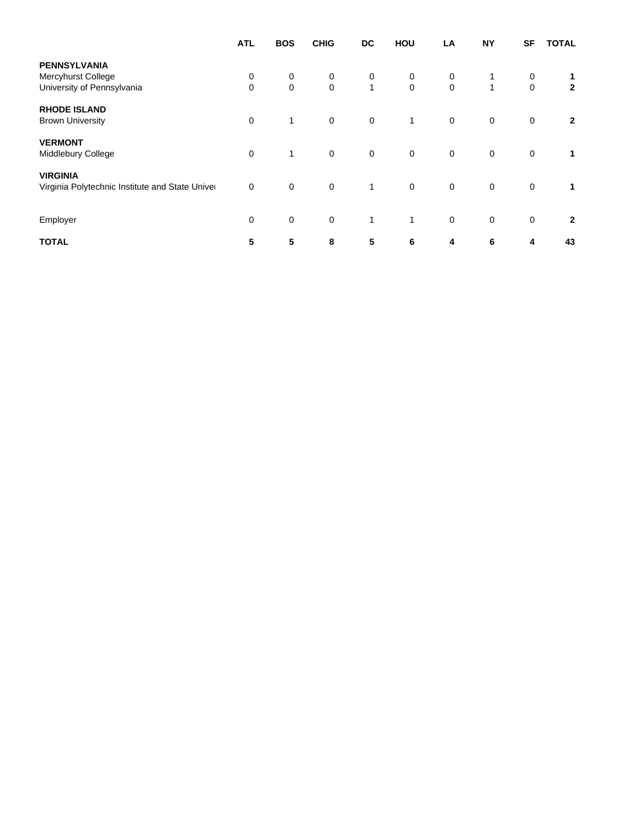| <b>ATL</b>  | <b>BOS</b>   | <b>CHIG</b> | DC           | HOU         | LA               | <b>NY</b>    | <b>SF</b>   | <b>TOTAL</b>   |
|-------------|--------------|-------------|--------------|-------------|------------------|--------------|-------------|----------------|
|             |              |             |              |             |                  |              |             |                |
| 0           | 0            | 0           | 0            | 0           | 0                |              | 0           | 1              |
| $\mathbf 0$ | $\mathbf 0$  | $\mathbf 0$ | $\mathbf{1}$ | $\mathbf 0$ | $\boldsymbol{0}$ | $\mathbf{1}$ | $\mathbf 0$ | $\mathbf{2}$   |
|             |              |             |              |             |                  |              |             |                |
| $\mathbf 0$ | $\mathbf{1}$ | $\mathbf 0$ | $\pmb{0}$    | 1           | $\mathbf 0$      | $\mathbf 0$  | $\mathbf 0$ | $\overline{2}$ |
|             |              |             |              |             |                  |              |             |                |
| $\mathbf 0$ | $\mathbf{1}$ | $\mathbf 0$ | $\mathbf 0$  | $\mathbf 0$ | $\mathbf 0$      | $\mathbf 0$  | $\mathbf 0$ | $\mathbf 1$    |
|             |              |             |              |             |                  |              |             |                |
| $\mathbf 0$ | $\mathbf 0$  | $\mathbf 0$ | $\mathbf{1}$ | $\mathbf 0$ | $\mathbf 0$      | $\mathbf 0$  | $\mathbf 0$ | $\mathbf{1}$   |
|             |              |             |              |             |                  |              |             |                |
| $\mathbf 0$ | $\mathbf 0$  | $\mathbf 0$ | $\mathbf{1}$ | 1           | 0                | $\mathbf 0$  | $\mathbf 0$ | $\overline{2}$ |
| 5           | 5            | 8           | 5            | 6           | 4                | 6            | 4           | 43             |
|             |              |             |              |             |                  |              |             |                |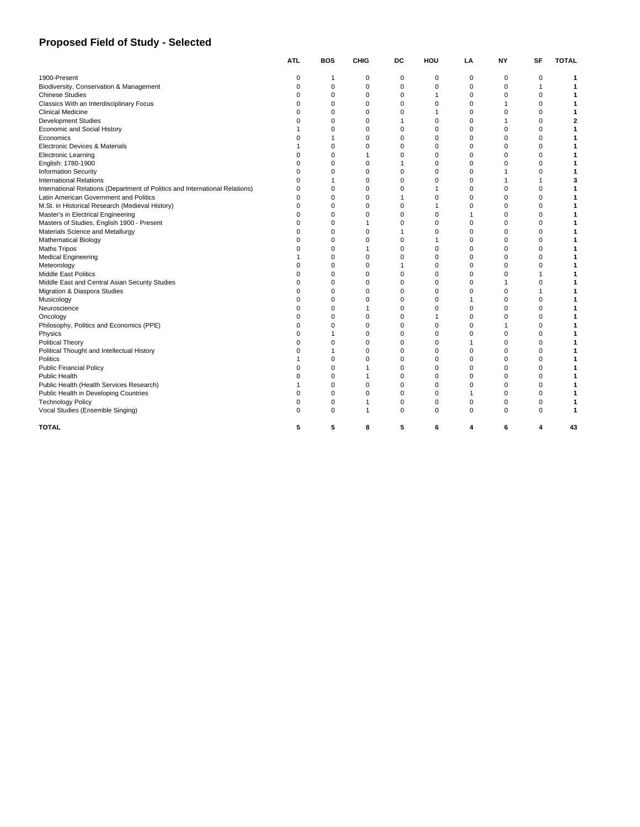## **Proposed Field of Study - Selected**

|                                                                              | <b>ATL</b>  | <b>BOS</b>  | <b>CHIG</b> | DC          | HOU          | LA             | <b>NY</b>   | SF             | <b>TOTAL</b> |
|------------------------------------------------------------------------------|-------------|-------------|-------------|-------------|--------------|----------------|-------------|----------------|--------------|
| 1900-Present                                                                 | $\mathbf 0$ | 1           | 0           | 0           | 0            | 0              | 0           | 0              |              |
| Biodiversity, Conservation & Management                                      | $\mathbf 0$ | $\mathbf 0$ | 0           | $\mathbf 0$ | $\mathbf 0$  | $\mathbf 0$    | $\mathbf 0$ | $\mathbf{1}$   |              |
| <b>Chinese Studies</b>                                                       | $\Omega$    | $\mathbf 0$ | 0           | $\mathbf 0$ | $\mathbf{1}$ | $\mathbf 0$    | $\mathbf 0$ | $\mathbf 0$    |              |
| Classics With an Interdisciplinary Focus                                     | $\Omega$    | $\Omega$    | $\Omega$    | $\Omega$    | $\Omega$     | $\Omega$       |             | $\Omega$       |              |
| <b>Clinical Medicine</b>                                                     | $\Omega$    | $\mathbf 0$ | $\mathbf 0$ | $\mathbf 0$ | 1            | $\mathbf 0$    | $\Omega$    | $\mathbf 0$    |              |
| <b>Development Studies</b>                                                   | $\Omega$    | $\Omega$    | $\mathbf 0$ | 1           | $\mathbf 0$  | $\mathbf 0$    |             | $\mathbf 0$    | 2            |
| Economic and Social History                                                  |             | $\Omega$    | $\Omega$    | $\mathbf 0$ | $\mathbf 0$  | $\mathbf 0$    | $\Omega$    | $\mathbf 0$    |              |
| Economics                                                                    | $\Omega$    |             | $\mathbf 0$ | $\mathbf 0$ | $\mathbf 0$  | $\mathbf 0$    | $\Omega$    | $\mathbf 0$    |              |
| Electronic Devices & Materials                                               |             | 0           | $\mathbf 0$ | $\mathbf 0$ | $\mathbf 0$  | $\mathbf 0$    | $\Omega$    | $\mathbf 0$    |              |
| <b>Electronic Learning</b>                                                   | $\Omega$    | $\mathbf 0$ |             | $\Omega$    | $\Omega$     | $\mathbf 0$    | $\Omega$    | $\mathbf 0$    |              |
| English: 1780-1900                                                           | $\Omega$    | 0           | 0           | 1           | 0            | $\mathbf 0$    | 0           | $\mathbf 0$    |              |
| <b>Information Security</b>                                                  | $\Omega$    | 0           | $\mathbf 0$ | 0           | $\mathbf 0$  | $\mathbf 0$    |             | $\mathbf 0$    |              |
| <b>International Relations</b>                                               | $\Omega$    |             | $\Omega$    | $\mathbf 0$ | $\mathbf 0$  | $\mathbf 0$    |             | $\overline{1}$ | 3            |
| International Relations (Department of Politics and International Relations) | $\Omega$    | $\Omega$    | $\Omega$    | $\Omega$    |              | $\Omega$       | $\Omega$    | $\Omega$       |              |
| Latin American Government and Politics                                       | $\Omega$    | $\mathbf 0$ | $\mathbf 0$ | 1           | $\mathbf 0$  | $\mathbf 0$    | $\Omega$    | $\mathbf 0$    |              |
| M.St. in Historical Research (Medieval History)                              | $\Omega$    | $\mathbf 0$ | $\mathbf 0$ | $\mathbf 0$ |              | $\mathbf 0$    | $\Omega$    | $\mathbf 0$    |              |
| Master's in Electrical Engineering                                           | $\Omega$    | $\mathbf 0$ | $\Omega$    | $\mathbf 0$ | $\mathbf 0$  | $\overline{1}$ | $\Omega$    | $\mathbf 0$    |              |
| Masters of Studies, English 1900 - Present                                   | $\Omega$    | $\mathbf 0$ |             | $\mathbf 0$ | $\mathbf 0$  | $\mathbf 0$    | 0           | $\mathbf 0$    |              |
| Materials Science and Metallurgy                                             | $\Omega$    | $\mathbf 0$ | $\mathbf 0$ | 1           | $\Omega$     | $\mathbf 0$    | $\Omega$    | $\mathbf 0$    |              |
| <b>Mathematical Biology</b>                                                  | $\Omega$    | 0           | $\mathbf 0$ | $\mathbf 0$ |              | $\mathbf 0$    | $\Omega$    | $\mathbf 0$    |              |
| <b>Maths Tripos</b>                                                          | $\Omega$    | $\Omega$    |             | $\Omega$    | $\mathbf 0$  | $\Omega$       | $\Omega$    | $\Omega$       |              |
| <b>Medical Engineering</b>                                                   |             | 0           | 0           | $\mathbf 0$ | $\mathbf 0$  | $\mathbf 0$    | 0           | $\mathbf 0$    |              |
| Meteorology                                                                  | $\Omega$    | $\mathbf 0$ | $\mathbf 0$ | 1           | $\mathbf 0$  | $\mathbf 0$    | 0           | $\mathbf 0$    |              |
| <b>Middle East Politics</b>                                                  | $\Omega$    | $\Omega$    | $\Omega$    | $\mathbf 0$ | $\Omega$     | $\mathbf 0$    | $\Omega$    | 1              |              |
| Middle East and Central Asian Security Studies                               | $\mathbf 0$ | 0           | $\mathbf 0$ | $\mathbf 0$ | $\mathbf 0$  | $\mathbf 0$    |             | $\mathbf 0$    |              |
| Migration & Diaspora Studies                                                 | $\Omega$    | $\Omega$    | $\Omega$    | $\Omega$    | $\Omega$     | $\Omega$       | $\Omega$    | $\overline{1}$ |              |
| Musicology                                                                   | $\Omega$    | 0           | 0           | $\mathbf 0$ | $\Omega$     | $\overline{1}$ | $\Omega$    | $\mathbf 0$    |              |
| Neuroscience                                                                 | $\Omega$    | $\Omega$    |             | $\Omega$    | $\Omega$     | $\mathbf 0$    | O           | $\mathbf 0$    |              |
| Oncology                                                                     | $\Omega$    | $\Omega$    | 0           | $\mathbf 0$ |              | $\mathbf 0$    | $\Omega$    | $\mathbf 0$    |              |
| Philosophy, Politics and Economics (PPE)                                     | $\Omega$    | $\mathbf 0$ | $\mathbf 0$ | $\mathbf 0$ | $\mathbf 0$  | $\mathbf 0$    |             | $\mathbf 0$    |              |
| Physics                                                                      | $\Omega$    |             | 0           | $\mathbf 0$ | $\mathbf 0$  | $\mathbf 0$    | $\Omega$    | $\mathbf 0$    |              |
| <b>Political Theory</b>                                                      | $\Omega$    | 0           | $\mathbf 0$ | 0           | $\mathbf 0$  | $\overline{1}$ | $\Omega$    | $\mathbf 0$    |              |
| Political Thought and Intellectual History                                   | $\Omega$    |             | $\Omega$    | $\Omega$    | $\Omega$     | $\Omega$       | $\Omega$    | $\Omega$       |              |
| <b>Politics</b>                                                              |             | 0           | $\Omega$    | $\mathbf 0$ | $\mathbf 0$  | $\mathbf 0$    | $\Omega$    | $\mathbf 0$    |              |
| <b>Public Financial Policy</b>                                               | $\Omega$    | $\mathbf 0$ |             | $\mathbf 0$ | $\mathbf 0$  | $\mathbf 0$    | 0           | $\mathbf 0$    |              |
| Public Health                                                                | $\Omega$    | $\mathbf 0$ |             | $\mathbf 0$ | $\mathbf 0$  | $\mathbf 0$    | $\Omega$    | $\mathbf 0$    |              |
| Public Health (Health Services Research)                                     |             | $\mathbf 0$ | $\mathbf 0$ | $\mathbf 0$ | $\mathbf 0$  | $\mathbf 0$    | $\mathbf 0$ | $\mathbf 0$    |              |
| Public Health in Developing Countries                                        | $\Omega$    | $\Omega$    | $\Omega$    | $\mathbf 0$ | $\Omega$     | $\overline{1}$ | $\Omega$    | $\Omega$       |              |
| <b>Technology Policy</b>                                                     | $\mathbf 0$ | 0           | 1           | 0           | $\mathbf 0$  | 0              | 0           | $\mathbf 0$    |              |
| Vocal Studies (Ensemble Singing)                                             | $\Omega$    | $\Omega$    |             | $\Omega$    | $\Omega$     | $\Omega$       | $\Omega$    | $\Omega$       |              |
| <b>TOTAL</b>                                                                 | 5           | 5           | 8           | 5           | 6            | 4              | 6           | 4              | 43           |